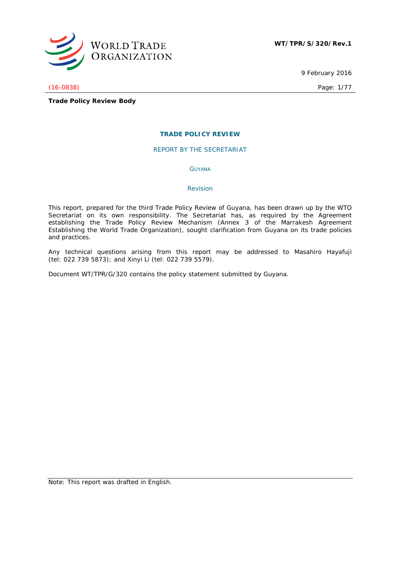

9 February 2016

(16-0838) Page: 1/77

**Trade Policy Review Body**

### **TRADE POLICY REVIEW**

REPORT BY THE SECRETARIAT

GUYANA

### *Revision*

This report, prepared for the third Trade Policy Review of Guyana, has been drawn up by the WTO Secretariat on its own responsibility. The Secretariat has, as required by the Agreement establishing the Trade Policy Review Mechanism (Annex 3 of the Marrakesh Agreement Establishing the World Trade Organization), sought clarification from Guyana on its trade policies and practices.

Any technical questions arising from this report may be addressed to Masahiro Hayafuji (tel: 022 739 5873); and Xinyi Li (tel: 022 739 5579).

Document WT/TPR/G/320 contains the policy statement submitted by Guyana.

Note: This report was drafted in English.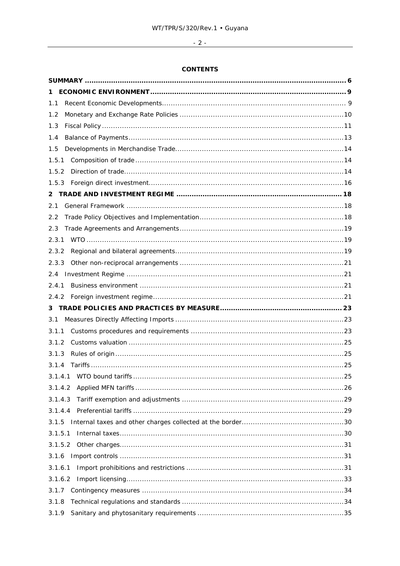# $-2-$

# **CONTENTS**

| 1.1          |  |
|--------------|--|
| 1.2          |  |
| 1.3          |  |
| 1.4          |  |
| 1.5          |  |
| 1.5.1        |  |
| 1.5.2        |  |
| 1.5.3        |  |
| $\mathbf{2}$ |  |
| 2.1          |  |
| 2.2          |  |
| 2.3          |  |
| 2.3.1        |  |
| 2.3.2        |  |
| 2.3.3        |  |
| 2.4          |  |
| 2.4.1        |  |
| 2.4.2        |  |
| 3.           |  |
| 3.1          |  |
| 3.1.1        |  |
| 3.1.2        |  |
| 3.1.3        |  |
| 3.1.4        |  |
|              |  |
| 3.1.4.2      |  |
| 3.1.4.3      |  |
| 3.1.4.4      |  |
| 3.1.5        |  |
| 3.1.5.1      |  |
| 3.1.5.2      |  |
| 3.1.6        |  |
| 3.1.6.1      |  |
| 3.1.6.2      |  |
| 3.1.7        |  |
| 3.1.8        |  |
| 3.1.9        |  |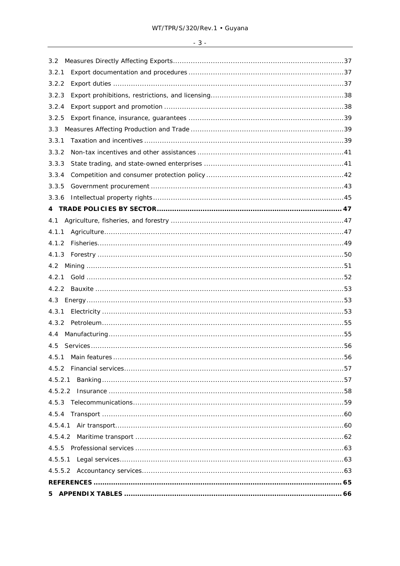| 3.2     |  |
|---------|--|
| 3.2.1   |  |
| 3.2.2   |  |
| 3.2.3   |  |
| 3.2.4   |  |
| 3.2.5   |  |
| 3.3     |  |
| 3.3.1   |  |
| 3.3.2   |  |
| 3.3.3   |  |
| 3.3.4   |  |
| 3.3.5   |  |
| 3.3.6   |  |
|         |  |
| 4.1     |  |
| 4.1.1   |  |
| 4.1.2   |  |
| 4.1.3   |  |
|         |  |
| 4.2.1   |  |
|         |  |
| 4.3     |  |
| 4.3.1   |  |
| 4.3.2   |  |
| 4.4     |  |
| 4.5     |  |
| 4.5.1   |  |
| 4.5.2   |  |
| 4.5.2.1 |  |
|         |  |
|         |  |
|         |  |
| 4.5.4.1 |  |
|         |  |
|         |  |
|         |  |
|         |  |
|         |  |
| 5.      |  |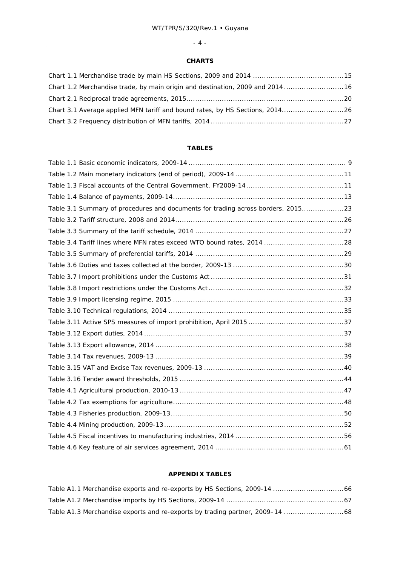# - 4 -

### **CHARTS**

| 16. Chart 1.2 Merchandise trade, by main origin and destination, 2009 and 201416 |  |
|----------------------------------------------------------------------------------|--|
|                                                                                  |  |
| Chart 3.1 Average applied MFN tariff and bound rates, by HS Sections, 201426     |  |
|                                                                                  |  |

# **TABLES**

| Table 3.1 Summary of procedures and documents for trading across borders, 201523 |  |
|----------------------------------------------------------------------------------|--|
|                                                                                  |  |
|                                                                                  |  |
|                                                                                  |  |
|                                                                                  |  |
|                                                                                  |  |
|                                                                                  |  |
|                                                                                  |  |
|                                                                                  |  |
|                                                                                  |  |
|                                                                                  |  |
|                                                                                  |  |
|                                                                                  |  |
|                                                                                  |  |
|                                                                                  |  |
|                                                                                  |  |
|                                                                                  |  |
|                                                                                  |  |
|                                                                                  |  |
|                                                                                  |  |
|                                                                                  |  |
|                                                                                  |  |

# **APPENDIX TABLES**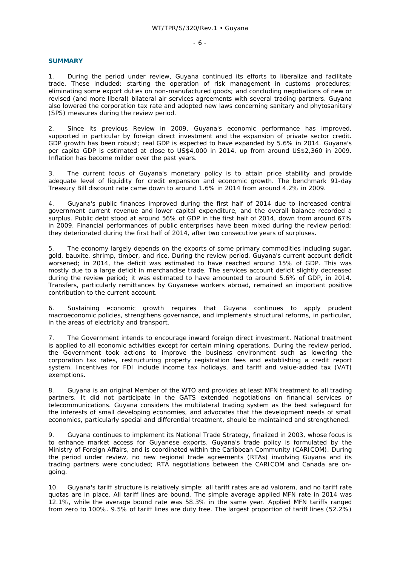#### - 6 -

#### **SUMMARY**

1. During the period under review, Guyana continued its efforts to liberalize and facilitate trade. These included: starting the operation of risk management in customs procedures; eliminating some export duties on non-manufactured goods; and concluding negotiations of new or revised (and more liberal) bilateral air services agreements with several trading partners. Guyana also lowered the corporation tax rate and adopted new laws concerning sanitary and phytosanitary (SPS) measures during the review period.

2. Since its previous Review in 2009, Guyana's economic performance has improved, supported in particular by foreign direct investment and the expansion of private sector credit. GDP growth has been robust; real GDP is expected to have expanded by 5.6% in 2014. Guyana's per capita GDP is estimated at close to US\$4,000 in 2014, up from around US\$2,360 in 2009. Inflation has become milder over the past years.

3. The current focus of Guyana's monetary policy is to attain price stability and provide adequate level of liquidity for credit expansion and economic growth. The benchmark 91-day Treasury Bill discount rate came down to around 1.6% in 2014 from around 4.2% in 2009.

4. Guyana's public finances improved during the first half of 2014 due to increased central government current revenue and lower capital expenditure, and the overall balance recorded a surplus. Public debt stood at around 56% of GDP in the first half of 2014, down from around 67% in 2009. Financial performances of public enterprises have been mixed during the review period; they deteriorated during the first half of 2014, after two consecutive years of surpluses.

5. The economy largely depends on the exports of some primary commodities including sugar, gold, bauxite, shrimp, timber, and rice. During the review period, Guyana's current account deficit worsened; in 2014, the deficit was estimated to have reached around 15% of GDP. This was mostly due to a large deficit in merchandise trade. The services account deficit slightly decreased during the review period; it was estimated to have amounted to around 5.6% of GDP, in 2014. Transfers, particularly remittances by Guyanese workers abroad, remained an important positive contribution to the current account.

6. Sustaining economic growth requires that Guyana continues to apply prudent macroeconomic policies, strengthens governance, and implements structural reforms, in particular, in the areas of electricity and transport.

7. The Government intends to encourage inward foreign direct investment. National treatment is applied to all economic activities except for certain mining operations. During the review period, the Government took actions to improve the business environment such as lowering the corporation tax rates, restructuring property registration fees and establishing a credit report system. Incentives for FDI include income tax holidays, and tariff and value-added tax (VAT) exemptions.

8. Guyana is an original Member of the WTO and provides at least MFN treatment to all trading partners. It did not participate in the GATS extended negotiations on financial services or telecommunications. Guyana considers the multilateral trading system as the best safeguard for the interests of small developing economies, and advocates that the development needs of small economies, particularly special and differential treatment, should be maintained and strengthened.

9. Guyana continues to implement its National Trade Strategy, finalized in 2003, whose focus is to enhance market access for Guyanese exports. Guyana's trade policy is formulated by the Ministry of Foreign Affairs, and is coordinated within the Caribbean Community (CARICOM). During the period under review, no new regional trade agreements (RTAs) involving Guyana and its trading partners were concluded; RTA negotiations between the CARICOM and Canada are ongoing.

10. Guyana's tariff structure is relatively simple: all tariff rates are *ad valorem*, and no tariff rate quotas are in place. All tariff lines are bound. The simple average applied MFN rate in 2014 was 12.1%, while the average bound rate was 58.3% in the same year. Applied MFN tariffs ranged from zero to 100%. 9.5% of tariff lines are duty free. The largest proportion of tariff lines (52.2%)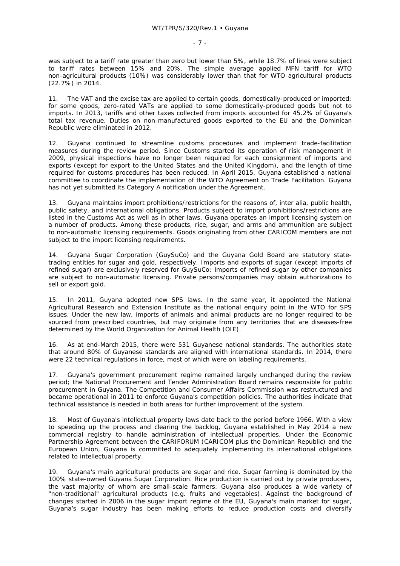was subject to a tariff rate greater than zero but lower than 5%, while 18.7% of lines were subject to tariff rates between 15% and 20%. The simple average applied MFN tariff for WTO non-agricultural products (10%) was considerably lower than that for WTO agricultural products (22.7%) in 2014.

11. The VAT and the excise tax are applied to certain goods, domestically-produced or imported; for some goods, zero-rated VATs are applied to some domestically-produced goods but not to imports. In 2013, tariffs and other taxes collected from imports accounted for 45.2% of Guyana's total tax revenue. Duties on non-manufactured goods exported to the EU and the Dominican Republic were eliminated in 2012.

12. Guyana continued to streamline customs procedures and implement trade-facilitation measures during the review period. Since Customs started its operation of risk management in 2009, physical inspections have no longer been required for each consignment of imports and exports (except for export to the United States and the United Kingdom), and the length of time required for customs procedures has been reduced. In April 2015, Guyana established a national committee to coordinate the implementation of the WTO Agreement on Trade Facilitation. Guyana has not yet submitted its Category A notification under the Agreement.

13. Guyana maintains import prohibitions/restrictions for the reasons of, *inter alia,* public health, public safety, and international obligations. Products subject to import prohibitions/restrictions are listed in the Customs Act as well as in other laws. Guyana operates an import licensing system on a number of products. Among these products, rice, sugar, and arms and ammunition are subject to non-automatic licensing requirements. Goods originating from other CARICOM members are not subject to the import licensing requirements.

14. Guyana Sugar Corporation (GuySuCo) and the Guyana Gold Board are statutory statetrading entities for sugar and gold, respectively. Imports and exports of sugar (except imports of refined sugar) are exclusively reserved for GuySuCo; imports of refined sugar by other companies are subject to non-automatic licensing. Private persons/companies may obtain authorizations to sell or export gold.

15. In 2011, Guyana adopted new SPS laws. In the same year, it appointed the National Agricultural Research and Extension Institute as the national enquiry point in the WTO for SPS issues. Under the new law, imports of animals and animal products are no longer required to be sourced from prescribed countries, but may originate from any territories that are diseases-free determined by the World Organization for Animal Health (OIE).

16. As at end-March 2015, there were 531 Guyanese national standards. The authorities state that around 80% of Guyanese standards are aligned with international standards. In 2014, there were 22 technical regulations in force, most of which were on labeling requirements.

17. Guyana's government procurement regime remained largely unchanged during the review period; the National Procurement and Tender Administration Board remains responsible for public procurement in Guyana. The Competition and Consumer Affairs Commission was restructured and became operational in 2011 to enforce Guyana's competition policies. The authorities indicate that technical assistance is needed in both areas for further improvement of the system.

18. Most of Guyana's intellectual property laws date back to the period before 1966. With a view to speeding up the process and clearing the backlog, Guyana established in May 2014 a new commercial registry to handle administration of intellectual properties. Under the Economic Partnership Agreement between the CARIFORUM (CARICOM plus the Dominican Republic) and the European Union, Guyana is committed to adequately implementing its international obligations related to intellectual property.

19. Guyana's main agricultural products are sugar and rice. Sugar farming is dominated by the 100% state-owned Guyana Sugar Corporation. Rice production is carried out by private producers, the vast majority of whom are small-scale farmers. Guyana also produces a wide variety of "non-traditional" agricultural products (e.g. fruits and vegetables). Against the background of changes started in 2006 in the sugar import regime of the EU, Guyana's main market for sugar, Guyana's sugar industry has been making efforts to reduce production costs and diversify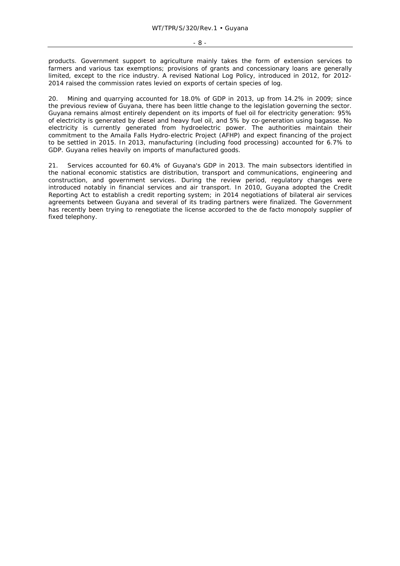products. Government support to agriculture mainly takes the form of extension services to farmers and various tax exemptions; provisions of grants and concessionary loans are generally limited, except to the rice industry. A revised National Log Policy, introduced in 2012, for 2012- 2014 raised the commission rates levied on exports of certain species of log.

20. Mining and quarrying accounted for 18.0% of GDP in 2013, up from 14.2% in 2009; since the previous review of Guyana, there has been little change to the legislation governing the sector. Guyana remains almost entirely dependent on its imports of fuel oil for electricity generation: 95% of electricity is generated by diesel and heavy fuel oil, and 5% by co-generation using bagasse. No electricity is currently generated from hydroelectric power. The authorities maintain their commitment to the Amaila Falls Hydro-electric Project (AFHP) and expect financing of the project to be settled in 2015. In 2013, manufacturing (including food processing) accounted for 6.7% to GDP. Guyana relies heavily on imports of manufactured goods.

21. Services accounted for 60.4% of Guyana's GDP in 2013. The main subsectors identified in the national economic statistics are distribution, transport and communications, engineering and construction, and government services. During the review period, regulatory changes were introduced notably in financial services and air transport. In 2010, Guyana adopted the Credit Reporting Act to establish a credit reporting system; in 2014 negotiations of bilateral air services agreements between Guyana and several of its trading partners were finalized. The Government has recently been trying to renegotiate the license accorded to the *de facto* monopoly supplier of fixed telephony.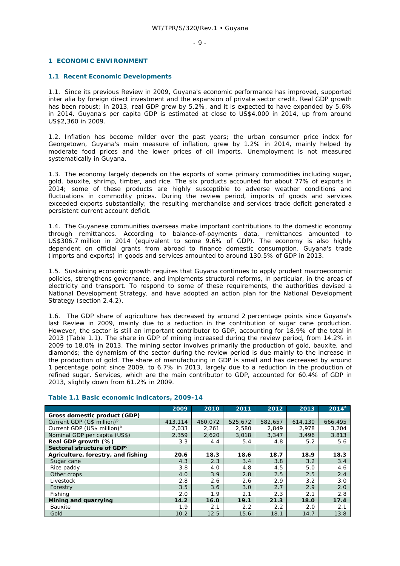#### **1 ECONOMIC ENVIRONMENT**

#### **1.1 Recent Economic Developments**

1.1. Since its previous Review in 2009, Guyana's economic performance has improved, supported inter alia by foreign direct investment and the expansion of private sector credit. Real GDP growth has been robust; in 2013, real GDP grew by 5.2%, and it is expected to have expanded by 5.6% in 2014. Guyana's per capita GDP is estimated at close to US\$4,000 in 2014, up from around US\$2,360 in 2009.

1.2. Inflation has become milder over the past years; the urban consumer price index for Georgetown, Guyana's main measure of inflation, grew by 1.2% in 2014, mainly helped by moderate food prices and the lower prices of oil imports. Unemployment is not measured systematically in Guyana.

1.3. The economy largely depends on the exports of some primary commodities including sugar, gold, bauxite, shrimp, timber, and rice. The six products accounted for about 77% of exports in 2014; some of these products are highly susceptible to adverse weather conditions and fluctuations in commodity prices. During the review period, imports of goods and services exceeded exports substantially; the resulting merchandise and services trade deficit generated a persistent current account deficit.

1.4. The Guyanese communities overseas make important contributions to the domestic economy through remittances. According to balance-of-payments data, remittances amounted to US\$306.7 million in 2014 (equivalent to some 9.6% of GDP). The economy is also highly dependent on official grants from abroad to finance domestic consumption. Guyana's trade (imports and exports) in goods and services amounted to around 130.5% of GDP in 2013.

1.5. Sustaining economic growth requires that Guyana continues to apply prudent macroeconomic policies, strengthens governance, and implements structural reforms, in particular, in the areas of electricity and transport. To respond to some of these requirements, the authorities devised a National Development Strategy, and have adopted an action plan for the National Development Strategy (section 2.4.2).

1.6. The GDP share of agriculture has decreased by around 2 percentage points since Guyana's last Review in 2009, mainly due to a reduction in the contribution of sugar cane production. However, the sector is still an important contributor to GDP, accounting for 18.9% of the total in 2013 (Table 1.1). The share in GDP of mining increased during the review period, from 14.2% in 2009 to 18.0% in 2013. The mining sector involves primarily the production of gold, bauxite, and diamonds; the dynamism of the sector during the review period is due mainly to the increase in the production of gold. The share of manufacturing in GDP is small and has decreased by around 1 percentage point since 2009, to 6.7% in 2013, largely due to a reduction in the production of refined sugar. Services, which are the main contributor to GDP, accounted for 60.4% of GDP in 2013, slightly down from 61.2% in 2009.

|                                         | 2009    | 2010    | 2011    | 2012    | 2013    | $2014^a$ |
|-----------------------------------------|---------|---------|---------|---------|---------|----------|
| Gross domestic product (GDP)            |         |         |         |         |         |          |
| Current GDP (G\$ million) <sup>b</sup>  | 413,114 | 460.072 | 525,672 | 582.657 | 614,130 | 666,495  |
| Current GDP (US\$ million) <sup>b</sup> | 2,033   | 2,261   | 2,580   | 2,849   | 2,978   | 3,204    |
| Nominal GDP per capita (US\$)           | 2,359   | 2,620   | 3,018   | 3,347   | 3,496   | 3,813    |
| Real GDP growth (%)                     | 3.3     | 4.4     | 5.4     | 4.8     | 5.2     | 5.6      |
| Sectoral structure of GDP <sup>c</sup>  |         |         |         |         |         |          |
| Agriculture, forestry, and fishing      | 20.6    | 18.3    | 18.6    | 18.7    | 18.9    | 18.3     |
| Sugar cane                              | 4.3     | 2.3     | 3.4     | 3.8     | 3.2     | 3.4      |
| Rice paddy                              | 3.8     | 4.0     | 4.8     | 4.5     | 5.0     | 4.6      |
| Other crops                             | 4.0     | 3.9     | 2.8     | 2.5     | 2.5     | 2.4      |
| Livestock                               | 2.8     | 2.6     | 2.6     | 2.9     | 3.2     | 3.0      |
| Forestry                                | 3.5     | 3.6     | 3.0     | 2.7     | 2.9     | 2.0      |
| Fishing                                 | 2.0     | 1.9     | 2.1     | 2.3     | 2.1     | 2.8      |
| Mining and quarrying                    | 14.2    | 16.0    | 19.1    | 21.3    | 18.0    | 17.4     |
| Bauxite                                 | 1.9     | 2.1     | 2.2     | 2.2     | 2.0     | 2.1      |
| Gold                                    | 10.2    | 12.5    | 15.6    | 18.1    | 14.7    | 13.8     |

#### **Table 1.1 Basic economic indicators, 2009-14**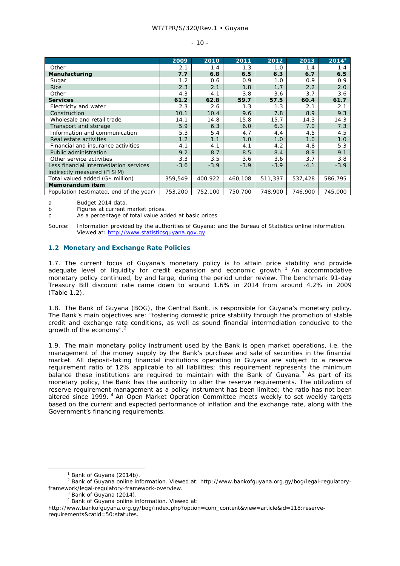#### - 10 -

|                                         | 2009    | 2010    | 2011    | 2012    | 2013    | $2014^{\circ}$ |
|-----------------------------------------|---------|---------|---------|---------|---------|----------------|
| Other                                   | 2.1     | 1.4     | 1.3     | 1.0     | 1.4     | 1.4            |
| Manufacturing                           | 7.7     | 6.8     | 6.5     | 6.3     | 6.7     | 6.5            |
| Sugar                                   | 1.2     | 0.6     | 0.9     | 1.0     | 0.9     | 0.9            |
| <b>Rice</b>                             | 2.3     | 2.1     | 1.8     | 1.7     | 2.2     | 2.0            |
| Other                                   | 4.3     | 4.1     | 3.8     | 3.6     | 3.7     | 3.6            |
| <b>Services</b>                         | 61.2    | 62.8    | 59.7    | 57.5    | 60.4    | 61.7           |
| Electricity and water                   | 2.3     | 2.6     | 1.3     | 1.3     | 2.1     | 2.1            |
| Construction                            | 10.1    | 10.4    | 9.6     | 7.8     | 8.9     | 9.3            |
| Wholesale and retail trade              | 14.1    | 14.8    | 15.8    | 15.7    | 14.3    | 14.3           |
| Transport and storage                   | 5.9     | 6.3     | 6.0     | 6.3     | 7.0     | 7.3            |
| Information and communication           | 5.3     | 5.4     | 4.7     | 4.4     | 4.5     | 4.5            |
| Real estate activities                  | 1.2     | 1.1     | 1.0     | 1.0     | 1.0     | 1.0            |
| Financial and insurance activities      | 4.1     | 4.1     | 4.1     | 4.2     | 4.8     | 5.3            |
| Public administration                   | 9.2     | 8.7     | 8.5     | 8.4     | 8.9     | 9.1            |
| Other service activities                | 3.3     | 3.5     | 3.6     | 3.6     | 3.7     | 3.8            |
| Less financial intermediation services  | $-3.6$  | $-3.9$  | $-3.9$  | $-3.9$  | $-4.1$  | $-3.9$         |
| indirectly measured (FISIM)             |         |         |         |         |         |                |
| Total valued added (G\$ million)        | 359.549 | 400.922 | 460,108 | 511,337 | 537,428 | 586,795        |
| <b>Memorandum item</b>                  |         |         |         |         |         |                |
| Population (estimated, end of the year) | 753,200 | 752,100 | 750,700 | 748,900 | 746,900 | 745,000        |

a Budget 2014 data.

b Figures at current market prices.

c As a percentage of total value added at basic prices.

Source: Information provided by the authorities of Guyana; and the Bureau of Statistics online information. Viewed at: http://www.statisticsguyana.gov.gy

### **1.2 Monetary and Exchange Rate Policies**

1.7. The current focus of Guyana's monetary policy is to attain price stability and provide adequate level of liquidity for credit expansion and economic growth.<sup>1</sup> An accommodative monetary policy continued, by and large, during the period under review. The benchmark 91-day Treasury Bill discount rate came down to around 1.6% in 2014 from around 4.2% in 2009 (Table 1.2).

1.8. The Bank of Guyana (BOG), the Central Bank, is responsible for Guyana's monetary policy. The Bank's main objectives are: "fostering domestic price stability through the promotion of stable credit and exchange rate conditions, as well as sound financial intermediation conducive to the growth of the economy".2

1.9. The main monetary policy instrument used by the Bank is open market operations, i.e. the management of the money supply by the Bank's purchase and sale of securities in the financial market. All deposit-taking financial institutions operating in Guyana are subject to a reserve requirement ratio of 12% applicable to all liabilities; this requirement represents the minimum balance these institutions are required to maintain with the Bank of Guyana. $3$  As part of its monetary policy, the Bank has the authority to alter the reserve requirements. The utilization of reserve requirement management as a policy instrument has been limited; the ratio has not been altered since 1999. <sup>4</sup> An Open Market Operation Committee meets weekly to set weekly targets based on the current and expected performance of inflation and the exchange rate, along with the Government's financing requirements.

 $\frac{1}{1}$  $1$  Bank of Guyana (2014b).

<sup>&</sup>lt;sup>2</sup> Bank of Guyana online information. Viewed at: http://www.bankofguyana.org.gy/bog/legal-regulatoryframework/legal-regulatory-framework-overview. 3

Bank of Guyana (2014).

<sup>4</sup> Bank of Guyana online information. Viewed at:

http://www.bankofguyana.org.gy/bog/index.php?option=com\_content&view=article&id=118:reserverequirements&catid=50:statutes.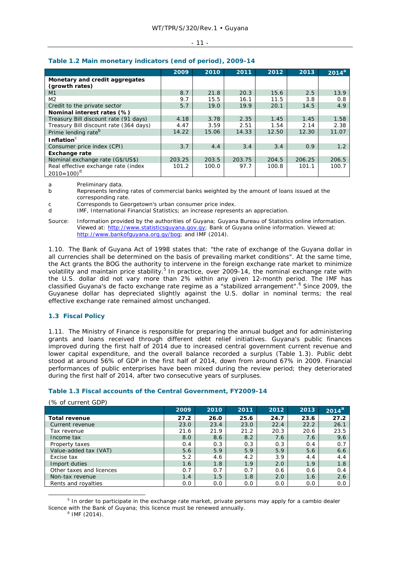#### - 11 -

|                                                                  | 2009   | 2010  | 2011   | 2012  | 2013   | $2014^{a}$ |
|------------------------------------------------------------------|--------|-------|--------|-------|--------|------------|
| Monetary and credit aggregates<br>(growth rates)                 |        |       |        |       |        |            |
| M1                                                               | 8.7    | 21.8  | 20.3   | 15.6  | 2.5    | 13.9       |
| M <sub>2</sub>                                                   | 9.7    | 15.5  | 16.1   | 11.5  | 3.8    | 0.8        |
| Credit to the private sector                                     | 5.7    | 19.0  | 19.9   | 20.1  | 14.5   | 4.9        |
| Nominal interest rates (%)                                       |        |       |        |       |        |            |
| Treasury Bill discount rate (91 days)                            | 4.18   | 3.78  | 2.35   | 1.45  | 1.45   | 1.58       |
| Treasury Bill discount rate (364 days)                           | 4.47   | 3.59  | 2.51   | 1.54  | 2.14   | 2.38       |
| Prime lending rate <sup>b</sup>                                  | 14.22  | 15.06 | 14.33  | 12.50 | 12.30  | 11.07      |
| Inflation <sup>c</sup>                                           |        |       |        |       |        |            |
| Consumer price index (CPI)                                       | 3.7    | 4.4   | 3.4    | 3.4   | 0.9    | 1.2        |
| <b>Exchange rate</b>                                             |        |       |        |       |        |            |
| Nominal exchange rate (G\$/US\$)                                 | 203.25 | 203.5 | 203.75 | 204.5 | 206.25 | 206.5      |
| Real effective exchange rate (index<br>$2010 = 100$ <sup>d</sup> | 101.2  | 100.0 | 97.7   | 100.8 | 101.1  | 100.7      |

### **Table 1.2 Main monetary indicators (end of period), 2009-14**

a Preliminary data.

- b Represents lending rates of commercial banks weighted by the amount of loans issued at the corresponding rate.
- c Corresponds to Georgetown's urban consumer price index.
- d IMF, International Financial Statistics; an increase represents an appreciation.
- Source: Information provided by the authorities of Guyana; Guyana Bureau of Statistics online information. Viewed at: http://www.statisticsguyana.gov.gy; Bank of Guyana online information. Viewed at: http://www.bankofguyana.org.gy/bog; and IMF (2014).

1.10. The Bank of Guyana Act of 1998 states that: "the rate of exchange of the Guyana dollar in all currencies shall be determined on the basis of prevailing market conditions". At the same time, the Act grants the BOG the authority to intervene in the foreign exchange rate market to minimize volatility and maintain price stability.<sup>5</sup> In practice, over 2009-14, the nominal exchange rate with the U.S. dollar did not vary more than 2% within any given 12-month period. The IMF has classified Guyana's *de facto* exchange rate regime as a "stabilized arrangement".<sup>6</sup> Since 2009, the Guyanese dollar has depreciated slightly against the U.S. dollar in nominal terms; the real effective exchange rate remained almost unchanged.

### **1.3 Fiscal Policy**

1.11. The Ministry of Finance is responsible for preparing the annual budget and for administering grants and loans received through different debt relief initiatives. Guyana's public finances improved during the first half of 2014 due to increased central government current revenue and lower capital expenditure, and the overall balance recorded a surplus (Table 1.3). Public debt stood at around 56% of GDP in the first half of 2014, down from around 67% in 2009. Financial performances of public enterprises have been mixed during the review period; they deteriorated during the first half of 2014, after two consecutive years of surpluses.

### **Table 1.3 Fiscal accounts of the Central Government, FY2009-14**

|                          | 2009 | 2010 | 2011 | 2012 | 2013 | 2014 <sup>a</sup> |
|--------------------------|------|------|------|------|------|-------------------|
| <b>Total revenue</b>     | 27.2 | 26.0 | 25.6 | 24.7 | 23.6 | 27.2              |
| Current revenue          | 23.0 | 23.4 | 23.0 | 22.4 | 22.2 | 26.1              |
| Tax revenue              | 21.6 | 21.9 | 21.2 | 20.3 | 20.6 | 23.5              |
| Income tax               | 8.0  | 8.6  | 8.2  | 7.6  | 7.6  | 9.6               |
| Property taxes           | 0.4  | 0.3  | 0.3  | 0.3  | 0.4  | 0.7               |
| Value-added tax (VAT)    | 5.6  | 5.9  | 5.9  | 5.9  | 5.6  | 6.6               |
| Excise tax               | 5.2  | 4.6  | 4.2  | 3.9  | 4.4  | 4.4               |
| Import duties            | 1.6  | 1.8  | 1.9  | 2.0  | 1.9  | 1.8               |
| Other taxes and licences | 0.7  | 0.7  | 0.7  | 0.6  | 0.6  | 0.4               |
| Non-tax revenue          | 1.4  | 1.5  | 1.8  | 2.0  | 1.6  | 2.6               |
| Rents and royalties      | 0.0  | 0.0  | 0.0  | 0.0  | 0.0  | 0.0               |

### (% of current GDP)

 $\frac{1}{5}$ <sup>5</sup> In order to participate in the exchange rate market, private persons may apply for a *cambio* dealer licence with the Bank of Guyana; this licence must be renewed annually.

 $6$  IMF (2014).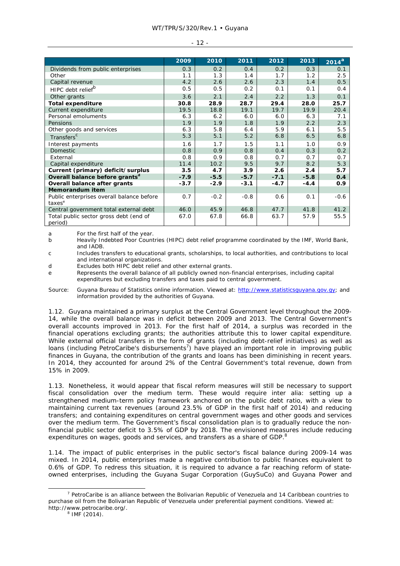#### WT/TPR/S/320/Rev.1 • Guyana

|                                                                 | 2009   | 2010   | 2011   | 2012   | 2013   | 2014 <sup>a</sup> |
|-----------------------------------------------------------------|--------|--------|--------|--------|--------|-------------------|
| Dividends from public enterprises                               | 0.3    | 0.2    | 0.4    | 0.2    | 0.3    | 0.1               |
| Other                                                           | 1.1    | 1.3    | 1.4    | 1.7    | 1.2    | 2.5               |
| Capital revenue                                                 | 4.2    | 2.6    | 2.6    | 2.3    | 1.4    | 0.5               |
| HIPC debt relief <sup>b</sup>                                   | 0.5    | 0.5    | 0.2    | 0.1    | 0.1    | 0.4               |
| Other grants                                                    | 3.6    | 2.1    | 2.4    | 2.2    | 1.3    | 0.1               |
| <b>Total expenditure</b>                                        | 30.8   | 28.9   | 28.7   | 29.4   | 28.0   | 25.7              |
| Current expenditure                                             | 19.5   | 18.8   | 19.1   | 19.7   | 19.9   | 20.4              |
| Personal emoluments                                             | 6.3    | 6.2    | 6.0    | 6.0    | 6.3    | 7.1               |
| Pensions                                                        | 1.9    | 1.9    | 1.8    | 1.9    | 2.2    | 2.3               |
| Other goods and services                                        | 6.3    | 5.8    | 6.4    | 5.9    | 6.1    | 5.5               |
| Transfers <sup>c</sup>                                          | 5.3    | 5.1    | 5.2    | 6.8    | 6.5    | 6.8               |
| Interest payments                                               | 1.6    | 1.7    | 1.5    | 1.1    | 1.0    | 0.9               |
| <b>Domestic</b>                                                 | 0.8    | 0.9    | 0.8    | 0.4    | 0.3    | 0.2               |
| External                                                        | 0.8    | 0.9    | 0.8    | 0.7    | 0.7    | 0.7               |
| Capital expenditure                                             | 11.4   | 10.2   | 9.5    | 9.7    | 8.2    | 5.3               |
| Current (primary) deficit/surplus                               | 3.5    | 4.7    | 3.9    | 2.6    | 2.4    | 5.7               |
| Overall balance before grants <sup>d</sup>                      | $-7.9$ | $-5.5$ | $-5.7$ | $-7.1$ | $-5.8$ | 0.4               |
| Overall balance after grants                                    | $-3.7$ | $-2.9$ | $-3.1$ | $-4.7$ | $-4.4$ | 0.9               |
| <b>Memorandum item</b>                                          |        |        |        |        |        |                   |
| Public enterprises overall balance before<br>taxes <sup>e</sup> | 0.7    | $-0.2$ | $-0.8$ | 0.6    | 0.1    | $-0.6$            |
| Central government total external debt                          | 46.0   | 45.9   | 46.8   | 47.7   | 41.8   | 41.2              |
| Total public sector gross debt (end of<br>period)               | 67.0   | 67.8   | 66.8   | 63.7   | 57.9   | 55.5              |

- 12 -

a For the first half of the year.<br>b Heavily Indebted Poor Count b Heavily Indebted Poor Countries (HIPC) debt relief programme coordinated by the IMF, World Bank, and IADB.

c Includes transfers to educational grants, scholarships, to local authorities, and contributions to local and international organizations.

d Excludes both HIPC debt relief and other external grants.

e Represents the overall balance of all publicly owned non-financial enterprises, including capital expenditures but excluding transfers and taxes paid to central government.

Source: Guyana Bureau of Statistics online information. Viewed at: http://www.statisticsguyana.gov.gy; and information provided by the authorities of Guyana.

1.12. Guyana maintained a primary surplus at the Central Government level throughout the 2009- 14, while the overall balance was in deficit between 2009 and 2013. The Central Government's overall accounts improved in 2013. For the first half of 2014, a surplus was recorded in the financial operations excluding grants; the authorities attribute this to lower capital expenditure. While external official transfers in the form of grants (including debt-relief initiatives) as well as loans (including PetroCaribe's disbursements<sup>7</sup>) have played an important role in improving public finances in Guyana, the contribution of the grants and loans has been diminishing in recent years. In 2014, they accounted for around 2% of the Central Government's total revenue, down from 15% in 2009.

1.13. Nonetheless, it would appear that fiscal reform measures will still be necessary to support fiscal consolidation over the medium term. These would require *inter alia*: setting up a strengthened medium-term policy framework anchored on the public debt ratio, with a view to maintaining current tax revenues (around 23.5% of GDP in the first half of 2014) and reducing transfers; and containing expenditures on central government wages and other goods and services over the medium term. The Government's fiscal consolidation plan is to gradually reduce the nonfinancial public sector deficit to 3.5% of GDP by 2018. The envisioned measures include reducing expenditures on wages, goods and services, and transfers as a share of GDP.<sup>8</sup>

1.14. The impact of public enterprises in the public sector's fiscal balance during 2009-14 was mixed. In 2014, public enterprises made a negative contribution to public finances equivalent to 0.6% of GDP. To redress this situation, it is required to advance a far reaching reform of stateowned enterprises, including the Guyana Sugar Corporation (GuySuCo) and Guyana Power and

 $8$  IMF (2014).

 $\overline{7}$  $P$  PetroCaribe is an alliance between the Bolivarian Republic of Venezuela and 14 Caribbean countries to purchase oil from the Bolivarian Republic of Venezuela under preferential payment conditions. Viewed at: http://www.petrocaribe.org/.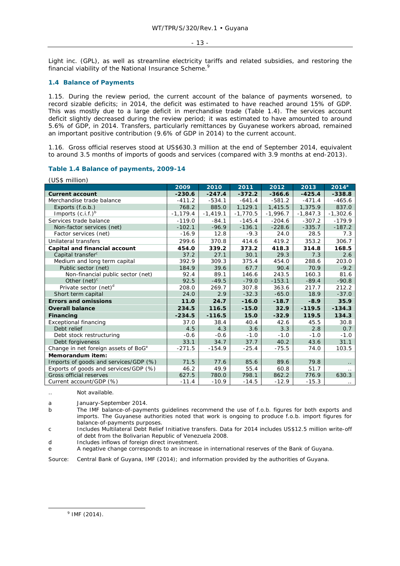#### - 13 -

Light inc. (GPL), as well as streamline electricity tariffs and related subsidies, and restoring the financial viability of the National Insurance Scheme.<sup>9</sup>

### **1.4 Balance of Payments**

 $(165 - 1)$ 

1.15. During the review period, the current account of the balance of payments worsened, to record sizable deficits; in 2014, the deficit was estimated to have reached around 15% of GDP. This was mostly due to a large deficit in merchandise trade (Table 1.4). The services account deficit slightly decreased during the review period; it was estimated to have amounted to around 5.6% of GDP, in 2014. Transfers, particularly remittances by Guyanese workers abroad, remained an important positive contribution (9.6% of GDP in 2014) to the current account.

1.16. Gross official reserves stood at US\$630.3 million at the end of September 2014, equivalent to around 3.5 months of imports of goods and services (compared with 3.9 months at end-2013).

### **Table 1.4 Balance of payments, 2009-14**

| US\$ MIIIION)                                    |            |            |            |            |            |            |
|--------------------------------------------------|------------|------------|------------|------------|------------|------------|
|                                                  | 2009       | 2010       | 2011       | 2012       | 2013       | $2014^a$   |
| <b>Current account</b>                           | $-230.6$   | $-247.4$   | $-372.2$   | $-366.6$   | $-425.4$   | $-338.8$   |
| Merchandise trade balance                        | $-411.2$   | $-534.1$   | $-641.4$   | $-581.2$   | $-471.4$   | $-465.6$   |
| Exports (f.o.b.)                                 | 768.2      | 885.0      | 1,129.1    | 1,415.5    | 1,375.9    | 837.0      |
| Imports $(c.i.f.)^b$                             | $-1,179.4$ | $-1,419.1$ | $-1,770.5$ | $-1,996.7$ | $-1,847.3$ | $-1,302.6$ |
| Services trade balance                           | $-119.0$   | $-84.1$    | $-145.4$   | $-204.6$   | $-307.2$   | $-179.9$   |
| Non-factor services (net)                        | $-102.1$   | $-96.9$    | $-136.1$   | $-228.6$   | $-335.7$   | $-187.2$   |
| Factor services (net)                            | $-16.9$    | 12.8       | $-9.3$     | 24.0       | 28.5       | 7.3        |
| Unilateral transfers                             | 299.6      | 370.8      | 414.6      | 419.2      | 353.2      | 306.7      |
| Capital and financial account                    | 454.0      | 339.2      | 373.2      | 418.3      | 314.8      | 168.5      |
| Capital transfer <sup>c</sup>                    | 37.2       | 27.1       | 30.1       | 29.3       | 7.3        | 2.6        |
| Medium and long term capital                     | 392.9      | 309.3      | 375.4      | 454.0      | 288.6      | 203.0      |
| Public sector (net)                              | 184.9      | 39.6       | 67.7       | 90.4       | 70.9       | $-9.2$     |
| Non-financial public sector (net)                | 92.4       | 89.1       | 146.6      | 243.5      | 160.3      | 81.6       |
| Other $(net)^c$                                  | 92.5       | $-49.5$    | $-79.0$    | $-153.1$   | $-89.4$    | $-90.8$    |
| Private sector (net) <sup>d</sup>                | 208.0      | 269.7      | 307.8      | 363.6      | 217.7      | 212.2      |
| Short term capital                               | 24.0       | 2.9        | $-32.3$    | $-65.0$    | 18.9       | $-37.0$    |
| <b>Errors and omissions</b>                      | 11.0       | 24.7       | $-16.0$    | $-18.7$    | $-8.9$     | 35.9       |
| <b>Overall balance</b>                           | 234.5      | 116.5      | $-15.0$    | 32.9       | $-119.5$   | $-134.3$   |
| <b>Financing</b>                                 | $-234.5$   | $-116.5$   | 15.0       | $-32.9$    | 119.5      | 134.3      |
| <b>Exceptional financing</b>                     | 37.0       | 38.4       | 40.4       | 42.6       | 45.5       | 30.8       |
| Debt relief                                      | 4.5        | 4.3        | 3.6        | 3.3        | 2.8        | 0.7        |
| Debt stock restructuring                         | $-0.6$     | $-0.6$     | $-1.0$     | $-1.0$     | $-1.0$     | $-1.0$     |
| Debt forgiveness                                 | 33.1       | 34.7       | 37.7       | 40.2       | 43.6       | 31.1       |
| Change in net foreign assets of BoG <sup>e</sup> | $-271.5$   | $-154.9$   | $-25.4$    | $-75.5$    | 74.0       | 103.5      |
| Memorandum item:                                 |            |            |            |            |            |            |
| Imports of goods and services/GDP (%)            | 71.5       | 77.6       | 85.6       | 89.6       | 79.8       |            |
| Exports of goods and services/GDP (%)            | 46.2       | 49.9       | 55.4       | 60.8       | 51.7       |            |
| Gross official reserves                          | 627.5      | 780.0      | 798.1      | 862.2      | 776.9      | 630.3      |
| Current account/GDP (%)                          | $-11.4$    | $-10.9$    | $-14.5$    | $-12.9$    | $-15.3$    |            |

.. Not available.

a January-September 2014.

b The IMF balance-of-payments guidelines recommend the use of f.o.b. figures for both exports and imports. The Guyanese authorities noted that work is ongoing to produce f.o.b. import figures for balance-of-payments purposes.

c Includes Multilateral Debt Relief Initiative transfers. Data for 2014 includes US\$12.5 million write-off of debt from the Bolivarian Republic of Venezuela 2008.

d Includes inflows of foreign direct investment.

e A negative change corresponds to an increase in international reserves of the Bank of Guyana.

Source: Central Bank of Guyana, IMF (2014); and information provided by the authorities of Guyana.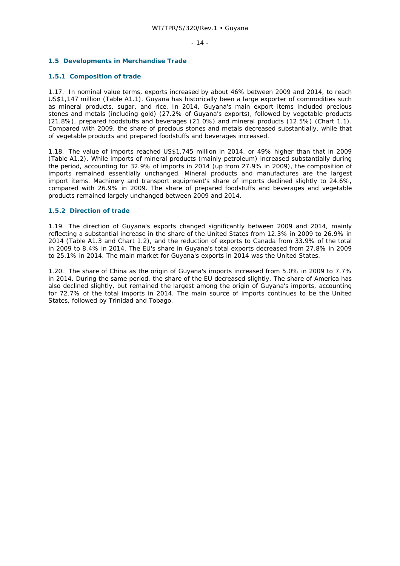### **1.5 Developments in Merchandise Trade**

### **1.5.1 Composition of trade**

1.17. In nominal value terms, exports increased by about 46% between 2009 and 2014, to reach US\$1,147 million (Table A1.1). Guyana has historically been a large exporter of commodities such as mineral products, sugar, and rice. In 2014, Guyana's main export items included precious stones and metals (including gold) (27.2% of Guyana's exports), followed by vegetable products (21.8%), prepared foodstuffs and beverages (21.0%) and mineral products (12.5%) (Chart 1.1). Compared with 2009, the share of precious stones and metals decreased substantially, while that of vegetable products and prepared foodstuffs and beverages increased.

1.18. The value of imports reached US\$1,745 million in 2014, or 49% higher than that in 2009 (Table A1.2). While imports of mineral products (mainly petroleum) increased substantially during the period, accounting for 32.9% of imports in 2014 (up from 27.9% in 2009), the composition of imports remained essentially unchanged. Mineral products and manufactures are the largest import items. Machinery and transport equipment's share of imports declined slightly to 24.6%, compared with 26.9% in 2009. The share of prepared foodstuffs and beverages and vegetable products remained largely unchanged between 2009 and 2014.

### **1.5.2 Direction of trade**

1.19. The direction of Guyana's exports changed significantly between 2009 and 2014, mainly reflecting a substantial increase in the share of the United States from 12.3% in 2009 to 26.9% in 2014 (Table A1.3 and Chart 1.2), and the reduction of exports to Canada from 33.9% of the total in 2009 to 8.4% in 2014. The EU's share in Guyana's total exports decreased from 27.8% in 2009 to 25.1% in 2014. The main market for Guyana's exports in 2014 was the United States.

1.20. The share of China as the origin of Guyana's imports increased from 5.0% in 2009 to 7.7% in 2014. During the same period, the share of the EU decreased slightly. The share of America has also declined slightly, but remained the largest among the origin of Guyana's imports, accounting for 72.7% of the total imports in 2014. The main source of imports continues to be the United States, followed by Trinidad and Tobago.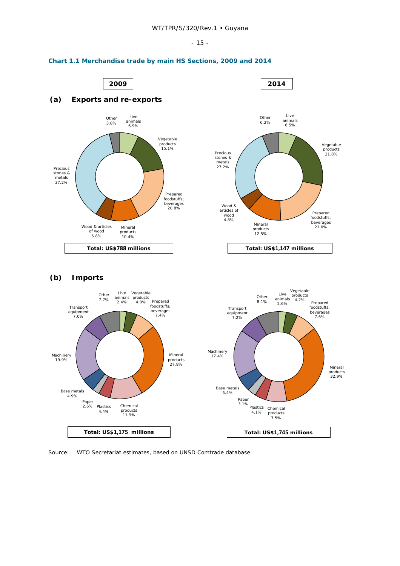#### - 15 -



**Total: US\$1,175 millions Total: US\$1,745 millions**

# **Chart 1.1 Merchandise trade by main HS Sections, 2009 and 2014**

Source: WTO Secretariat estimates, based on UNSD Comtrade database.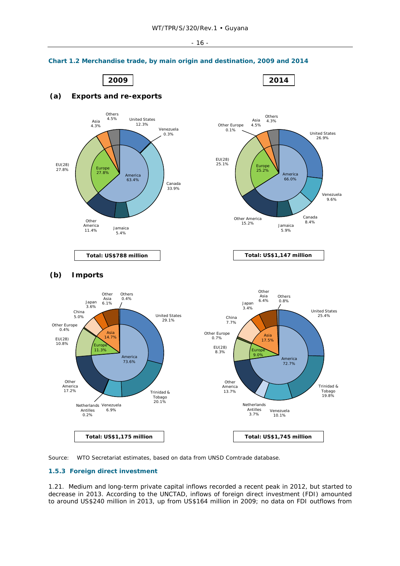**2009 2014**



# **Chart 1.2 Merchandise trade, by main origin and destination, 2009 and 2014**

**(a) Exports and re-exports**



### **1.5.3 Foreign direct investment**

1.21. Medium and long-term private capital inflows recorded a recent peak in 2012, but started to decrease in 2013. According to the UNCTAD, inflows of foreign direct investment (FDI) amounted to around US\$240 million in 2013, up from US\$164 million in 2009; no data on FDI outflows from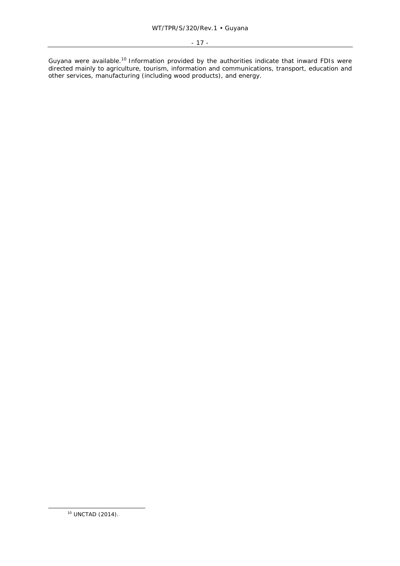Guyana were available.<sup>10</sup> Information provided by the authorities indicate that inward FDIs were directed mainly to agriculture, tourism, information and communications, transport, education and other services, manufacturing (including wood products), and energy.

 <sup>10</sup> UNCTAD (2014).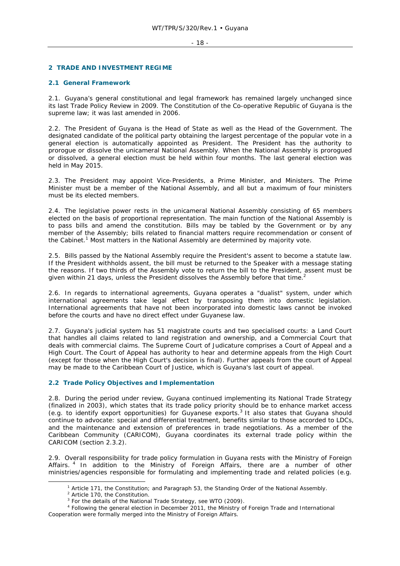#### - 18 -

### **2 TRADE AND INVESTMENT REGIME**

### **2.1 General Framework**

2.1. Guyana's general constitutional and legal framework has remained largely unchanged since its last Trade Policy Review in 2009. The Constitution of the Co-operative Republic of Guyana is the supreme law; it was last amended in 2006.

2.2. The President of Guyana is the Head of State as well as the Head of the Government. The designated candidate of the political party obtaining the largest percentage of the popular vote in a general election is automatically appointed as President. The President has the authority to prorogue or dissolve the unicameral National Assembly. When the National Assembly is prorogued or dissolved, a general election must be held within four months. The last general election was held in May 2015.

2.3. The President may appoint Vice-Presidents, a Prime Minister, and Ministers. The Prime Minister must be a member of the National Assembly, and all but a maximum of four ministers must be its elected members.

2.4. The legislative power rests in the unicameral National Assembly consisting of 65 members elected on the basis of proportional representation. The main function of the National Assembly is to pass bills and amend the constitution. Bills may be tabled by the Government or by any member of the Assembly; bills related to financial matters require recommendation or consent of the Cabinet.<sup>1</sup> Most matters in the National Assembly are determined by majority vote.

2.5. Bills passed by the National Assembly require the President's assent to become a statute law. If the President withholds assent, the bill must be returned to the Speaker with a message stating the reasons. If two thirds of the Assembly vote to return the bill to the President, assent must be given within 21 days, unless the President dissolves the Assembly before that time.<sup>2</sup>

2.6. In regards to international agreements, Guyana operates a "dualist" system, under which international agreements take legal effect by transposing them into domestic legislation. International agreements that have not been incorporated into domestic laws cannot be invoked before the courts and have no direct effect under Guyanese law.

2.7. Guyana's judicial system has 51 magistrate courts and two specialised courts: a Land Court that handles all claims related to land registration and ownership, and a Commercial Court that deals with commercial claims. The Supreme Court of Judicature comprises a Court of Appeal and a High Court. The Court of Appeal has authority to hear and determine appeals from the High Court (except for those when the High Court's decision is final). Further appeals from the court of Appeal may be made to the Caribbean Court of Justice, which is Guyana's last court of appeal.

### **2.2 Trade Policy Objectives and Implementation**

2.8. During the period under review, Guyana continued implementing its National Trade Strategy (finalized in 2003), which states that its trade policy priority should be to enhance market access (e.g. to identify export opportunities) for Guyanese exports.<sup>3</sup> It also states that Guyana should continue to advocate: special and differential treatment, benefits similar to those accorded to LDCs, and the maintenance and extension of preferences in trade negotiations. As a member of the Caribbean Community (CARICOM), Guyana coordinates its external trade policy within the CARICOM (section 2.3.2).

2.9. Overall responsibility for trade policy formulation in Guyana rests with the Ministry of Foreign Affairs. 4 In addition to the Ministry of Foreign Affairs, there are a number of other ministries/agencies responsible for formulating and implementing trade and related policies (e.g.

 $\frac{1}{1}$ <sup>1</sup> Article 171, the Constitution; and Paragraph 53, the Standing Order of the National Assembly.

<sup>&</sup>lt;sup>2</sup> Article 170, the Constitution.

<sup>&</sup>lt;sup>3</sup> For the details of the National Trade Strategy, see WTO (2009).

<sup>4</sup> Following the general election in December 2011, the Ministry of Foreign Trade and International Cooperation were formally merged into the Ministry of Foreign Affairs.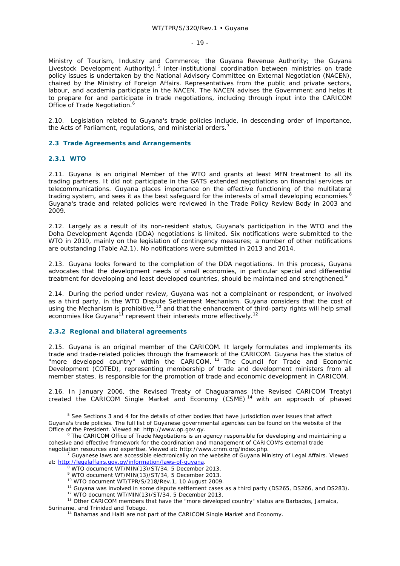#### - 19 -

Ministry of Tourism, Industry and Commerce; the Guyana Revenue Authority; the Guyana Livestock Development Authority).<sup>5</sup> Inter-institutional coordination between ministries on trade policy issues is undertaken by the National Advisory Committee on External Negotiation (NACEN), chaired by the Ministry of Foreign Affairs. Representatives from the public and private sectors, labour, and academia participate in the NACEN. The NACEN advises the Government and helps it to prepare for and participate in trade negotiations, including through input into the CARICOM Office of Trade Negotiation.<sup>6</sup>

2.10. Legislation related to Guyana's trade policies include, in descending order of importance, the Acts of Parliament, regulations, and ministerial orders.<sup>7</sup>

### **2.3 Trade Agreements and Arrangements**

### **2.3.1 WTO**

2.11. Guyana is an original Member of the WTO and grants at least MFN treatment to all its trading partners. It did not participate in the GATS extended negotiations on financial services or telecommunications. Guyana places importance on the effective functioning of the multilateral trading system, and sees it as the best safeguard for the interests of small developing economies.<sup>8</sup> Guyana's trade and related policies were reviewed in the Trade Policy Review Body in 2003 and 2009.

2.12. Largely as a result of its non-resident status, Guyana's participation in the WTO and the Doha Development Agenda (DDA) negotiations is limited. Six notifications were submitted to the WTO in 2010, mainly on the legislation of contingency measures; a number of other notifications are outstanding (Table A2.1). No notifications were submitted in 2013 and 2014.

2.13. Guyana looks forward to the completion of the DDA negotiations. In this process, Guyana advocates that the development needs of small economies, in particular special and differential treatment for developing and least developed countries, should be maintained and strengthened.<sup>9</sup>

2.14. During the period under review, Guyana was not a complainant or respondent, or involved as a third party, in the WTO Dispute Settlement Mechanism. Guyana considers that the cost of using the Mechanism is prohibitive,<sup>10</sup> and that the enhancement of third-party rights will help small economies like Guyana<sup>11</sup> represent their interests more effectively.<sup>12</sup>

### **2.3.2 Regional and bilateral agreements**

2.15. Guyana is an original member of the CARICOM. It largely formulates and implements its trade and trade-related policies through the framework of the CARICOM. Guyana has the status of "more developed country" within the CARICOM.<sup>13</sup> The Council for Trade and Economic Development (COTED), representing membership of trade and development ministers from all member states, is responsible for the promotion of trade and economic development in CARICOM.

2.16. In January 2006, the Revised Treaty of Chaguaramas (the Revised CARICOM Treaty) created the CARICOM Single Market and Economy (CSME)<sup>14</sup> with an approach of phased

 $\frac{1}{5}$ <sup>5</sup> See Sections 3 and 4 for the details of other bodies that have jurisdiction over issues that affect Guyana's trade policies. The full list of Guyanese governmental agencies can be found on the website of the Office of the President. Viewed at: http://www.op.gov.gy. 6

The CARICOM Office of Trade Negotiations is an agency responsible for developing and maintaining a cohesive and effective framework for the coordination and management of CARICOM's external trade negotiation resources and expertise. Viewed at: http://www.crnm.org/index.php. 7

 $\textsuperscript{7}$  Guyanese laws are accessible electronically on the website of Guyana Ministry of Legal Affairs. Viewed at: http://legalaffairs.gov.gy/information/laws-of-guyana. 8

WTO document WT/MIN(13)/ST/34, 5 December 2013.

<sup>9</sup> WTO document WT/MIN(13)/ST/34, 5 December 2013.

<sup>&</sup>lt;sup>10</sup> WTO document WT/TPR/S/218/Rev.1, 10 August 2009.<br><sup>11</sup> Guyana was involved in some dispute settlement cases as a third party (DS265, DS266, and DS283).<br><sup>12</sup> WTO document WT/MIN(13)/ST/34, 5 December 2013.<br><sup>13</sup> Other C

<sup>&</sup>lt;sup>14</sup> Bahamas and Haiti are not part of the CARICOM Single Market and Economy.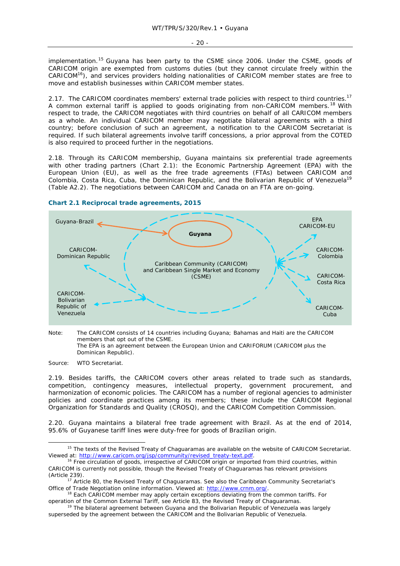implementation.<sup>15</sup> Guyana has been party to the CSME since 2006. Under the CSME, goods of CARICOM origin are exempted from customs duties (but they cannot circulate freely within the CARICOM16), and services providers holding nationalities of CARICOM member states are free to move and establish businesses within CARICOM member states.

2.17. The CARICOM coordinates members' external trade policies with respect to third countries.<sup>17</sup> A common external tariff is applied to goods originating from non-CARICOM members.<sup>18</sup> With respect to trade, the CARICOM negotiates with third countries on behalf of all CARICOM members as a whole. An individual CARICOM member may negotiate bilateral agreements with a third country; before conclusion of such an agreement, a notification to the CARICOM Secretariat is required. If such bilateral agreements involve tariff concessions, a prior approval from the COTED is also required to proceed further in the negotiations.

2.18. Through its CARICOM membership, Guyana maintains six preferential trade agreements with other trading partners (Chart 2.1): the Economic Partnership Agreement (EPA) with the European Union (EU), as well as the free trade agreements (FTAs) between CARICOM and Colombia, Costa Rica, Cuba, the Dominican Republic, and the Bolivarian Republic of Venezuela<sup>19</sup> (Table A2.2). The negotiations between CARICOM and Canada on an FTA are on-going.



### **Chart 2.1 Reciprocal trade agreements, 2015**

Note: The CARICOM consists of 14 countries including Guyana; Bahamas and Haiti are the CARICOM members that opt out of the CSME. The EPA is an agreement between the European Union and CARIFORUM (CARICOM plus the Dominican Republic).

Source: WTO Secretariat.

2.19. Besides tariffs, the CARICOM covers other areas related to trade such as standards, competition, contingency measures, intellectual property, government procurement, and harmonization of economic policies. The CARICOM has a number of regional agencies to administer policies and coordinate practices among its members; these include the CARICOM Regional Organization for Standards and Quality (CROSQ), and the CARICOM Competition Commission.

2.20. Guyana maintains a bilateral free trade agreement with Brazil. As at the end of 2014, 95.6% of Guyanese tariff lines were duty-free for goods of Brazilian origin.

<sup>&</sup>lt;sup>15</sup> The texts of the Revised Treaty of Chaguaramas are available on the website of CARICOM Secretariat.<br>Viewed at: http://www.caricom.org/jsp/community/revised treaty-text.pdf.

<sup>&</sup>lt;sup>16</sup> Free circulation of goods, irrespective of CARICOM origin or imported from third countries, within CARICOM is currently not possible, though the Revised Treaty of Chaguaramas has relevant provisions

<sup>(</sup>Article 239). 17 Article 80, the Revised Treaty of Chaguaramas. See also the Caribbean Community Secretariat's

Office of Trade Negotiation online information. Viewed at: http://www.crnm.org/.<br><sup>18</sup> Each CARICOM member may apply certain exceptions deviating from the common tariffs. For<br>operation of the Common External Tariff, see Art

 $19$  The bilateral agreement between Guyana and the Bolivarian Republic of Venezuela was largely superseded by the agreement between the CARICOM and the Bolivarian Republic of Venezuela.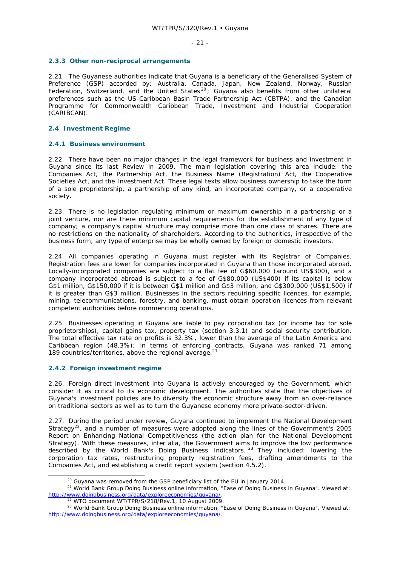### **2.3.3 Other non-reciprocal arrangements**

2.21. The Guyanese authorities indicate that Guyana is a beneficiary of the Generalised System of Preference (GSP) accorded by: Australia, Canada, Japan, New Zealand, Norway, Russian Federation, Switzerland, and the United States<sup>20</sup>; Guyana also benefits from other unilateral preferences such as the US-Caribbean Basin Trade Partnership Act (CBTPA), and the Canadian Programme for Commonwealth Caribbean Trade, Investment and Industrial Cooperation (CARIBCAN).

### **2.4 Investment Regime**

### **2.4.1 Business environment**

2.22. There have been no major changes in the legal framework for business and investment in Guyana since its last Review in 2009. The main legislation covering this area include: the Companies Act, the Partnership Act, the Business Name (Registration) Act, the Cooperative Societies Act, and the Investment Act. These legal texts allow business ownership to take the form of a sole proprietorship, a partnership of any kind, an incorporated company, or a cooperative society.

2.23. There is no legislation regulating minimum or maximum ownership in a partnership or a joint venture, nor are there minimum capital requirements for the establishment of any type of company; a company's capital structure may comprise more than one class of shares. There are no restrictions on the nationality of shareholders. According to the authorities, irrespective of the business form, any type of enterprise may be wholly owned by foreign or domestic investors.

2.24. All companies operating in Guyana must register with its Registrar of Companies. Registration fees are lower for companies incorporated in Guyana than those incorporated abroad. Locally-incorporated companies are subject to a flat fee of G\$60,000 (around US\$300), and a company incorporated abroad is subject to a fee of G\$80,000 (US\$400) if its capital is below G\$1 million, G\$150,000 if it is between G\$1 million and G\$3 million, and G\$300,000 (US\$1,500) if it is greater than G\$3 million. Businesses in the sectors requiring specific licences, for example, mining, telecommunications, forestry, and banking, must obtain operation licences from relevant competent authorities before commencing operations.

2.25. Businesses operating in Guyana are liable to pay corporation tax (or income tax for sole proprietorships), capital gains tax, property tax (section 3.3.1) and social security contribution. The total effective tax rate on profits is 32.3%, lower than the average of the Latin America and Caribbean region (48.3%); in terms of enforcing contracts, Guyana was ranked 71 among 189 countries/territories, above the regional average.<sup>21</sup>

### **2.4.2 Foreign investment regime**

2.26. Foreign direct investment into Guyana is actively encouraged by the Government, which consider it as critical to its economic development. The authorities state that the objectives of Guyana's investment policies are to diversify the economic structure away from an over-reliance on traditional sectors as well as to turn the Guyanese economy more private-sector-driven.

2.27. During the period under review, Guyana continued to implement the National Development Strategy<sup>22</sup>, and a number of measures were adopted along the lines of the Government's 2005 Report on Enhancing National Competitiveness (the action plan for the National Development Strategy). With these measures, *inter alia,* the Government aims to improve the low performance described by the World Bank's Doing Business Indicators. <sup>23</sup> They included: lowering the corporation tax rates, restructuring property registration fees, drafting amendments to the Companies Act, and establishing a credit report system (section 4.5.2).

<sup>&</sup>lt;sup>20</sup> Guyana was removed from the GSP beneficiary list of the EU in January 2014.<br><sup>21</sup> World Bank Group Doing Business online information, "Ease of Doing Business in Guyana". Viewed at: http://www.doingbusiness.org/data/exploreeconomies/guyana/.<br>22 WTO document WT/TPR/S/218/Rev.1, 10 August 2009.<br>23 World Bank Group Doing Business online information, "Ease of Doing Business in Guyana". Viewed at:

http://www.doingbusiness.org/data/exploreeconomies/guyana/.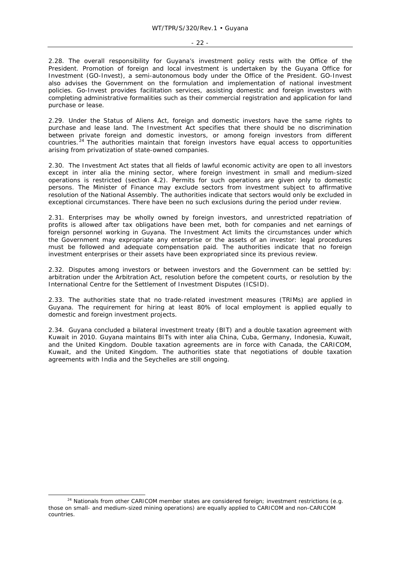#### - 22 -

2.28. The overall responsibility for Guyana's investment policy rests with the Office of the President. Promotion of foreign and local investment is undertaken by the Guyana Office for Investment (GO-Invest), a semi-autonomous body under the Office of the President. GO-Invest also advises the Government on the formulation and implementation of national investment policies. Go-Invest provides facilitation services, assisting domestic and foreign investors with completing administrative formalities such as their commercial registration and application for land purchase or lease.

2.29. Under the Status of Aliens Act, foreign and domestic investors have the same rights to purchase and lease land. The Investment Act specifies that there should be no discrimination between private foreign and domestic investors, or among foreign investors from different countries.<sup>24</sup> The authorities maintain that foreign investors have equal access to opportunities arising from privatization of state-owned companies.

2.30. The Investment Act states that all fields of lawful economic activity are open to all investors except in *inter alia* the mining sector, where foreign investment in small and medium-sized operations is restricted (section 4.2). Permits for such operations are given only to domestic persons. The Minister of Finance may exclude sectors from investment subject to affirmative resolution of the National Assembly. The authorities indicate that sectors would only be excluded in exceptional circumstances. There have been no such exclusions during the period under review.

2.31. Enterprises may be wholly owned by foreign investors, and unrestricted repatriation of profits is allowed after tax obligations have been met, both for companies and net earnings of foreign personnel working in Guyana. The Investment Act limits the circumstances under which the Government may expropriate any enterprise or the assets of an investor: legal procedures must be followed and adequate compensation paid. The authorities indicate that no foreign investment enterprises or their assets have been expropriated since its previous review.

2.32. Disputes among investors or between investors and the Government can be settled by: arbitration under the Arbitration Act, resolution before the competent courts, or resolution by the International Centre for the Settlement of Investment Disputes (ICSID).

2.33. The authorities state that no trade-related investment measures (TRIMs) are applied in Guyana. The requirement for hiring at least 80% of local employment is applied equally to domestic and foreign investment projects.

2.34. Guyana concluded a bilateral investment treaty (BIT) and a double taxation agreement with Kuwait in 2010. Guyana maintains BITs with *inter alia* China, Cuba, Germany, Indonesia, Kuwait, and the United Kingdom. Double taxation agreements are in force with Canada, the CARICOM, Kuwait, and the United Kingdom. The authorities state that negotiations of double taxation agreements with India and the Seychelles are still ongoing.

<sup>&</sup>lt;sup>24</sup> Nationals from other CARICOM member states are considered foreign; investment restrictions (e.g. those on small- and medium-sized mining operations) are equally applied to CARICOM and non-CARICOM countries.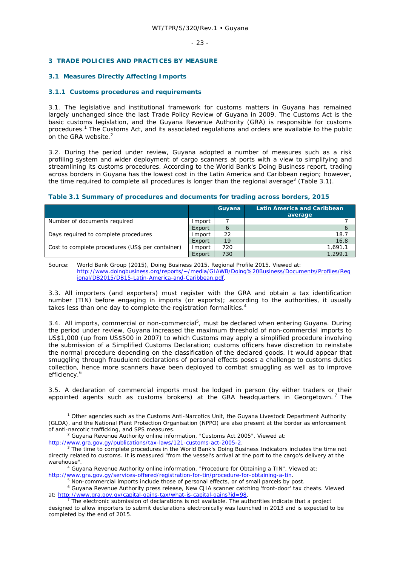### **3 TRADE POLICIES AND PRACTICES BY MEASURE**

### **3.1 Measures Directly Affecting Imports**

### **3.1.1 Customs procedures and requirements**

3.1. The legislative and institutional framework for customs matters in Guyana has remained largely unchanged since the last Trade Policy Review of Guyana in 2009. The Customs Act is the basic customs legislation, and the Guyana Revenue Authority (GRA) is responsible for customs procedures.<sup>1</sup> The Customs Act, and its associated regulations and orders are available to the public on the GRA website.<sup>2</sup>

3.2. During the period under review, Guyana adopted a number of measures such as a risk profiling system and wider deployment of cargo scanners at ports with a view to simplifying and streamlining its customs procedures. According to the World Bank's Doing Business report, trading across borders in Guyana has the lowest cost in the Latin America and Caribbean region; however, the time required to complete all procedures is longer than the regional average<sup>3</sup> (Table 3.1).

|  | Table 3.1 Summary of procedures and documents for trading across borders, 2015 |
|--|--------------------------------------------------------------------------------|
|--|--------------------------------------------------------------------------------|

|                                                  |        | Guyana | <b>Latin America and Caribbean</b> |
|--------------------------------------------------|--------|--------|------------------------------------|
|                                                  |        |        | average                            |
| Number of documents required                     | Import |        |                                    |
|                                                  | Export | 6      | O                                  |
| Days required to complete procedures             | Import | 22     | 18.7                               |
|                                                  | Export | 19     | 16.8                               |
| Cost to complete procedures (US\$ per container) | Import | 720    | 1.691.1                            |
|                                                  | Export | 730    | 1.299.1                            |

Source: World Bank Group (2015), Doing Business 2015, Regional Profile 2015. Viewed at: http://www.doingbusiness.org/reports/~/media/GIAWB/Doing%20Business/Documents/Profiles/Reg ional/DB2015/DB15-Latin-America-and-Caribbean.pdf.

3.3. All importers (and exporters) must register with the GRA and obtain a tax identification number (TIN) before engaging in imports (or exports); according to the authorities, it usually takes less than one day to complete the registration formalities.<sup>4</sup>

3.4. All imports, commercial or non-commercial<sup>5</sup>, must be declared when entering Guyana. During the period under review, Guyana increased the maximum threshold of non-commercial imports to US\$1,000 (up from US\$500 in 2007) to which Customs may apply a simplified procedure involving the submission of a Simplified Customs Declaration; customs officers have discretion to reinstate the normal procedure depending on the classification of the declared goods. It would appear that smuggling through fraudulent declarations of personal effects poses a challenge to customs duties collection, hence more scanners have been deployed to combat smuggling as well as to improve efficiency.<sup>6</sup>

3.5. A declaration of commercial imports must be lodged in person (by either traders or their appointed agents such as customs brokers) at the GRA headquarters in Georgetown.<sup>7</sup> The

<sup>2</sup> Guyana Revenue Authority online information, "Customs Act 2005". Viewed at: http://www.gra.gov.gy/publications/tax-laws/121-customs-act-2005-2.

 Guyana Revenue Authority online information, "Procedure for Obtaining a TIN". Viewed at: http://www.gra.gov.gy/services-offered/registration-for-tin/procedure-for-obtaining-a-tin. 5

 $\frac{1}{1}$  $1$  Other agencies such as the Customs Anti-Narcotics Unit, the Guyana Livestock Department Authority (GLDA), and the National Plant Protection Organisation (NPPO) are also present at the border as enforcement of anti-narcotic trafficking, and SPS measures. 2

 $3$  The time to complete procedures in the World Bank's Doing Business Indicators includes the time not directly related to customs. It is measured "from the vessel's arrival at the port to the cargo's delivery at the warehouse". 4

<sup>&</sup>lt;sup>5</sup> Non-commercial imports include those of personal effects, or of small parcels by post.

Guyana Revenue Authority press release, New CJIA scanner catching 'front-door' tax cheats. Viewed at: <u>http://www.gra.gov.gy/capital-gains-tax/what-is-capital-gains?id=98</u>.<br><sup>7</sup> The electronic submission of declarations is not available. The authorities indicate that a project

designed to allow importers to submit declarations electronically was launched in 2013 and is expected to be completed by the end of 2015.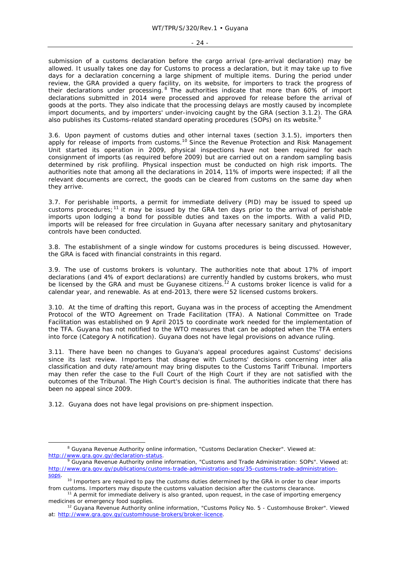#### - 24 -

submission of a customs declaration before the cargo arrival (pre-arrival declaration) may be allowed. It usually takes one day for Customs to process a declaration, but it may take up to five days for a declaration concerning a large shipment of multiple items. During the period under review, the GRA provided a query facility, on its website, for importers to track the progress of their declarations under processing. <sup>8</sup> The authorities indicate that more than 60% of import declarations submitted in 2014 were processed and approved for release before the arrival of goods at the ports. They also indicate that the processing delays are mostly caused by incomplete import documents, and by importers' under-invoicing caught by the GRA (section 3.1.2). The GRA also publishes its Customs-related standard operating procedures (SOPs) on its website.

3.6. Upon payment of customs duties and other internal taxes (section 3.1.5), importers then apply for release of imports from customs.<sup>10</sup> Since the Revenue Protection and Risk Management Unit started its operation in 2009, physical inspections have not been required for each consignment of imports (as required before 2009) but are carried out on a random sampling basis determined by risk profiling. Physical inspection must be conducted on high risk imports. The authorities note that among all the declarations in 2014, 11% of imports were inspected; if all the relevant documents are correct, the goods can be cleared from customs on the same day when they arrive.

3.7. For perishable imports, a permit for immediate delivery (PID) may be issued to speed up customs procedures;<sup>11</sup> it may be issued by the GRA ten days prior to the arrival of perishable imports upon lodging a bond for possible duties and taxes on the imports. With a valid PID, imports will be released for free circulation in Guyana after necessary sanitary and phytosanitary controls have been conducted.

3.8. The establishment of a single window for customs procedures is being discussed. However, the GRA is faced with financial constraints in this regard.

3.9. The use of customs brokers is voluntary. The authorities note that about 17% of import declarations (and 4% of export declarations) are currently handled by customs brokers, who must be licensed by the GRA and must be Guyanese citizens.<sup>12</sup> A customs broker licence is valid for a calendar year, and renewable. As at end-2013, there were 52 licensed customs brokers.

3.10. At the time of drafting this report, Guyana was in the process of accepting the Amendment Protocol of the WTO Agreement on Trade Facilitation (TFA). A National Committee on Trade Facilitation was established on 9 April 2015 to coordinate work needed for the implementation of the TFA. Guyana has not notified to the WTO measures that can be adopted when the TFA enters into force (Category A notification). Guyana does not have legal provisions on advance ruling.

3.11. There have been no changes to Guyana's appeal procedures against Customs' decisions since its last review. Importers that disagree with Customs' decisions concerning *inter alia* classification and duty rate/amount may bring disputes to the Customs Tariff Tribunal. Importers may then refer the case to the Full Court of the High Court if they are not satisfied with the outcomes of the Tribunal. The High Court's decision is final. The authorities indicate that there has been no appeal since 2009.

3.12. Guyana does not have legal provisions on pre-shipment inspection.

 <sup>8</sup> <sup>8</sup> Guyana Revenue Authority online information, "Customs Declaration Checker". Viewed at: http://www.gra.gov.gy/declaration-status

Guyana Revenue Authority online information, "Customs and Trade Administration: SOPs". Viewed at: http://www.gra.gov.gy/publications/customs-trade-administration-sops/35-customs-trade-administration-

sops.<br><sup>10</sup> Importers are required to pay the customs duties determined by the GRA in order to clear imports from customs. Importers may dispute the customs valuation decision after the customs clearance.<br><sup>11</sup> A permit for immediate delivery is also granted, upon request, in the case of importing emergency

medicines or emergency food supplies.<br><sup>12</sup> Guyana Revenue Authority online information, "Customs Policy No. 5 - Customhouse Broker". Viewed

at: http://www.gra.gov.gy/customhouse-brokers/broker-licence.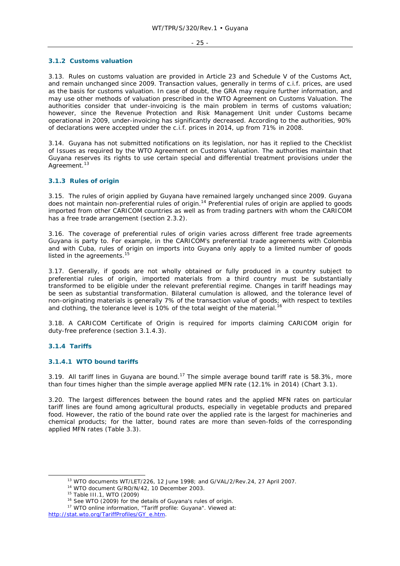#### **3.1.2 Customs valuation**

3.13. Rules on customs valuation are provided in Article 23 and Schedule V of the Customs Act, and remain unchanged since 2009. Transaction values, generally in terms of c.i.f. prices, are used as the basis for customs valuation. In case of doubt, the GRA may require further information, and may use other methods of valuation prescribed in the WTO Agreement on Customs Valuation. The authorities consider that under-invoicing is the main problem in terms of customs valuation; however, since the Revenue Protection and Risk Management Unit under Customs became operational in 2009, under-invoicing has significantly decreased. According to the authorities, 90% of declarations were accepted under the c.i.f. prices in 2014, up from 71% in 2008.

3.14. Guyana has not submitted notifications on its legislation, nor has it replied to the Checklist of Issues as required by the WTO Agreement on Customs Valuation. The authorities maintain that Guyana reserves its rights to use certain special and differential treatment provisions under the Agreement.<sup>13</sup>

### **3.1.3 Rules of origin**

3.15. The rules of origin applied by Guyana have remained largely unchanged since 2009. Guyana does not maintain non-preferential rules of origin.14 Preferential rules of origin are applied to goods imported from other CARICOM countries as well as from trading partners with whom the CARICOM has a free trade arrangement (section 2.3.2).

3.16. The coverage of preferential rules of origin varies across different free trade agreements Guyana is party to. For example, in the CARICOM's preferential trade agreements with Colombia and with Cuba, rules of origin on imports into Guyana only apply to a limited number of goods listed in the agreements.<sup>15</sup>

3.17. Generally, if goods are not wholly obtained or fully produced in a country subject to preferential rules of origin, imported materials from a third country must be substantially transformed to be eligible under the relevant preferential regime. Changes in tariff headings may be seen as substantial transformation. Bilateral cumulation is allowed, and the tolerance level of non-originating materials is generally 7% of the transaction value of goods; with respect to textiles and clothing, the tolerance level is 10% of the total weight of the material.<sup>16</sup>

3.18. A CARICOM Certificate of Origin is required for imports claiming CARICOM origin for duty-free preference (section 3.1.4.3).

### **3.1.4 Tariffs**

### **3.1.4.1 WTO bound tariffs**

3.19. All tariff lines in Guyana are bound.<sup>17</sup> The simple average bound tariff rate is 58.3%, more than four times higher than the simple average applied MFN rate (12.1% in 2014) (Chart 3.1).

3.20. The largest differences between the bound rates and the applied MFN rates on particular tariff lines are found among agricultural products, especially in vegetable products and prepared food. However, the ratio of the bound rate over the applied rate is the largest for machineries and chemical products; for the latter, bound rates are more than seven-folds of the corresponding applied MFN rates (Table 3.3).

<sup>&</sup>lt;sup>13</sup> WTO documents WT/LET/226, 12 June 1998; and G/VAL/2/Rev.24, 27 April 2007.<br><sup>14</sup> WTO document G/RO/N/42, 10 December 2003.<br><sup>15</sup> Table III.1, WTO (2009)<br><sup>16</sup> See WTO (2009) for the details of Guyana's rules of origin.<br>

http://stat.wto.org/TariffProfiles/GY\_e.htm.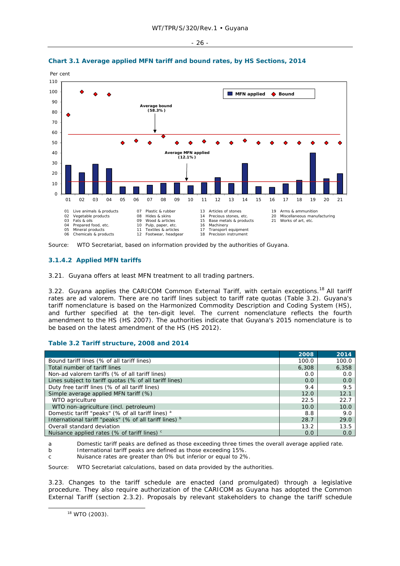- 26 -





### **3.1.4.2 Applied MFN tariffs**

3.21. Guyana offers at least MFN treatment to all trading partners.

3.22. Guyana applies the CARICOM Common External Tariff, with certain exceptions.<sup>18</sup> All tariff rates are *ad valorem*. There are no tariff lines subject to tariff rate quotas (Table 3.2). Guyana's tariff nomenclature is based on the Harmonized Commodity Description and Coding System (HS), and further specified at the ten-digit level. The current nomenclature reflects the fourth amendment to the HS (HS 2007). The authorities indicate that Guyana's 2015 nomenclature is to be based on the latest amendment of the HS (HS 2012).

# **Table 3.2 Tariff structure, 2008 and 2014**

|                                                         | 2008  | 2014  |
|---------------------------------------------------------|-------|-------|
| Bound tariff lines (% of all tariff lines)              | 100.0 | 100.0 |
| Total number of tariff lines                            | 6,308 | 6,358 |
| Non-ad valorem tariffs (% of all tariff lines)          | 0.0   | 0.0   |
| Lines subject to tariff quotas (% of all tariff lines)  | 0.0   | 0.0   |
| Duty free tariff lines (% of all tariff lines)          | 9.4   | 9.5   |
| Simple average applied MFN tariff (%)                   | 12.0  | 12.1  |
| WTO agriculture                                         | 22.5  | 22.7  |
| WTO non-agriculture (incl. petroleum)                   | 10.0  | 10.0  |
| Domestic tariff "peaks" (% of all tariff lines) a       | 8.8   | 9.0   |
| International tariff "peaks" (% of all tariff lines) b  | 28.7  | 29.0  |
| Overall standard deviation                              | 13.2  | 13.5  |
| Nuisance applied rates (% of tariff lines) <sup>c</sup> | 0.0   | 0.0   |

a Domestic tariff peaks are defined as those exceeding three times the overall average applied rate.

b International tariff peaks are defined as those exceeding 15%.

c Nuisance rates are greater than 0% but inferior or equal to 2%.

Source: WTO Secretariat calculations, based on data provided by the authorities.

3.23. Changes to the tariff schedule are enacted (and promulgated) through a legislative procedure. They also require authorization of the CARICOM as Guyana has adopted the Common External Tariff (section 2.3.2). Proposals by relevant stakeholders to change the tariff schedule

Source: WTO Secretariat, based on information provided by the authorities of Guyana.

 <sup>18</sup> WTO (2003).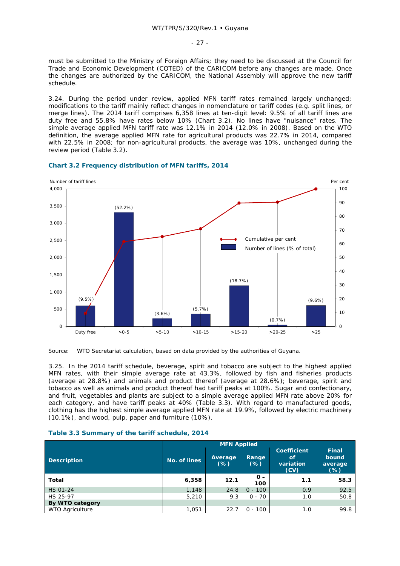must be submitted to the Ministry of Foreign Affairs; they need to be discussed at the Council for Trade and Economic Development (COTED) of the CARICOM before any changes are made. Once the changes are authorized by the CARICOM, the National Assembly will approve the new tariff schedule.

3.24. During the period under review, applied MFN tariff rates remained largely unchanged; modifications to the tariff mainly reflect changes in nomenclature or tariff codes (e.g. split lines, or merge lines). The 2014 tariff comprises 6,358 lines at ten-digit level: 9.5% of all tariff lines are duty free and 55.8% have rates below 10% (Chart 3.2). No lines have "nuisance" rates. The simple average applied MFN tariff rate was 12.1% in 2014 (12.0% in 2008). Based on the WTO definition, the average applied MFN rate for agricultural products was 22.7% in 2014, compared with 22.5% in 2008; for non-agricultural products, the average was 10%, unchanged during the review period (Table 3.2).



### **Chart 3.2 Frequency distribution of MFN tariffs, 2014**

Source: WTO Secretariat calculation, based on data provided by the authorities of Guyana.

3.25. In the 2014 tariff schedule, beverage, spirit and tobacco are subject to the highest applied MFN rates, with their simple average rate at 43.3%, followed by fish and fisheries products (average at 28.8%) and animals and product thereof (average at 28.6%); beverage, spirit and tobacco as well as animals and product thereof had tariff peaks at 100%. Sugar and confectionary, and fruit, vegetables and plants are subject to a simple average applied MFN rate above 20% for each category, and have tariff peaks at 40% (Table 3.3). With regard to manufactured goods, clothing has the highest simple average applied MFN rate at 19.9%, followed by electric machinery (10.1%), and wood, pulp, paper and furniture (10%).

|                        |              | <b>MFN Applied</b> |                 |                                               |                                            |  |  |
|------------------------|--------------|--------------------|-----------------|-----------------------------------------------|--------------------------------------------|--|--|
| <b>Description</b>     | No. of lines | Average<br>$(\%)$  | Range<br>$(\%)$ | <b>Coefficient</b><br>of<br>variation<br>(CV) | <b>Final</b><br>bound<br>average<br>$(\%)$ |  |  |
| Total                  | 6,358        | 12.1               | $0 -$<br>100    | 1.1                                           | 58.3                                       |  |  |
| <b>HS 01-24</b>        | 1,148        | 24.8               | $0 - 100$       | 0.9                                           | 92.5                                       |  |  |
| HS 25-97               | 5,210        | 9.3                | $0 - 70$        | 1.0                                           | 50.8                                       |  |  |
| By WTO category        |              |                    |                 |                                               |                                            |  |  |
| <b>WTO Agriculture</b> | 1,051        | 22.7               | $0 - 100$       | 1.0                                           | 99.8                                       |  |  |

#### **Table 3.3 Summary of the tariff schedule, 2014**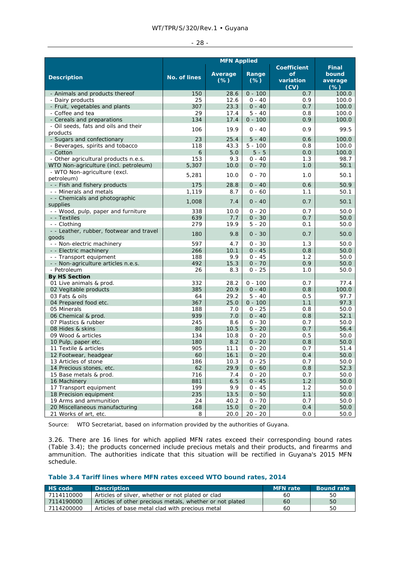| ۰. |  |
|----|--|
|----|--|

|                                                   | <b>MFN Applied</b> |                   |                 |                         |                            |  |  |  |
|---------------------------------------------------|--------------------|-------------------|-----------------|-------------------------|----------------------------|--|--|--|
|                                                   |                    |                   |                 | <b>Coefficient</b>      | <b>Final</b>               |  |  |  |
| <b>Description</b>                                | No. of lines       | Average<br>$(\%)$ | Range<br>$(\%)$ | of<br>variation<br>(CV) | bound<br>average<br>$(\%)$ |  |  |  |
| - Animals and products thereof                    | 150                | 28.6              | $0 - 100$       | 0.7                     | 100.0                      |  |  |  |
| - Dairy products                                  | 25                 | 12.6              | $0 - 40$        | 0.9                     | 100.0                      |  |  |  |
| - Fruit, vegetables and plants                    | 307                | 23.3              | $0 - 40$        | 0.7                     | 100.0                      |  |  |  |
| - Coffee and tea                                  | 29                 | 17.4              | $5 - 40$        | 0.8                     | 100.0                      |  |  |  |
| - Cereals and preparations                        | 134                | 17.4              | $0 - 100$       | 0.9                     | 100.0                      |  |  |  |
| - Oil seeds, fats and oils and their              | 106                | 19.9              | $0 - 40$        | 0.9                     | 99.5                       |  |  |  |
| products                                          |                    |                   |                 |                         |                            |  |  |  |
| - Sugars and confectionary                        | 23                 | 25.4              | $5 - 40$        | 0.6                     | 100.0                      |  |  |  |
| - Beverages, spirits and tobacco                  | 118                | 43.3              | $5 - 100$       | 0.8                     | 100.0                      |  |  |  |
| - Cotton                                          | 6                  | 5.0               | $5 - 5$         | 0.0                     | 100.0                      |  |  |  |
| - Other agricultural products n.e.s.              | 153                | 9.3               | $0 - 40$        | 1.3                     | 98.7                       |  |  |  |
| WTO Non-agriculture (incl. petroleum)             | 5,307              | 10.0              | $0 - 70$        | 1.0                     | 50.1                       |  |  |  |
| - WTO Non-agriculture (excl.                      | 5,281              | 10.0              | $0 - 70$        | 1.0                     | 50.1                       |  |  |  |
| petroleum)                                        |                    |                   |                 |                         |                            |  |  |  |
| - - Fish and fishery products                     | 175                | 28.8              | $0 - 40$        | 0.6                     | 50.9                       |  |  |  |
| - - Minerals and metals                           | 1,119              | 8.7               | $0 - 60$        | 1.1                     | 50.1                       |  |  |  |
| - - Chemicals and photographic<br>supplies        | 1,008              | 7.4               | $0 - 40$        | 0.7                     | 50.1                       |  |  |  |
| - - Wood, pulp, paper and furniture               | 338                | 10.0              | $0 - 20$        | 0.7                     | 50.0                       |  |  |  |
| - - Textiles                                      | 639                | 7.7               | $0 - 30$        | 0.7                     | 50.0                       |  |  |  |
| - - Clothing                                      | 279                | 19.9              | $5 - 20$        | 0.1                     | 50.0                       |  |  |  |
| - - Leather, rubber, footwear and travel<br>goods | 180                | 9.8               | $0 - 30$        | 0.7                     | 50.0                       |  |  |  |
| - - Non-electric machinery                        | 597                | 4.7               | $0 - 30$        | 1.3                     | 50.0                       |  |  |  |
| - - Electric machinery                            | 266                | 10.1              | $0 - 45$        | 0.8                     | 50.0                       |  |  |  |
| - - Transport equipment                           | 188                | 9.9               | $0 - 45$        | 1.2                     | 50.0                       |  |  |  |
| - - Non-agriculture articles n.e.s.               | 492                | 15.3              | $0 - 70$        | 0.9                     | 50.0                       |  |  |  |
| - Petroleum                                       | 26                 | 8.3               | $0 - 25$        | 1.0                     | 50.0                       |  |  |  |
| <b>By HS Section</b>                              |                    |                   |                 |                         |                            |  |  |  |
| 01 Live animals & prod.                           | 332                | 28.2              | $0 - 100$       | 0.7                     | 77.4                       |  |  |  |
| 02 Vegitable products                             | 385                | 20.9              | $0 - 40$        | 0.8                     | 100.0                      |  |  |  |
| 03 Fats & oils                                    | 64                 | 29.2              | $5 - 40$        | 0.5                     | 97.7                       |  |  |  |
| 04 Prepared food etc.                             | 367                | 25.0              | $0 - 100$       | 1.1                     | 97.3                       |  |  |  |
| 05 Minerals                                       | 188                | 7.0               | $0 - 25$        | 0.8                     | 50.0                       |  |  |  |
| 06 Chemical & prod.                               | 939                | 7.0               | $0 - 40$        | 0.8                     | 52.1                       |  |  |  |
| 07 Plastics & rubber                              | 245                | 8.6               | $0 - 30$        | 0.7                     | 50.0                       |  |  |  |
| 08 Hides & skins                                  | 80                 | 10.5              | $5 - 20$        | 0.7                     | 56.4                       |  |  |  |
| 09 Wood & articles                                | 134                | 10.8              | $0 - 20$        | 0.5                     | 50.0                       |  |  |  |
| 10 Pulp, paper etc.                               | 180                | 8.2               | $0 - 20$        | 0.8                     | 50.0                       |  |  |  |
| 11 Textile & articles                             | 905                | 11.1              | $0 - 20$        | 0.7                     | 51.4                       |  |  |  |
| 12 Footwear, headgear                             | 60                 | 16.1              | $0 - 20$        | $0.4\,$                 | 50.0                       |  |  |  |
| 13 Articles of stone                              | 186                | 10.3              | $0 - 25$        | 0.7                     | 50.0                       |  |  |  |
| 14 Precious stones, etc.                          | 62                 | 29.9              | $0 - 60$        | 0.8                     | 52.3                       |  |  |  |
| 15 Base metals & prod.                            | 716                | 7.4               | $0 - 20$        | 0.7                     | 50.0                       |  |  |  |
| 16 Machinery                                      | 881                | 6.5               | $0 - 45$        | $1.2$                   | 50.0                       |  |  |  |
| 17 Transport equipment                            | 199                | 9.9               | $0 - 45$        | 1.2                     | 50.0                       |  |  |  |
| 18 Precision equipment                            | 235                | 13.5              | $0 - 50$        | 1.1                     | 50.0                       |  |  |  |
| 19 Arms and ammunition                            | 24                 | 40.2              | $0 - 70$        | 0.7                     | 50.0                       |  |  |  |
| 20 Miscellaneous manufacturing                    | 168                | 15.0              | $0 - 20$        | 0.4                     | 50.0                       |  |  |  |
| 21 Works of art, etc.                             | 8                  | 20.0              | $20 - 20$       | 0.0                     | 50.0                       |  |  |  |

Source: WTO Secretariat, based on information provided by the authorities of Guyana.

3.26. There are 16 lines for which applied MFN rates exceed their corresponding bound rates (Table 3.4); the products concerned include precious metals and their products, and firearms and ammunition. The authorities indicate that this situation will be rectified in Guyana's 2015 MFN schedule.

### **Table 3.4 Tariff lines where MFN rates exceed WTO bound rates, 2014**

| <b>HS</b> code | <b>Description</b>                                       | <b>MFN</b> rate | <b>Bound rate</b> |
|----------------|----------------------------------------------------------|-----------------|-------------------|
| 7114110000     | Articles of silver, whether or not plated or clad        | 60              | 50.               |
| 7114190000     | Articles of other precious metals, whether or not plated | 60              | 50                |
| 7114200000     | Articles of base metal clad with precious metal          | 60              | 50                |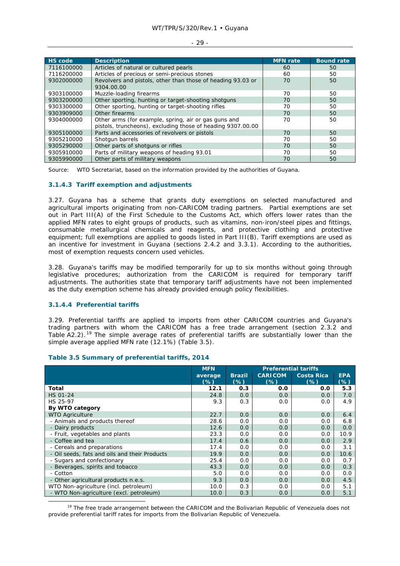| <b>HS</b> code | <b>Description</b>                                          | <b>MFN</b> rate | <b>Bound rate</b> |
|----------------|-------------------------------------------------------------|-----------------|-------------------|
| 7116100000     | Articles of natural or cultured pearls                      | 60              | 50                |
| 7116200000     | Articles of precious or semi-precious stones                | 60              | 50                |
| 9302000000     | Revolvers and pistols, other than those of heading 93.03 or | 70              | 50                |
|                | 9304.00.00                                                  |                 |                   |
| 9303100000     | Muzzle-loading firearms                                     | 70              | 50                |
| 9303200000     | Other sporting, hunting or target-shooting shotguns         | 70              | 50                |
| 9303300000     | Other sporting, hunting or target-shooting rifles           | 70              | 50                |
| 9303909000     | Other firearms                                              | 70              | 50                |
| 9304000000     | Other arms (for example, spring, air or gas guns and        | 70              | 50                |
|                | pistols, truncheons), excluding those of heading 9307.00.00 |                 |                   |
| 9305100000     | Parts and accessories of revolvers or pistols               | 70              | 50                |
| 9305210000     | Shotgun barrels                                             | 70              | 50                |
| 9305290000     | Other parts of shotguns or rifles                           | 70              | 50                |
| 9305910000     | Parts of military weapons of heading 93.01                  | 70              | 50                |
| 9305990000     | Other parts of military weapons                             | 70              | 50                |

- 29 -

Source: WTO Secretariat, based on the information provided by the authorities of Guyana.

### **3.1.4.3 Tariff exemption and adjustments**

3.27. Guyana has a scheme that grants duty exemptions on selected manufactured and agricultural imports originating from non-CARICOM trading partners. Partial exemptions are set out in Part III(A) of the First Schedule to the Customs Act, which offers lower rates than the applied MFN rates to eight groups of products, such as vitamins, non-iron/steel pipes and fittings, consumable metallurgical chemicals and reagents, and protective clothing and protective equipment; full exemptions are applied to goods listed in Part III(B). Tariff exemptions are used as an incentive for investment in Guyana (sections 2.4.2 and 3.3.1). According to the authorities, most of exemption requests concern used vehicles.

3.28. Guyana's tariffs may be modified temporarily for up to six months without going through legislative procedures; authorization from the CARICOM is required for temporary tariff adjustments. The authorities state that temporary tariff adjustments have not been implemented as the duty exemption scheme has already provided enough policy flexibilities.

# **3.1.4.4 Preferential tariffs**

3.29. Preferential tariffs are applied to imports from other CARICOM countries and Guyana's trading partners with whom the CARICOM has a free trade arrangement (section 2.3.2 and Table  $A2.2$ ).<sup>19</sup> The simple average rates of preferential tariffs are substantially lower than the simple average applied MFN rate (12.1%) (Table 3.5).

|                                               | <b>MFN</b>        | <b>Preferential tariffs</b> |                          |                             |                     |
|-----------------------------------------------|-------------------|-----------------------------|--------------------------|-----------------------------|---------------------|
|                                               | average<br>$(\%)$ | <b>Brazil</b><br>$(\%)$     | <b>CARICOM</b><br>$(\%)$ | <b>Costa Rica</b><br>$(\%)$ | <b>EPA</b><br>$(*)$ |
| Total                                         | 12.1              | 0.3                         | 0.0                      | 0.0                         | 5.3                 |
| <b>HS 01-24</b>                               | 24.8              | 0.0                         | 0.0                      | 0.0                         | 7.0                 |
| HS 25-97                                      | 9.3               | 0.3                         | 0.0                      | 0.0                         | 4.9                 |
| By WTO category                               |                   |                             |                          |                             |                     |
| <b>WTO Agriculture</b>                        | 22.7              | 0.0                         | 0.0                      | 0.0                         | 6.4                 |
| - Animals and products thereof                | 28.6              | 0.0                         | 0.0                      | 0.0                         | 6.8                 |
| - Dairy products                              | 12.6              | 0.0                         | 0.0                      | 0.0                         | 0.0                 |
| - Fruit, vegetables and plants                | 23.3              | 0.0                         | 0.0                      | 0.0                         | 10.9                |
| - Coffee and tea                              | 17.4              | 0.6                         | 0.0                      | 0.0                         | 2.9                 |
| - Cereals and preparations                    | 17.4              | 0.0                         | 0.0                      | 0.0                         | 3.1                 |
| - Oil seeds, fats and oils and their Products | 19.9              | 0.0                         | 0.0                      | 0.0                         | 10.6                |
| - Sugars and confectionary                    | 25.4              | 0.0                         | 0.0                      | 0.0                         | 0.7                 |
| - Beverages, spirits and tobacco              | 43.3              | 0.0                         | 0.0                      | 0.0                         | 0.3                 |
| - Cotton                                      | 5.0               | 0.0                         | 0.0                      | 0.0                         | 0.0                 |
| - Other agricultural products n.e.s.          | 9.3               | 0.0                         | 0.0                      | 0.0                         | 4.5                 |
| WTO Non-agriculture (incl. petroleum)         | 10.0              | 0.3                         | 0.0                      | 0.0                         | 5.1                 |
| - WTO Non-agriculture (excl. petroleum)       | 10.0              | 0.3                         | 0.0                      | 0.0                         | 5.1                 |

### **Table 3.5 Summary of preferential tariffs, 2014**

<sup>19</sup> The free trade arrangement between the CARICOM and the Bolivarian Republic of Venezuela does not provide preferential tariff rates for imports from the Bolivarian Republic of Venezuela.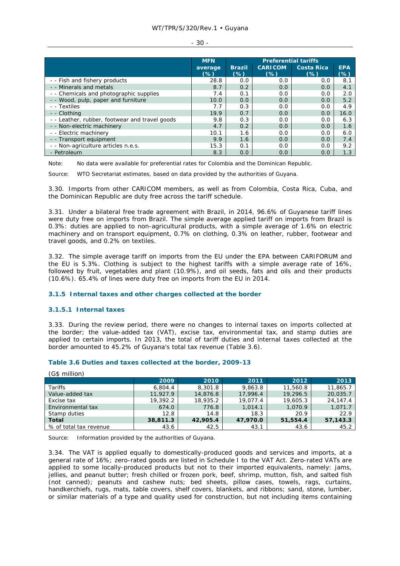#### WT/TPR/S/320/Rev.1 • Guyana

#### - 30 -

|                                                | <b>MFN</b>        |                         |                          |                             |                      |
|------------------------------------------------|-------------------|-------------------------|--------------------------|-----------------------------|----------------------|
|                                                | average<br>$(\%)$ | <b>Brazil</b><br>$(\%)$ | <b>CARICOM</b><br>$(\%)$ | <b>Costa Rica</b><br>$(\%)$ | <b>EPA</b><br>$(\%)$ |
| - - Fish and fishery products                  | 28.8              | 0.0                     | 0.0                      | 0.0                         | 8.1                  |
| - - Minerals and metals                        | 8.7               | 0.2                     | 0.0                      | 0.0                         | 4.1                  |
| - - Chemicals and photographic supplies        | 7.4               | 0.1                     | 0.0                      | 0.0                         | 2.0                  |
| - - Wood, pulp, paper and furniture            | 10.0              | 0.0                     | 0.0                      | 0.0                         | 5.2                  |
| - - Textiles                                   | 7.7               | 0.3                     | 0.0                      | 0.0                         | 4.9                  |
| - - Clothing                                   | 19.9              | 0.7                     | 0.0                      | 0.0                         | 16.0                 |
| - - Leather, rubber, footwear and travel goods | 9.8               | 0.3                     | 0.0                      | 0.0                         | 6.3                  |
| - - Non-electric machinery                     | 4.7               | 0.2                     | 0.0                      | 0.0                         | 1.6                  |
| - - Electric machinery                         | 10.1              | 1.6                     | 0.0                      | 0.0                         | 6.0                  |
| - - Transport equipment                        | 9.9               | 1.6                     | 0.0                      | 0.0                         | 7.4                  |
| - - Non-agriculture articles n.e.s.            | 15.3              | 0.1                     | 0.0                      | 0.0                         | 9.2                  |
| - Petroleum                                    | 8.3               | 0.0                     | 0.0                      | 0.0                         | 1.3                  |

Note: No data were available for preferential rates for Colombia and the Dominican Republic.

Source: WTO Secretariat estimates, based on data provided by the authorities of Guyana.

3.30. Imports from other CARICOM members, as well as from Colombia, Costa Rica, Cuba, and the Dominican Republic are duty free across the tariff schedule.

3.31. Under a bilateral free trade agreement with Brazil, in 2014, 96.6% of Guyanese tariff lines were duty free on imports from Brazil. The simple average applied tariff on imports from Brazil is 0.3%: duties are applied to non-agricultural products, with a simple average of 1.6% on electric machinery and on transport equipment, 0.7% on clothing, 0.3% on leather, rubber, footwear and travel goods, and 0.2% on textiles.

3.32. The simple average tariff on imports from the EU under the EPA between CARIFORUM and the EU is 5.3%. Clothing is subject to the highest tariffs with a simple average rate of 16%, followed by fruit, vegetables and plant (10.9%), and oil seeds, fats and oils and their products (10.6%). 65.4% of lines were duty free on imports from the EU in 2014.

### **3.1.5 Internal taxes and other charges collected at the border**

### **3.1.5.1 Internal taxes**

3.33. During the review period, there were no changes to internal taxes on imports collected at the border; the value-added tax (VAT), excise tax, environmental tax, and stamp duties are applied to certain imports. In 2013, the total of tariff duties and internal taxes collected at the border amounted to 45.2% of Guyana's total tax revenue (Table 3.6).

### **Table 3.6 Duties and taxes collected at the border, 2009-13**

| $\sqrt{2}$ $\sqrt{2}$  |          |          |          |          |          |
|------------------------|----------|----------|----------|----------|----------|
|                        | 2009     | 2010     | 2011     | 2012     | 2013     |
| Tariffs                | 6.804.4  | 8,301.8  | 9,863.8  | 11,560.8 | 11,865.7 |
| Value-added tax        | 11,927.9 | 14,876.8 | 17,996.4 | 19,296.5 | 20,035.7 |
| Excise tax             | 19,392.2 | 18,935.2 | 19,077.4 | 19,605.3 | 24,147.4 |
| Environmental tax      | 674.0    | 776.8    | 1.014.1  | 1.070.9  | 1,071.7  |
| Stamp duties           | 12.8     | 14.8     | 18.3     | 20.9     | 22.9     |
| Total                  | 38,811.3 | 42,905.4 | 47,970.0 | 51,554.4 | 57,143.3 |
| % of total tax revenue | 43.6     | 42.5     | 43.1     | 43.6     | 45.2     |

 $(C<sup>†</sup>$  million)

Source: Information provided by the authorities of Guyana.

3.34. The VAT is applied equally to domestically-produced goods and services and imports, at a general rate of 16%; zero-rated goods are listed in Schedule I to the VAT Act. Zero-rated VATs are applied to some locally-produced products but not to their imported equivalents, namely: jams, jellies, and peanut butter; fresh chilled or frozen pork, beef, shrimp, mutton, fish, and salted fish (not canned); peanuts and cashew nuts; bed sheets, pillow cases, towels, rags, curtains, handkerchiefs, rugs, mats, table covers, shelf covers, blankets, and ribbons; sand, stone, lumber, or similar materials of a type and quality used for construction, but not including items containing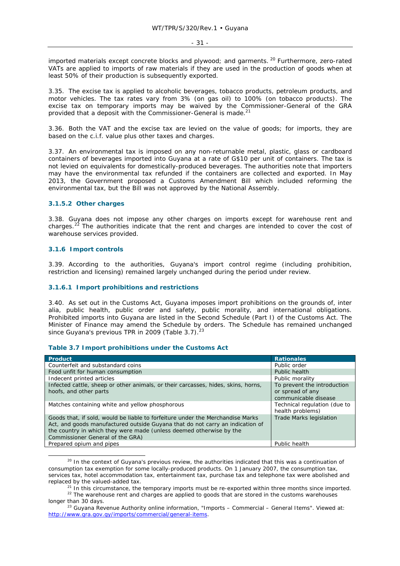imported materials except concrete blocks and plywood; and garments. <sup>20</sup> Furthermore, zero-rated VATs are applied to imports of raw materials if they are used in the production of goods when at least 50% of their production is subsequently exported.

3.35. The excise tax is applied to alcoholic beverages, tobacco products, petroleum products, and motor vehicles. The tax rates vary from 3% (on gas oil) to 100% (on tobacco products). The excise tax on temporary imports may be waived by the Commissioner-General of the GRA provided that a deposit with the Commissioner-General is made.<sup>21</sup>

3.36. Both the VAT and the excise tax are levied on the value of goods; for imports, they are based on the c.i.f. value plus other taxes and charges.

3.37. An environmental tax is imposed on any non-returnable metal, plastic, glass or cardboard containers of beverages imported into Guyana at a rate of G\$10 per unit of containers. The tax is not levied on equivalents for domestically-produced beverages. The authorities note that importers may have the environmental tax refunded if the containers are collected and exported. In May 2013, the Government proposed a Customs Amendment Bill which included reforming the environmental tax, but the Bill was not approved by the National Assembly.

### **3.1.5.2 Other charges**

3.38. Guyana does not impose any other charges on imports except for warehouse rent and charges.<sup>22</sup> The authorities indicate that the rent and charges are intended to cover the cost of warehouse services provided.

### **3.1.6 Import controls**

3.39. According to the authorities, Guyana's import control regime (including prohibition, restriction and licensing) remained largely unchanged during the period under review.

### **3.1.6.1 Import prohibitions and restrictions**

3.40. As set out in the Customs Act, Guyana imposes import prohibitions on the grounds of, *inter alia*, public health, public order and safety, public morality, and international obligations. Prohibited imports into Guyana are listed in the Second Schedule (Part I) of the Customs Act. The Minister of Finance may amend the Schedule by orders. The Schedule has remained unchanged since Guyana's previous TPR in 2009 (Table 3.7).

### **Table 3.7 Import prohibitions under the Customs Act**

| <b>Product</b>                                                                                                                                                                                                                                                             | <b>Rationales</b>                                                       |
|----------------------------------------------------------------------------------------------------------------------------------------------------------------------------------------------------------------------------------------------------------------------------|-------------------------------------------------------------------------|
| Counterfeit and substandard coins                                                                                                                                                                                                                                          | Public order                                                            |
| Food unfit for human consumption                                                                                                                                                                                                                                           | Public health                                                           |
| Indecent printed articles                                                                                                                                                                                                                                                  | Public morality                                                         |
| Infected cattle, sheep or other animals, or their carcasses, hides, skins, horns,<br>hoofs, and other parts                                                                                                                                                                | To prevent the introduction<br>or spread of any<br>communicable disease |
| Matches containing white and yellow phosphorous                                                                                                                                                                                                                            | Technical regulation (due to<br>health problems)                        |
| Goods that, if sold, would be liable to forfeiture under the Merchandise Marks<br>Act, and goods manufactured outside Guyana that do not carry an indication of<br>the country in which they were made (unless deemed otherwise by the<br>Commissioner General of the GRA) | <b>Trade Marks legislation</b>                                          |
| Prepared opium and pipes                                                                                                                                                                                                                                                   | Public health                                                           |

 $20$  In the context of Guyana's previous review, the authorities indicated that this was a continuation of consumption tax exemption for some locally-produced products. On 1 January 2007, the consumption tax, services tax, hotel accommodation tax, entertainment tax, purchase tax and telephone tax were abolished and replaced by the valued-added tax.

 $^{21}$  In this circumstance, the temporary imports must be re-exported within three months since imported.<br> $^{22}$  The warehouse rent and charges are applied to goods that are stored in the customs warehouses longer than 30 days.<br><sup>23</sup> Guyana Revenue Authority online information, "Imports – Commercial – General Items". Viewed at:

http://www.gra.gov.gy/imports/commercial/general-items.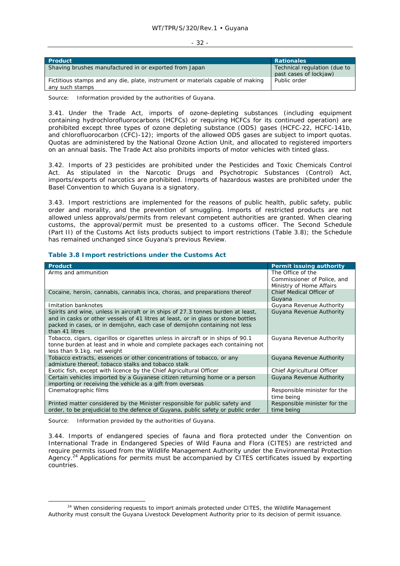#### - 32 -

| <b>Product</b>                                                                                     | <b>Rationales</b>                                      |
|----------------------------------------------------------------------------------------------------|--------------------------------------------------------|
| Shaving brushes manufactured in or exported from Japan                                             | Technical regulation (due to<br>past cases of lockjaw) |
| Fictitious stamps and any die, plate, instrument or materials capable of making<br>any such stamps | Public order                                           |

Source: Information provided by the authorities of Guyana.

3.41. Under the Trade Act, imports of ozone-depleting substances (including equipment containing hydrochlorofluorocarbons (HCFCs) or requiring HCFCs for its continued operation) are prohibited except three types of ozone depleting substance (ODS) gases (HCFC-22, HCFC-141b, and chlorofluorocarbon (CFC)-12); imports of the allowed ODS gases are subject to import quotas. Quotas are administered by the National Ozone Action Unit, and allocated to registered importers on an annual basis. The Trade Act also prohibits imports of motor vehicles with tinted glass.

3.42. Imports of 23 pesticides are prohibited under the Pesticides and Toxic Chemicals Control Act. As stipulated in the Narcotic Drugs and Psychotropic Substances (Control) Act, imports/exports of narcotics are prohibited. Imports of hazardous wastes are prohibited under the Basel Convention to which Guyana is a signatory.

3.43. Import restrictions are implemented for the reasons of public health, public safety, public order and morality, and the prevention of smuggling. Imports of restricted products are not allowed unless approvals/permits from relevant competent authorities are granted. When clearing customs, the approval/permit must be presented to a customs officer. The Second Schedule (Part II) of the Customs Act lists products subject to import restrictions (Table 3.8); the Schedule has remained unchanged since Guyana's previous Review.

| <b>Product</b>                                                                                                                                                                                                                                                        | Permit issuing authority                                                     |
|-----------------------------------------------------------------------------------------------------------------------------------------------------------------------------------------------------------------------------------------------------------------------|------------------------------------------------------------------------------|
| Arms and ammunition                                                                                                                                                                                                                                                   | The Office of the<br>Commissioner of Police, and<br>Ministry of Home Affairs |
| Cocaine, heroin, cannabis, cannabis inca, choras, and preparations thereof                                                                                                                                                                                            | Chief Medical Officer of<br>Guyana                                           |
| Imitation banknotes                                                                                                                                                                                                                                                   | Guyana Revenue Authority                                                     |
| Spirits and wine, unless in aircraft or in ships of 27.3 tonnes burden at least,<br>and in casks or other vessels of 41 litres at least, or in glass or stone bottles<br>packed in cases, or in demijohn, each case of demijohn containing not less<br>than 41 litres | Guyana Revenue Authority                                                     |
| Tobacco, cigars, cigarillos or cigarettes unless in aircraft or in ships of 90.1<br>tonne burden at least and in whole and complete packages each containing not<br>less than 9.1kg. net weight                                                                       | Guyana Revenue Authority                                                     |
| Tobacco extracts, essences or other concentrations of tobacco, or any<br>admixture thereof, tobacco stalks and tobacco stalk                                                                                                                                          | Guyana Revenue Authority                                                     |
| Exotic fish, except with licence by the Chief Agricultural Officer                                                                                                                                                                                                    | Chief Agricultural Officer                                                   |
| Certain vehicles imported by a Guyanese citizen returning home or a person<br>importing or receiving the vehicle as a gift from overseas                                                                                                                              | Guyana Revenue Authority                                                     |
| Cinematographic films                                                                                                                                                                                                                                                 | Responsible minister for the<br>time being                                   |
| Printed matter considered by the Minister responsible for public safety and<br>order, to be prejudicial to the defence of Guyana, public safety or public order                                                                                                       | Responsible minister for the<br>time being                                   |

### **Table 3.8 Import restrictions under the Customs Act**

Source: Information provided by the authorities of Guyana.

3.44. Imports of endangered species of fauna and flora protected under the Convention on International Trade in Endangered Species of Wild Fauna and Flora (CITES) are restricted and require permits issued from the Wildlife Management Authority under the Environmental Protection Agency.<sup>24</sup> Applications for permits must be accompanied by CITES certificates issued by exporting countries.

 $24$  When considering requests to import animals protected under CITES, the Wildlife Management Authority must consult the Guyana Livestock Development Authority prior to its decision of permit issuance.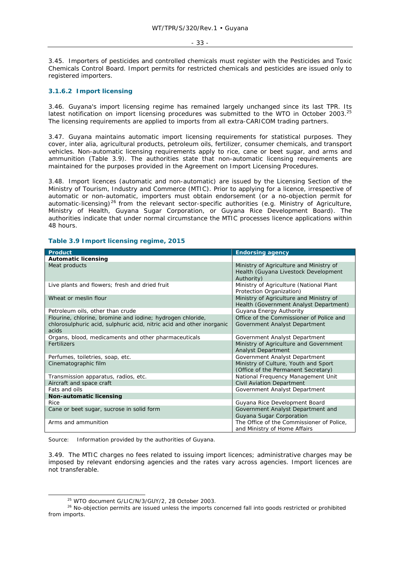#### - 33 -

3.45. Importers of pesticides and controlled chemicals must register with the Pesticides and Toxic Chemicals Control Board. Import permits for restricted chemicals and pesticides are issued only to registered importers.

### **3.1.6.2 Import licensing**

3.46. Guyana's import licensing regime has remained largely unchanged since its last TPR. Its latest notification on import licensing procedures was submitted to the WTO in October 2003.<sup>25</sup> The licensing requirements are applied to imports from all extra-CARICOM trading partners.

3.47. Guyana maintains automatic import licensing requirements for statistical purposes. They cover, *inter alia*, agricultural products, petroleum oils, fertilizer, consumer chemicals, and transport vehicles. Non-automatic licensing requirements apply to rice, cane or beet sugar, and arms and ammunition (Table 3.9). The authorities state that non-automatic licensing requirements are maintained for the purposes provided in the Agreement on Import Licensing Procedures.

3.48. Import licences (automatic and non-automatic) are issued by the Licensing Section of the Ministry of Tourism, Industry and Commerce (MTIC). Prior to applying for a licence, irrespective of automatic or non-automatic, importers must obtain endorsement (or a no-objection permit for automatic-licensing)<sup>26</sup> from the relevant sector-specific authorities (e.g. Ministry of Agriculture, Ministry of Health, Guyana Sugar Corporation, or Guyana Rice Development Board). The authorities indicate that under normal circumstance the MTIC processes licence applications within 48 hours.

| <b>Product</b>                                                                                                                               | <b>Endorsing agency</b>                                                                       |
|----------------------------------------------------------------------------------------------------------------------------------------------|-----------------------------------------------------------------------------------------------|
| <b>Automatic licensing</b>                                                                                                                   |                                                                                               |
| Meat products                                                                                                                                | Ministry of Agriculture and Ministry of<br>Health (Guyana Livestock Development<br>Authority) |
| Live plants and flowers; fresh and dried fruit                                                                                               | Ministry of Agriculture (National Plant<br>Protection Organization)                           |
| Wheat or meslin flour                                                                                                                        | Ministry of Agriculture and Ministry of<br>Health (Government Analyst Department)             |
| Petroleum oils, other than crude                                                                                                             | Guyana Energy Authority                                                                       |
| Flourine, chlorine, bromine and iodine; hydrogen chloride,<br>chlorosulphuric acid, sulphuric acid, nitric acid and other inorganic<br>acids | Office of the Commissioner of Police and<br>Government Analyst Department                     |
| Organs, blood, medicaments and other pharmaceuticals                                                                                         | Government Analyst Department                                                                 |
| Fertilizers                                                                                                                                  | Ministry of Agriculture and Government<br><b>Analyst Department</b>                           |
| Perfumes, toiletries, soap, etc.                                                                                                             | Government Analyst Department                                                                 |
| Cinematographic film                                                                                                                         | Ministry of Culture, Youth and Sport<br>(Office of the Permanent Secretary)                   |
| Transmission apparatus, radios, etc.                                                                                                         | National Frequency Management Unit                                                            |
| Aircraft and space craft                                                                                                                     | Civil Aviation Department                                                                     |
| Fats and oils                                                                                                                                | Government Analyst Department                                                                 |
| Non-automatic licensing                                                                                                                      |                                                                                               |
| Rice                                                                                                                                         | Guyana Rice Development Board                                                                 |
| Cane or beet sugar, sucrose in solid form                                                                                                    | Government Analyst Department and<br>Guyana Sugar Corporation                                 |
| Arms and ammunition                                                                                                                          | The Office of the Commissioner of Police,<br>and Ministry of Home Affairs                     |

### **Table 3.9 Import licensing regime, 2015**

Source: Information provided by the authorities of Guyana.

3.49. The MTIC charges no fees related to issuing import licences; administrative charges may be imposed by relevant endorsing agencies and the rates vary across agencies. Import licences are not transferable.

 $25$  WTO document G/LIC/N/3/GUY/2, 28 October 2003.<br>
<sup>26</sup> No-objection permits are issued unless the imports concerned fall into goods restricted or prohibited from imports.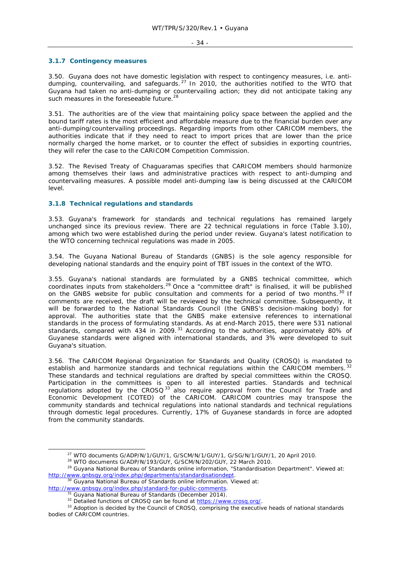#### - 34 -

#### **3.1.7 Contingency measures**

3.50. Guyana does not have domestic legislation with respect to contingency measures, i.e. antidumping, countervailing, and safeguards.<sup>27</sup> In 2010, the authorities notified to the WTO that Guyana had taken no anti-dumping or countervailing action; they did not anticipate taking any such measures in the foreseeable future.<sup>28</sup>

3.51. The authorities are of the view that maintaining policy space between the applied and the bound tariff rates is the most efficient and affordable measure due to the financial burden over any anti-dumping/countervailing proceedings. Regarding imports from other CARICOM members, the authorities indicate that if they need to react to import prices that are lower than the price normally charged the home market, or to counter the effect of subsidies in exporting countries, they will refer the case to the CARICOM Competition Commission.

3.52. The Revised Treaty of Chaguaramas specifies that CARICOM members should harmonize among themselves their laws and administrative practices with respect to anti-dumping and countervailing measures. A possible model anti-dumping law is being discussed at the CARICOM level.

### **3.1.8 Technical regulations and standards**

3.53. Guyana's framework for standards and technical regulations has remained largely unchanged since its previous review. There are 22 technical regulations in force (Table 3.10), among which two were established during the period under review. Guyana's latest notification to the WTO concerning technical regulations was made in 2005.

3.54. The Guyana National Bureau of Standards (GNBS) is the sole agency responsible for developing national standards and the enquiry point of TBT issues in the context of the WTO.

3.55. Guyana's national standards are formulated by a GNBS technical committee, which coordinates inputs from stakeholders.<sup>29</sup> Once a "committee draft" is finalised, it will be published coordinates inputs from stakeholders.<sup>29</sup> Once a "committee draft" is finalised, it will be published on the GNBS website for public consultation and comments for a period of two months. 30 If comments are received, the draft will be reviewed by the technical committee. Subsequently, it will be forwarded to the National Standards Council (the GNBS's decision-making body) for approval. The authorities state that the GNBS make extensive references to international standards in the process of formulating standards. As at end-March 2015, there were 531 national standards, compared with 434 in 2009.<sup>31</sup> According to the authorities, approximately 80% of Guyanese standards were aligned with international standards, and 3% were developed to suit Guyana's situation.

3.56. The CARICOM Regional Organization for Standards and Quality (CROSQ) is mandated to establish and harmonize standards and technical regulations within the CARICOM members.  $32$ These standards and technical regulations are drafted by special committees within the CROSQ. Participation in the committees is open to all interested parties. Standards and technical requilations adopted by the CROSQ<sup>33</sup> also require approval from the Council for Trade and Economic Development (COTED) of the CARICOM. CARICOM countries may transpose the community standards and technical regulations into national standards and technical regulations through domestic legal procedures. Currently, 17% of Guyanese standards in force are adopted from the community standards.

<sup>&</sup>lt;sup>27</sup> WTO documents G/ADP/N/1/GUY/1, G/SCM/N/1/GUY/1, G/SG/N/1/GUY/1, 20 April 2010.<br><sup>28</sup> WTO documents G/ADP/N/193/GUY, G/SCM/N/202/GUY, 22 March 2010.<br><sup>29</sup> Guyana National Bureau of Standards online information, "Standar http://www.gnbsgy.org/index.php/departments/standardisationdept. 30 Guyana National Bureau of Standards online information. Viewed at:

http://www.gnbsgy.org/index.php/standard-for-public-comments.<br><sup>31</sup> Guyana National Bureau of Standards (December 2014).<br><sup>32</sup> Detailed functions of CROSQ can be found at https://www.crosq.org/.<br><sup>33</sup> Adoption is decided by t bodies of CARICOM countries.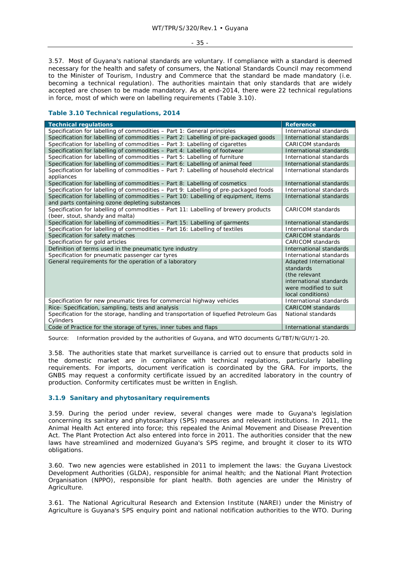- 35 -

3.57. Most of Guyana's national standards are voluntary. If compliance with a standard is deemed necessary for the health and safety of consumers, the National Standards Council may recommend to the Minister of Tourism, Industry and Commerce that the standard be made mandatory (i.e. becoming a technical regulation). The authorities maintain that only standards that are widely accepted are chosen to be made mandatory. As at end-2014, there were 22 technical regulations in force, most of which were on labelling requirements (Table 3.10).

### **Table 3.10 Technical regulations, 2014**

| <b>Technical regulations</b>                                                           | <b>Reference</b>         |
|----------------------------------------------------------------------------------------|--------------------------|
| Specification for labelling of commodities - Part 1: General principles                | International standards  |
| Specification for labelling of commodities – Part 2: Labelling of pre-packaged goods   | International standards  |
| Specification for labelling of commodities - Part 3: Labelling of cigarettes           | CARICOM standards        |
| Specification for labelling of commodities – Part 4: Labelling of footwear             | International standards  |
| Specification for labelling of commodities - Part 5: Labelling of furniture            | International standards  |
| Specification for labelling of commodities - Part 6: Labelling of animal feed          | International standards  |
| Specification for labelling of commodities - Part 7: Labelling of household electrical | International standards  |
| appliances                                                                             |                          |
| Specification for labelling of commodities - Part 8: Labelling of cosmetics            | International standards  |
| Specification for labelling of commodities - Part 9: Labelling of pre-packaged foods   | International standards  |
| Specification for labelling of commodities - Part 10: Labelling of equipment, items    | International standards  |
| and parts containing ozone depleting substances                                        |                          |
| Specification for labelling of commodities - Part 11: Labelling of brewery products    | <b>CARICOM</b> standards |
| (beer, stout, shandy and malta)                                                        |                          |
| Specification for labelling of commodities - Part 15: Labelling of garments            | International standards  |
| Specification for labelling of commodities - Part 16: Labelling of textiles            | International standards  |
| Specification for safety matches                                                       | <b>CARICOM</b> standards |
| Specification for gold articles                                                        | <b>CARICOM</b> standards |
| Definition of terms used in the pneumatic tyre industry                                | International standards  |
| Specification for pneumatic passenger car tyres                                        | International standards  |
| General requirements for the operation of a laboratory                                 | Adapted International    |
|                                                                                        | standards                |
|                                                                                        | (the relevant            |
|                                                                                        | international standards  |
|                                                                                        | were modified to suit    |
|                                                                                        | local conditions)        |
| Specification for new pneumatic tires for commercial highway vehicles                  | International standards  |
| Rice- Specification, sampling, tests and analysis                                      | <b>CARICOM</b> standards |
| Specification for the storage, handling and transportation of liquefied Petroleum Gas  | National standards       |
| Cylinders                                                                              |                          |
| Code of Practice for the storage of tyres, inner tubes and flaps                       | International standards  |

Source: Information provided by the authorities of Guyana, and WTO documents G/TBT/N/GUY/1-20.

3.58. The authorities state that market surveillance is carried out to ensure that products sold in the domestic market are in compliance with technical regulations, particularly labelling requirements. For imports, document verification is coordinated by the GRA. For imports, the GNBS may request a conformity certificate issued by an accredited laboratory in the country of production. Conformity certificates must be written in English.

### **3.1.9 Sanitary and phytosanitary requirements**

3.59. During the period under review, several changes were made to Guyana's legislation concerning its sanitary and phytosanitary (SPS) measures and relevant institutions. In 2011, the Animal Health Act entered into force; this repealed the Animal Movement and Disease Prevention Act. The Plant Protection Act also entered into force in 2011. The authorities consider that the new laws have streamlined and modernized Guyana's SPS regime, and brought it closer to its WTO obligations.

3.60. Two new agencies were established in 2011 to implement the laws: the Guyana Livestock Development Authorities (GLDA), responsible for animal health; and the National Plant Protection Organisation (NPPO), responsible for plant health. Both agencies are under the Ministry of Agriculture.

3.61. The National Agricultural Research and Extension Institute (NAREI) under the Ministry of Agriculture is Guyana's SPS enquiry point and national notification authorities to the WTO. During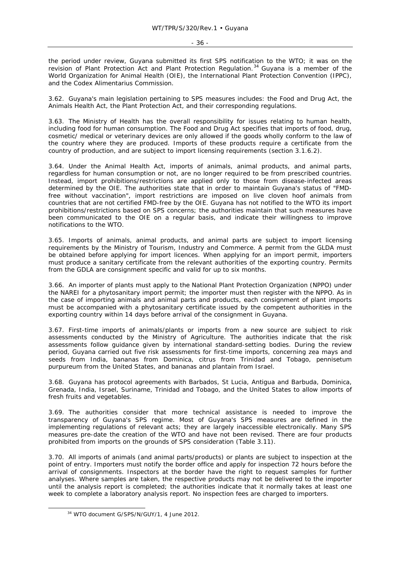the period under review, Guyana submitted its first SPS notification to the WTO; it was on the revision of Plant Protection Act and Plant Protection Regulation.<sup>34</sup> Guyana is a member of the World Organization for Animal Health (OIE), the International Plant Protection Convention (IPPC), and the Codex Alimentarius Commission.

3.62. Guyana's main legislation pertaining to SPS measures includes: the Food and Drug Act, the Animals Health Act, the Plant Protection Act, and their corresponding regulations.

3.63. The Ministry of Health has the overall responsibility for issues relating to human health, including food for human consumption. The Food and Drug Act specifies that imports of food, drug, cosmetic/ medical or veterinary devices are only allowed if the goods wholly conform to the law of the country where they are produced. Imports of these products require a certificate from the country of production, and are subject to import licensing requirements (section 3.1.6.2).

3.64. Under the Animal Health Act, imports of animals, animal products, and animal parts, regardless for human consumption or not, are no longer required to be from prescribed countries. Instead, import prohibitions/restrictions are applied only to those from disease-infected areas determined by the OIE. The authorities state that in order to maintain Guyana's status of "FMDfree without vaccination", import restrictions are imposed on live cloven hoof animals from countries that are not certified FMD-free by the OIE. Guyana has not notified to the WTO its import prohibitions/restrictions based on SPS concerns; the authorities maintain that such measures have been communicated to the OIE on a regular basis, and indicate their willingness to improve notifications to the WTO.

3.65. Imports of animals, animal products, and animal parts are subject to import licensing requirements by the Ministry of Tourism, Industry and Commerce. A permit from the GLDA must be obtained before applying for import licences. When applying for an import permit, importers must produce a sanitary certificate from the relevant authorities of the exporting country. Permits from the GDLA are consignment specific and valid for up to six months.

3.66. An importer of plants must apply to the National Plant Protection Organization (NPPO) under the NAREI for a phytosanitary import permit; the importer must then register with the NPPO. As in the case of importing animals and animal parts and products, each consignment of plant imports must be accompanied with a phytosanitary certificate issued by the competent authorities in the exporting country within 14 days before arrival of the consignment in Guyana.

3.67. First-time imports of animals/plants or imports from a new source are subject to risk assessments conducted by the Ministry of Agriculture. The authorities indicate that the risk assessments follow guidance given by international standard-setting bodies. During the review period, Guyana carried out five risk assessments for first-time imports, concerning zea mays and seeds from India, bananas from Dominica, citrus from Trinidad and Tobago, pennisetum purpureum from the United States, and bananas and plantain from Israel.

3.68. Guyana has protocol agreements with Barbados, St Lucia, Antigua and Barbuda, Dominica, Grenada, India, Israel, Suriname, Trinidad and Tobago, and the United States to allow imports of fresh fruits and vegetables.

3.69. The authorities consider that more technical assistance is needed to improve the transparency of Guyana's SPS regime. Most of Guyana's SPS measures are defined in the implementing regulations of relevant acts; they are largely inaccessible electronically. Many SPS measures pre-date the creation of the WTO and have not been revised. There are four products prohibited from imports on the grounds of SPS consideration (Table 3.11).

3.70. All imports of animals (and animal parts/products) or plants are subject to inspection at the point of entry. Importers must notify the border office and apply for inspection 72 hours before the arrival of consignments. Inspectors at the border have the right to request samples for further analyses. Where samples are taken, the respective products may not be delivered to the importer until the analysis report is completed; the authorities indicate that it normally takes at least one week to complete a laboratory analysis report. No inspection fees are charged to importers.

 <sup>34</sup> WTO document G/SPS/N/GUY/1, 4 June 2012.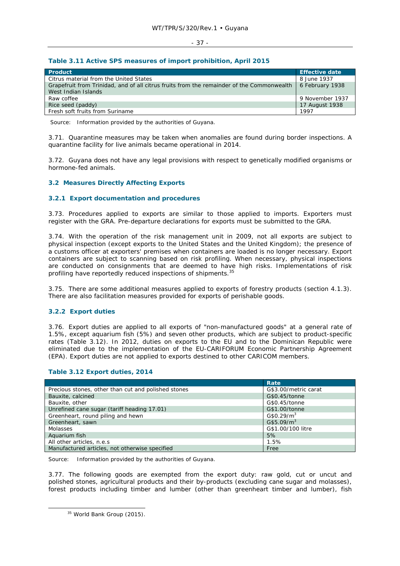#### - 37 -

#### **Table 3.11 Active SPS measures of import prohibition, April 2015**

| Product                                                                                   | <b>Effective date</b> |
|-------------------------------------------------------------------------------------------|-----------------------|
| Citrus material from the United States                                                    | 8 June 1937           |
| Grapefruit from Trinidad, and of all citrus fruits from the remainder of the Commonwealth | 6 February 1938       |
| West Indian Islands                                                                       |                       |
| Raw coffee                                                                                | 9 November 1937       |
| Rice seed (paddy)                                                                         | 17 August 1938        |
| Fresh soft fruits from Suriname                                                           | 1997                  |

Source: Information provided by the authorities of Guyana.

3.71. Quarantine measures may be taken when anomalies are found during border inspections. A quarantine facility for live animals became operational in 2014.

3.72. Guyana does not have any legal provisions with respect to genetically modified organisms or hormone-fed animals.

# **3.2 Measures Directly Affecting Exports**

#### **3.2.1 Export documentation and procedures**

3.73. Procedures applied to exports are similar to those applied to imports. Exporters must register with the GRA. Pre-departure declarations for exports must be submitted to the GRA.

3.74. With the operation of the risk management unit in 2009, not all exports are subject to physical inspection (except exports to the United States and the United Kingdom); the presence of a customs officer at exporters' premises when containers are loaded is no longer necessary. Export containers are subject to scanning based on risk profiling. When necessary, physical inspections are conducted on consignments that are deemed to have high risks. Implementations of risk profiling have reportedly reduced inspections of shipments.<sup>35</sup>

3.75. There are some additional measures applied to exports of forestry products (section 4.1.3). There are also facilitation measures provided for exports of perishable goods.

#### **3.2.2 Export duties**

3.76. Export duties are applied to all exports of "non-manufactured goods" at a general rate of 1.5%, except aquarium fish (5%) and seven other products, which are subject to product-specific rates (Table 3.12). In 2012, duties on exports to the EU and to the Dominican Republic were eliminated due to the implementation of the EU-CARIFORUM Economic Partnership Agreement (EPA). Export duties are not applied to exports destined to other CARICOM members.

|                                                     | Rate                   |
|-----------------------------------------------------|------------------------|
| Precious stones, other than cut and polished stones | G\$3.00/metric carat   |
| Bauxite, calcined                                   | G\$0.45/tonne          |
| Bauxite, other                                      | G\$0.45/tonne          |
| Unrefined cane sugar (tariff heading 17.01)         | G\$1.00/tonne          |
| Greenheart, round piling and hewn                   | G\$0.29/m <sup>3</sup> |
| Greenheart, sawn                                    | G\$5.09/m <sup>3</sup> |
| <b>Molasses</b>                                     | G\$1.00/100 litre      |
| Aquarium fish                                       | 5%                     |
| All other articles, n.e.s                           | 1.5%                   |
| Manufactured articles, not otherwise specified      | Free                   |

# **Table 3.12 Export duties, 2014**

Source: Information provided by the authorities of Guyana.

3.77. The following goods are exempted from the export duty: raw gold, cut or uncut and polished stones, agricultural products and their by-products (excluding cane sugar and molasses), forest products including timber and lumber (other than greenheart timber and lumber), fish

<sup>&</sup>lt;sup>35</sup> World Bank Group (2015).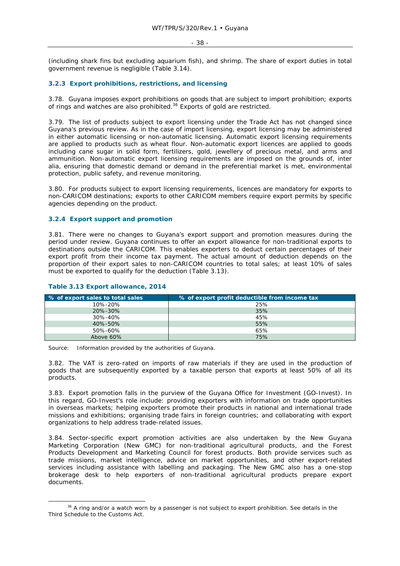#### - 38 -

(including shark fins but excluding aquarium fish), and shrimp. The share of export duties in total government revenue is negligible (Table 3.14).

# **3.2.3 Export prohibitions, restrictions, and licensing**

3.78. Guyana imposes export prohibitions on goods that are subject to import prohibition; exports of rings and watches are also prohibited.<sup>36</sup> Exports of gold are restricted.

3.79. The list of products subject to export licensing under the Trade Act has not changed since Guyana's previous review. As in the case of import licensing, export licensing may be administered in either automatic licensing or non-automatic licensing. Automatic export licensing requirements are applied to products such as wheat flour. Non-automatic export licences are applied to goods including cane sugar in solid form, fertilizers, gold, jewellery of precious metal, and arms and ammunition. Non-automatic export licensing requirements are imposed on the grounds of, *inter alia*, ensuring that domestic demand or demand in the preferential market is met, environmental protection, public safety, and revenue monitoring.

3.80. For products subject to export licensing requirements, licences are mandatory for exports to non-CARICOM destinations; exports to other CARICOM members require export permits by specific agencies depending on the product.

#### **3.2.4 Export support and promotion**

3.81. There were no changes to Guyana's export support and promotion measures during the period under review. Guyana continues to offer an export allowance for non-traditional exports to destinations outside the CARICOM. This enables exporters to deduct certain percentages of their export profit from their income tax payment. The actual amount of deduction depends on the proportion of their export sales to non-CARICOM countries to total sales; at least 10% of sales must be exported to qualify for the deduction (Table 3.13).

| % of export sales to total sales | % of export profit deductible from income tax |
|----------------------------------|-----------------------------------------------|
| 10%-20%                          | 25%                                           |
| $20\% - 30\%$                    | 35%                                           |
| 30%-40%                          | 45%                                           |
| 40%-50%                          | 55%                                           |
| 50%-60%                          | 65%                                           |
| Above 60%                        | 75%                                           |

#### **Table 3.13 Export allowance, 2014**

Source: Information provided by the authorities of Guyana.

3.82. The VAT is zero-rated on imports of raw materials if they are used in the production of goods that are subsequently exported by a taxable person that exports at least 50% of all its products.

3.83. Export promotion falls in the purview of the Guyana Office for Investment (GO-Invest). In this regard, GO-Invest's role include: providing exporters with information on trade opportunities in overseas markets; helping exporters promote their products in national and international trade missions and exhibitions; organising trade fairs in foreign countries; and collaborating with export organizations to help address trade-related issues.

3.84. Sector-specific export promotion activities are also undertaken by the New Guyana Marketing Corporation (New GMC) for non-traditional agricultural products, and the Forest Products Development and Marketing Council for forest products. Both provide services such as trade missions, market intelligence, advice on market opportunities, and other export-related services including assistance with labelling and packaging. The New GMC also has a one-stop brokerage desk to help exporters of non-traditional agricultural products prepare export documents.

<sup>&</sup>lt;sup>36</sup> A ring and/or a watch worn by a passenger is not subject to export prohibition. See details in the Third Schedule to the Customs Act.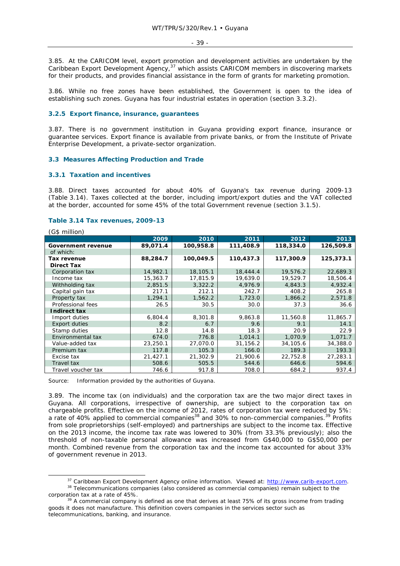3.85. At the CARICOM level, export promotion and development activities are undertaken by the Caribbean Export Development Agency,<sup>37</sup> which assists CARICOM members in discovering markets for their products, and provides financial assistance in the form of grants for marketing promotion.

3.86. While no free zones have been established, the Government is open to the idea of establishing such zones. Guyana has four industrial estates in operation (section 3.3.2).

# **3.2.5 Export finance, insurance, guarantees**

3.87. There is no government institution in Guyana providing export finance, insurance or guarantee services. Export finance is available from private banks, or from the Institute of Private Enterprise Development, a private-sector organization.

#### **3.3 Measures Affecting Production and Trade**

#### **3.3.1 Taxation and incentives**

3.88. Direct taxes accounted for about 40% of Guyana's tax revenue during 2009-13 (Table 3.14). Taxes collected at the border, including import/export duties and the VAT collected at the border, accounted for some 45% of the total Government revenue (section 3.1.5).

#### **Table 3.14 Tax revenues, 2009-13**

(G\$ million) **2009 2010 2011 2012 2013 Government revenue 89,071.4 100,958.8 111,408.9 118,334.0 126,509.8** of which: **Tax revenue 88,284.7 100,049.5 110,437.3 117,300.9 125,373.1 Direct Tax**  Corporation tax 14,982.1 18,105.1 18,444.4 19,576.2 22,689.3<br>16,363.7 17,815.9 19,639.0 19,529.7 18,506.4 Income tax 15,363.7 | 17,815.9 | 19,639.0 | 19,529.7 | 18,506.4 Withholding tax  $\begin{array}{|c|c|c|c|c|c|c|c|c|}\n\hline\n2,851.5 & 3,322.2 & 4,976.9 & 4,843.3 & 4,932.4 \\
\hline\n\text{Capital gain tax} & 217.1 & 212.1 & 242.7 & 408.2 & 265.8\n\end{array}$  Capital gain tax 217.1 212.1 242.7 408.2 265.8 Property tax 1,294.1 1,562.2 1,723.0 1,866.2 2,571.8 Professional fees 26.5 30.5 30.0 37.3 36.6  **Indirect tax**  Import duties 6,804.4 8,301.8 9,863.8 11,560.8 11,865.7 Export duties  $8.2$   $8.2$  6.7 9.6 9.1 14.1 Stamp duties 12.8 14.8 18.3 20.9 22.9 Environmental tax 674.0 776.8 1,014.1 1,070.9 1,071.7 Value-added tax 23,250.1 27,070.0 31,156.2 34,105.6 34,388.0 Premium tax 117.8 105.3 166.0 166.0 189.3 169.3 193.3 Excise tax 21,427.1 21,302.9 21,900.6 22,752.8 27,283.1 Travel tax 508.6 505.5 544.6 646.6 594.6 Travel voucher tax 746.6 917.8 708.0 684.2 937.4

Source: Information provided by the authorities of Guyana.

3.89. The income tax (on individuals) and the corporation tax are the two major direct taxes in Guyana. All corporations, irrespective of ownership, are subject to the corporation tax on chargeable profits. Effective on the income of 2012, rates of corporation tax were reduced by 5%: a rate of 40% applied to commercial companies<sup>38</sup> and 30% to non-commercial companies.<sup>39</sup> Profits from sole proprietorships (self-employed) and partnerships are subject to the income tax. Effective on the 2013 income, the income tax rate was lowered to 30% (from 33.3% previously); also the threshold of non-taxable personal allowance was increased from G\$40,000 to G\$50,000 per month. Combined revenue from the corporation tax and the income tax accounted for about 33% of government revenue in 2013.

<sup>&</sup>lt;sup>37</sup> Caribbean Export Development Agency online information. Viewed at: http://www.carib-export.com.<br><sup>38</sup> Telecommunications companies (also considered as commercial companies) remain subject to the

corporation tax at a rate of 45%.<br><sup>39</sup> A commercial company is defined as one that derives at least 75% of its gross income from trading goods it does not manufacture. This definition covers companies in the services sector such as telecommunications, banking, and insurance.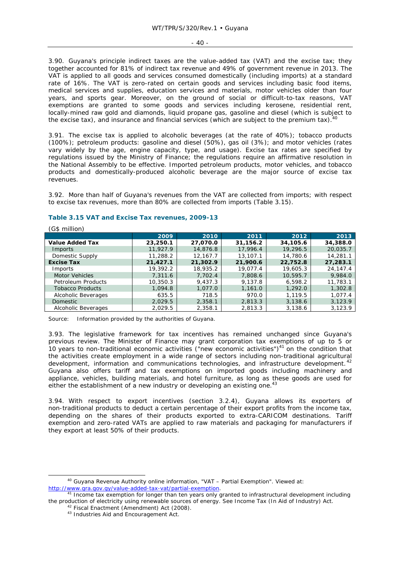#### - 40 -

3.90. Guyana's principle indirect taxes are the value-added tax (VAT) and the excise tax; they together accounted for 81% of indirect tax revenue and 49% of government revenue in 2013. The VAT is applied to all goods and services consumed domestically (including imports) at a standard rate of 16%. The VAT is zero-rated on certain goods and services including basic food items, medical services and supplies, education services and materials, motor vehicles older than four years, and sports gear. Moreover, on the ground of social or difficult-to-tax reasons, VAT exemptions are granted to some goods and services including kerosene, residential rent, locally-mined raw gold and diamonds, liquid propane gas, gasoline and diesel (which is subject to the excise tax), and insurance and financial services (which are subject to the premium tax).<sup>40</sup>

3.91. The excise tax is applied to alcoholic beverages (at the rate of 40%); tobacco products (100%); petroleum products: gasoline and diesel (50%), gas oil (3%); and motor vehicles (rates vary widely by the age, engine capacity, type, and usage). Excise tax rates are specified by regulations issued by the Ministry of Finance; the regulations require an affirmative resolution in the National Assembly to be effective. Imported petroleum products, motor vehicles, and tobacco products and domestically-produced alcoholic beverage are the major source of excise tax revenues.

3.92. More than half of Guyana's revenues from the VAT are collected from imports; with respect to excise tax revenues, more than 80% are collected from imports (Table 3.15).

| (G\$ million)           |          |          |          |          |          |
|-------------------------|----------|----------|----------|----------|----------|
|                         | 2009     | 2010     | 2011     | 2012     | 2013     |
| <b>Value Added Tax</b>  | 23,250.1 | 27,070.0 | 31,156.2 | 34,105.6 | 34,388.0 |
| <b>Imports</b>          | 11,927.9 | 14,876.8 | 17,996.4 | 19,296.5 | 20,035.7 |
| Domestic Supply         | 11,288.2 | 12,167.7 | 13,107.1 | 14,780.6 | 14,281.1 |
| <b>Excise Tax</b>       | 21,427.1 | 21,302.9 | 21,900.6 | 22,752.8 | 27,283.1 |
| <b>Imports</b>          | 19,392.2 | 18,935.2 | 19,077.4 | 19,605.3 | 24.147.4 |
| <b>Motor Vehicles</b>   | 7,311.6  | 7,702.4  | 7,808.6  | 10,595.7 | 9,984.0  |
| Petroleum Products      | 10,350.3 | 9.437.3  | 9.137.8  | 6,598.2  | 11,783.1 |
| <b>Tobacco Products</b> | 1,094.8  | 1.077.0  | 1,161.0  | 1,292.0  | 1,302.8  |
| Alcoholic Beverages     | 635.5    | 718.5    | 970.0    | 1,119.5  | 1,077.4  |
| Domestic                | 2.029.5  | 2,358.1  | 2,813.3  | 3,138.6  | 3,123.9  |
| Alcoholic Beverages     | 2.029.5  | 2,358.1  | 2,813.3  | 3,138.6  | 3.123.9  |

#### **Table 3.15 VAT and Excise Tax revenues, 2009-13**

Source: Information provided by the authorities of Guyana.

3.93. The legislative framework for tax incentives has remained unchanged since Guyana's previous review. The Minister of Finance may grant corporation tax exemptions of up to 5 or 10 years to non-traditional economic activities ("new economic activities") $41$  on the condition that the activities create employment in a wide range of sectors including non-traditional agricultural development, information and communications technologies, and infrastructure development.<sup>42</sup> Guyana also offers tariff and tax exemptions on imported goods including machinery and appliance, vehicles, building materials, and hotel furniture, as long as these goods are used for either the establishment of a new industry or developing an existing one.<sup>43</sup>

3.94. With respect to export incentives (section 3.2.4), Guyana allows its exporters of non-traditional products to deduct a certain percentage of their export profits from the income tax, depending on the shares of their products exported to extra-CARICOM destinations. Tariff exemption and zero-rated VATs are applied to raw materials and packaging for manufacturers if they export at least 50% of their products.

 <sup>40</sup> Guyana Revenue Authority online information, "VAT – Partial Exemption". Viewed at:

http://www.gra.gov.gy/value-added-tax-vat/partial-exemption. 41 Income tax exemption for longer than ten years only granted to infrastructural development including the production of electricity using renewable sources of energy. See Income Tax (In Aid of Industry) Act. 42 Fiscal Enactment (Amendment) Act (2008). 43 Industries Aid and Encouragement Act.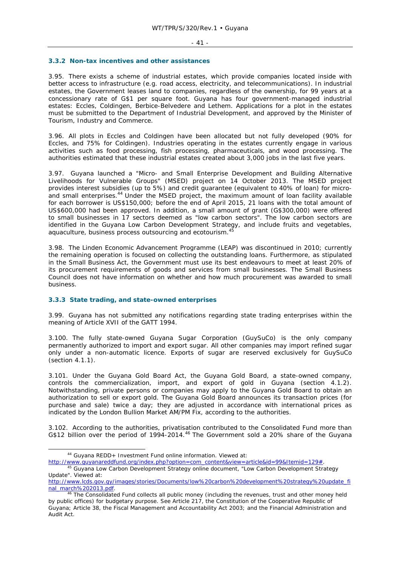#### **3.3.2 Non-tax incentives and other assistances**

3.95. There exists a scheme of industrial estates, which provide companies located inside with better access to infrastructure (e.g. road access, electricity, and telecommunications). In industrial estates, the Government leases land to companies, regardless of the ownership, for 99 years at a concessionary rate of G\$1 per square foot. Guyana has four government-managed industrial estates: Eccles, Coldingen, Berbice-Belvedere and Lethem. Applications for a plot in the estates must be submitted to the Department of Industrial Development, and approved by the Minister of Tourism, Industry and Commerce.

3.96. All plots in Eccles and Coldingen have been allocated but not fully developed (90% for Eccles, and 75% for Coldingen). Industries operating in the estates currently engage in various activities such as food processing, fish processing, pharmaceuticals, and wood processing. The authorities estimated that these industrial estates created about 3,000 jobs in the last five years.

3.97. Guyana launched a "Micro- and Small Enterprise Development and Building Alternative Livelihoods for Vulnerable Groups" (MSED) project on 14 October 2013. The MSED project provides interest subsidies (up to 5%) and credit guarantee (equivalent to 40% of loan) for microand small enterprises.<sup>44</sup> Under the MSED project, the maximum amount of loan facility available for each borrower is US\$150,000; before the end of April 2015, 21 loans with the total amount of US\$600,000 had been approved. In addition, a small amount of grant (G\$300,000) were offered to small businesses in 17 sectors deemed as "low carbon sectors". The low carbon sectors are identified in the Guyana Low Carbon Development Strategy, and include fruits and vegetables, aquaculture, business process outsourcing and ecotourism.<sup>4</sup>

3.98. The Linden Economic Advancement Programme (LEAP) was discontinued in 2010; currently the remaining operation is focused on collecting the outstanding loans. Furthermore, as stipulated in the Small Business Act, the Government must use its best endeavours to meet at least 20% of its procurement requirements of goods and services from small businesses. The Small Business Council does not have information on whether and how much procurement was awarded to small business.

# **3.3.3 State trading, and state-owned enterprises**

3.99. Guyana has not submitted any notifications regarding state trading enterprises within the meaning of Article XVII of the GATT 1994.

3.100. The fully state-owned Guyana Sugar Corporation (GuySuCo) is the only company permanently authorized to import and export sugar. All other companies may import refined sugar only under a non-automatic licence. Exports of sugar are reserved exclusively for GuySuCo (section 4.1.1).

3.101. Under the Guyana Gold Board Act, the Guyana Gold Board, a state-owned company, controls the commercialization, import, and export of gold in Guyana (section 4.1.2). Notwithstanding, private persons or companies may apply to the Guyana Gold Board to obtain an authorization to sell or export gold. The Guyana Gold Board announces its transaction prices (for purchase and sale) twice a day; they are adjusted in accordance with international prices as indicated by the London Bullion Market AM/PM Fix, according to the authorities.

3.102. According to the authorities, privatisation contributed to the Consolidated Fund more than G\$12 billion over the period of 1994-2014.<sup>46</sup> The Government sold a 20% share of the Guyana

 <sup>44</sup> Guyana REDD+ Investment Fund online information. Viewed at:

http://www.guyanareddfund.org/index.php?option=com\_content&view=article&id=99&Itemid=129#.<br><sup>45</sup> Guyana Low Carbon Development Strategy online document, "Low Carbon Development Strategy

Update". Viewed at:

http://www.lcds.gov.gy/images/stories/Documents/low%20carbon%20development%20strategy%20update\_fi nal\_march%202013.pdf.<br><sup>46</sup> The Consolidated Fund collects all public money (including the revenues, trust and other money held

by public offices) for budgetary purpose. See Article 217, the Constitution of the Cooperative Republic of Guyana; Article 38, the Fiscal Management and Accountability Act 2003; and the Financial Administration and Audit Act.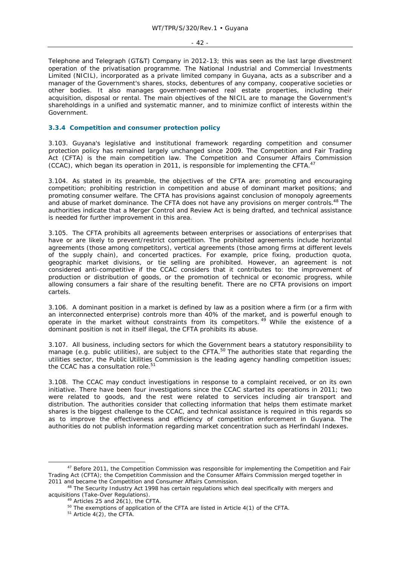#### - 42 -

Telephone and Telegraph (GT&T) Company in 2012-13; this was seen as the last large divestment operation of the privatisation programme. The National Industrial and Commercial Investments Limited (NICIL), incorporated as a private limited company in Guyana, acts as a subscriber and a manager of the Government's shares, stocks, debentures of any company, cooperative societies or other bodies. It also manages government-owned real estate properties, including their acquisition, disposal or rental. The main objectives of the NICIL are to manage the Government's shareholdings in a unified and systematic manner, and to minimize conflict of interests within the Government.

# **3.3.4 Competition and consumer protection policy**

3.103. Guyana's legislative and institutional framework regarding competition and consumer protection policy has remained largely unchanged since 2009. The Competition and Fair Trading Act (CFTA) is the main competition law. The Competition and Consumer Affairs Commission (CCAC), which began its operation in 2011, is responsible for implementing the CFTA.<sup>47</sup>

3.104. As stated in its preamble, the objectives of the CFTA are: promoting and encouraging competition; prohibiting restriction in competition and abuse of dominant market positions; and promoting consumer welfare. The CFTA has provisions against conclusion of monopoly agreements and abuse of market dominance. The CFTA does not have any provisions on merger controls.<sup>48</sup> The authorities indicate that a Merger Control and Review Act is being drafted, and technical assistance is needed for further improvement in this area.

3.105. The CFTA prohibits all agreements between enterprises or associations of enterprises that have or are likely to prevent/restrict competition. The prohibited agreements include horizontal agreements (those among competitors), vertical agreements (those among firms at different levels of the supply chain), and concerted practices. For example, price fixing, production quota, geographic market divisions, or tie selling are prohibited. However, an agreement is not considered anti-competitive if the CCAC considers that it contributes to: the improvement of production or distribution of goods, or the promotion of technical or economic progress, while allowing consumers a fair share of the resulting benefit. There are no CFTA provisions on import cartels.

3.106. A dominant position in a market is defined by law as a position where a firm (or a firm with an interconnected enterprise) controls more than 40% of the market, and is powerful enough to operate in the market without constraints from its competitors.<sup>49</sup> While the existence of a dominant position is not in itself illegal, the CFTA prohibits its abuse.

3.107. All business, including sectors for which the Government bears a statutory responsibility to manage (e.g. public utilities), are subject to the CFTA.<sup>50</sup> The authorities state that regarding the utilities sector, the Public Utilities Commission is the leading agency handling competition issues; the CCAC has a consultation role.<sup>51</sup>

3.108. The CCAC may conduct investigations in response to a complaint received, or on its own initiative. There have been four investigations since the CCAC started its operations in 2011; two were related to goods, and the rest were related to services including air transport and distribution. The authorities consider that collecting information that helps them estimate market shares is the biggest challenge to the CCAC, and technical assistance is required in this regards so as to improve the effectiveness and efficiency of competition enforcement in Guyana. The authorities do not publish information regarding market concentration such as Herfindahl Indexes.

<sup>&</sup>lt;sup>47</sup> Before 2011, the Competition Commission was responsible for implementing the Competition and Fair Trading Act (CFTA); the Competition Commission and the Consumer Affairs Commission merged together in

<sup>&</sup>lt;sup>48</sup> The Security Industry Act 1998 has certain regulations which deal specifically with mergers and acquisitions (Take-Over Regulations).<br> $\frac{49}{42}$  Articles 25 and  $\frac{2}{3}$  (4), the STT.

<sup>&</sup>lt;sup>49</sup> Articles 25 and 26(1), the CFTA.<br><sup>50</sup> The exemptions of application of the CFTA are listed in Article 4(1) of the CFTA.<br><sup>51</sup> Article 4(2), the CFTA.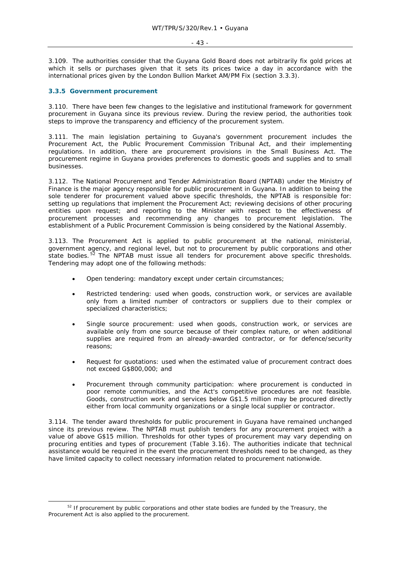#### - 43 -

3.109. The authorities consider that the Guyana Gold Board does not arbitrarily fix gold prices at which it sells or purchases given that it sets its prices twice a day in accordance with the international prices given by the London Bullion Market AM/PM Fix (section 3.3.3).

#### **3.3.5 Government procurement**

3.110. There have been few changes to the legislative and institutional framework for government procurement in Guyana since its previous review. During the review period, the authorities took steps to improve the transparency and efficiency of the procurement system.

3.111. The main legislation pertaining to Guyana's government procurement includes the Procurement Act, the Public Procurement Commission Tribunal Act, and their implementing regulations. In addition, there are procurement provisions in the Small Business Act. The procurement regime in Guyana provides preferences to domestic goods and supplies and to small businesses.

3.112. The National Procurement and Tender Administration Board (NPTAB) under the Ministry of Finance is the major agency responsible for public procurement in Guyana. In addition to being the sole tenderer for procurement valued above specific thresholds, the NPTAB is responsible for: setting up regulations that implement the Procurement Act; reviewing decisions of other procuring entities upon request; and reporting to the Minister with respect to the effectiveness of procurement processes and recommending any changes to procurement legislation. The establishment of a Public Procurement Commission is being considered by the National Assembly.

3.113. The Procurement Act is applied to public procurement at the national, ministerial, government agency, and regional level, but not to procurement by public corporations and other state bodies. 52 The NPTAB must issue all tenders for procurement above specific thresholds. Tendering may adopt one of the following methods:

- Open tendering: mandatory except under certain circumstances;
- Restricted tendering: used when goods, construction work, or services are available only from a limited number of contractors or suppliers due to their complex or specialized characteristics;
- Single source procurement: used when goods, construction work, or services are available only from one source because of their complex nature, or when additional supplies are required from an already-awarded contractor, or for defence/security reasons;
- Request for quotations: used when the estimated value of procurement contract does not exceed G\$800,000; and
- Procurement through community participation: where procurement is conducted in poor remote communities, and the Act's competitive procedures are not feasible. Goods, construction work and services below G\$1.5 million may be procured directly either from local community organizations or a single local supplier or contractor.

3.114. The tender award thresholds for public procurement in Guyana have remained unchanged since its previous review. The NPTAB must publish tenders for any procurement project with a value of above G\$15 million. Thresholds for other types of procurement may vary depending on procuring entities and types of procurement (Table 3.16). The authorities indicate that technical assistance would be required in the event the procurement thresholds need to be changed, as they have limited capacity to collect necessary information related to procurement nationwide.

 $52$  If procurement by public corporations and other state bodies are funded by the Treasury, the Procurement Act is also applied to the procurement.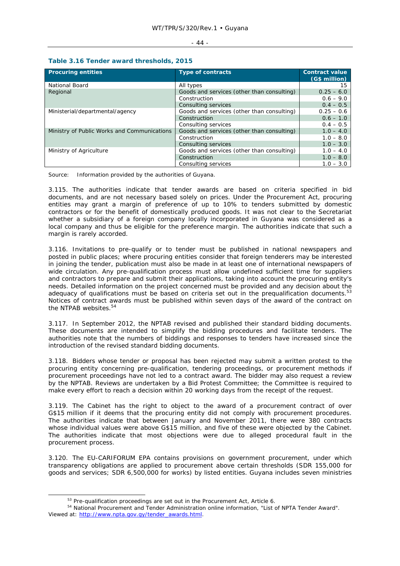| <b>Procuring entities</b>                   | <b>Type of contracts</b>                   | <b>Contract value</b><br>(G\$ million) |  |  |
|---------------------------------------------|--------------------------------------------|----------------------------------------|--|--|
| National Board                              | All types                                  | 15                                     |  |  |
| Regional                                    | Goods and services (other than consulting) | $0.25 - 6.0$                           |  |  |
|                                             | Construction                               | $0.6 - 9.0$                            |  |  |
|                                             | Consulting services                        | $0.4 - 0.5$                            |  |  |
| Ministerial/departmental/agency             | Goods and services (other than consulting) | $0.25 - 0.6$                           |  |  |
|                                             | Construction                               | $0.6 - 1.0$                            |  |  |
|                                             | Consulting services                        | $0.4 - 0.5$                            |  |  |
| Ministry of Public Works and Communications | Goods and services (other than consulting) | $1.0 - 4.0$                            |  |  |
|                                             | Construction                               | $1.0 - 8.0$                            |  |  |
|                                             | Consulting services                        | $1.0 - 3.0$                            |  |  |
| Ministry of Agriculture                     | Goods and services (other than consulting) | $1.0 - 4.0$                            |  |  |
|                                             | Construction                               | $1.0 - 8.0$                            |  |  |
|                                             | Consulting services                        | $1.0 - 3.0$                            |  |  |

Source: Information provided by the authorities of Guyana.

3.115. The authorities indicate that tender awards are based on criteria specified in bid documents, and are not necessary based solely on prices. Under the Procurement Act, procuring entities may grant a margin of preference of up to 10% to tenders submitted by domestic contractors or for the benefit of domestically produced goods. It was not clear to the Secretariat whether a subsidiary of a foreign company locally incorporated in Guyana was considered as a local company and thus be eligible for the preference margin. The authorities indicate that such a margin is rarely accorded.

3.116. Invitations to pre-qualify or to tender must be published in national newspapers and posted in public places; where procuring entities consider that foreign tenderers may be interested in joining the tender, publication must also be made in at least one of international newspapers of wide circulation. Any pre-qualification process must allow undefined sufficient time for suppliers and contractors to prepare and submit their applications, taking into account the procuring entity's needs. Detailed information on the project concerned must be provided and any decision about the adequacy of qualifications must be based on criteria set out in the prequalification documents. $53$ Notices of contract awards must be published within seven days of the award of the contract on the NTPAB websites.<sup>54</sup>

3.117. In September 2012, the NPTAB revised and published their standard bidding documents. These documents are intended to simplify the bidding procedures and facilitate tenders. The authorities note that the numbers of biddings and responses to tenders have increased since the introduction of the revised standard bidding documents.

3.118. Bidders whose tender or proposal has been rejected may submit a written protest to the procuring entity concerning pre-qualification, tendering proceedings, or procurement methods if procurement proceedings have not led to a contract award. The bidder may also request a review by the NPTAB. Reviews are undertaken by a Bid Protest Committee; the Committee is required to make every effort to reach a decision within 20 working days from the receipt of the request.

3.119. The Cabinet has the right to object to the award of a procurement contract of over G\$15 million if it deems that the procuring entity did not comply with procurement procedures. The authorities indicate that between January and November 2011, there were 380 contracts whose individual values were above G\$15 million, and five of these were objected by the Cabinet. The authorities indicate that most objections were due to alleged procedural fault in the procurement process.

3.120. The EU-CARIFORUM EPA contains provisions on government procurement, under which transparency obligations are applied to procurement above certain thresholds (SDR 155,000 for goods and services; SDR 6,500,000 for works) by listed entities. Guyana includes seven ministries

#### $- 44 -$

<sup>53</sup> Pre-qualification proceedings are set out in the Procurement Act, Article 6.<br>54 National Procurement and Tender Administration online information, "List of NPTA Tender Award". Viewed at: http://www.npta.gov.gy/tender\_awards.html.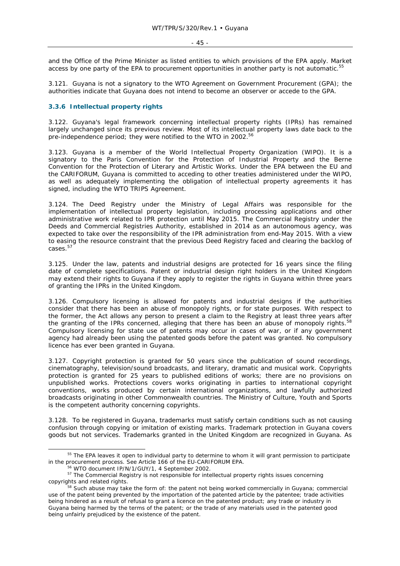and the Office of the Prime Minister as listed entities to which provisions of the EPA apply. Market access by one party of the EPA to procurement opportunities in another party is not automatic.<sup>5</sup>

3.121. Guyana is not a signatory to the WTO Agreement on Government Procurement (GPA); the authorities indicate that Guyana does not intend to become an observer or accede to the GPA.

#### **3.3.6 Intellectual property rights**

3.122. Guyana's legal framework concerning intellectual property rights (IPRs) has remained largely unchanged since its previous review. Most of its intellectual property laws date back to the pre-independence period; they were notified to the WTO in 2002.<sup>56</sup>

3.123. Guyana is a member of the World Intellectual Property Organization (WIPO). It is a signatory to the Paris Convention for the Protection of Industrial Property and the Berne Convention for the Protection of Literary and Artistic Works. Under the EPA between the EU and the CARIFORUM, Guyana is committed to acceding to other treaties administered under the WIPO, as well as adequately implementing the obligation of intellectual property agreements it has signed, including the WTO TRIPS Agreement.

3.124. The Deed Registry under the Ministry of Legal Affairs was responsible for the implementation of intellectual property legislation, including processing applications and other administrative work related to IPR protection until May 2015. The Commercial Registry under the Deeds and Commercial Registries Authority, established in 2014 as an autonomous agency, was expected to take over the responsibility of the IPR administration from end-May 2015. With a view to easing the resource constraint that the previous Deed Registry faced and clearing the backlog of cases.57

3.125. Under the law, patents and industrial designs are protected for 16 years since the filing date of complete specifications. Patent or industrial design right holders in the United Kingdom may extend their rights to Guyana if they apply to register the rights in Guyana within three years of granting the IPRs in the United Kingdom.

3.126. Compulsory licensing is allowed for patents and industrial designs if the authorities consider that there has been an abuse of monopoly rights, or for state purposes. With respect to the former, the Act allows any person to present a claim to the Registry at least three years after the granting of the IPRs concerned, alleging that there has been an abuse of monopoly rights.<sup>58</sup> Compulsory licensing for state use of patents may occur in cases of war, or if any government agency had already been using the patented goods before the patent was granted. No compulsory licence has ever been granted in Guyana.

3.127. Copyright protection is granted for 50 years since the publication of sound recordings, cinematography, television/sound broadcasts, and literary, dramatic and musical work. Copyrights protection is granted for 25 years to published editions of works; there are no provisions on unpublished works. Protections covers works originating in parties to international copyright conventions, works produced by certain international organizations, and lawfully authorized broadcasts originating in other Commonwealth countries. The Ministry of Culture, Youth and Sports is the competent authority concerning copyrights.

3.128. To be registered in Guyana, trademarks must satisfy certain conditions such as not causing confusion through copying or imitation of existing marks. Trademark protection in Guyana covers goods but not services. Trademarks granted in the United Kingdom are recognized in Guyana. As

<sup>&</sup>lt;sup>55</sup> The EPA leaves it open to individual party to determine to whom it will grant permission to participate in the procurement process. See Article 166 of the EU-CARIFORUM EPA.<br><sup>56</sup> WTO document IP/N/1/GUY/1, 4 September 2002.<br><sup>57</sup> The Commercial Registry is not responsible for intellectual property rights issues concerning

copyrights and related rights. 58 Such abuse may take the form of: the patent not being worked commercially in Guyana; commercial

use of the patent being prevented by the importation of the patented article by the patentee; trade activities being hindered as a result of refusal to grant a licence on the patented product; any trade or industry in Guyana being harmed by the terms of the patent; or the trade of any materials used in the patented good being unfairly prejudiced by the existence of the patent.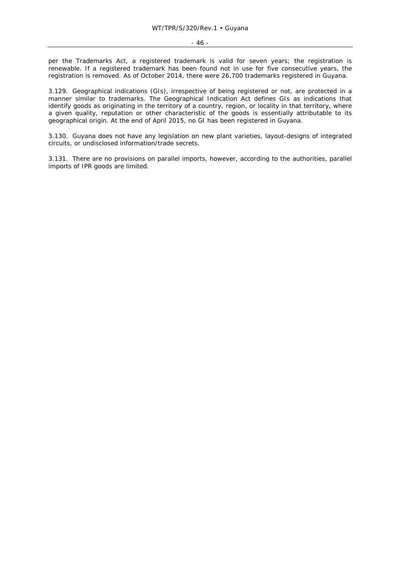per the Trademarks Act, a registered trademark is valid for seven years; the registration is renewable. If a registered trademark has been found not in use for five consecutive years, the registration is removed. As of October 2014, there were 26,700 trademarks registered in Guyana.

3.129. Geographical indications (GIs), irrespective of being registered or not, are protected in a manner similar to trademarks. The Geographical Indication Act defines GIs as indications that identify goods as originating in the territory of a country, region, or locality in that territory, where a given quality, reputation or other characteristic of the goods is essentially attributable to its geographical origin. At the end of April 2015, no GI has been registered in Guyana.

3.130. Guyana does not have any legislation on new plant varieties, layout-designs of integrated circuits, or undisclosed information/trade secrets.

3.131. There are no provisions on parallel imports, however, according to the authorities, parallel imports of IPR goods are limited.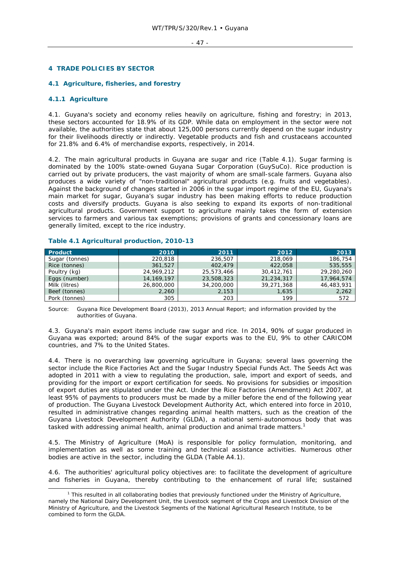#### **4 TRADE POLICIES BY SECTOR**

#### **4.1 Agriculture, fisheries, and forestry**

#### **4.1.1 Agriculture**

4.1. Guyana's society and economy relies heavily on agriculture, fishing and forestry; in 2013, these sectors accounted for 18.9% of its GDP. While data on employment in the sector were not available, the authorities state that about 125,000 persons currently depend on the sugar industry for their livelihoods directly or indirectly. Vegetable products and fish and crustaceans accounted for 21.8% and 6.4% of merchandise exports, respectively, in 2014.

4.2. The main agricultural products in Guyana are sugar and rice (Table 4.1). Sugar farming is dominated by the 100% state-owned Guyana Sugar Corporation (GuySuCo). Rice production is carried out by private producers, the vast majority of whom are small-scale farmers. Guyana also produces a wide variety of "non-traditional" agricultural products (e.g. fruits and vegetables). Against the background of changes started in 2006 in the sugar import regime of the EU, Guyana's main market for sugar, Guyana's sugar industry has been making efforts to reduce production costs and diversify products. Guyana is also seeking to expand its exports of non-traditional agricultural products. Government support to agriculture mainly takes the form of extension services to farmers and various tax exemptions; provisions of grants and concessionary loans are generally limited, except to the rice industry.

| Product        | 2010         | 2011       | 2012       | 2013       |
|----------------|--------------|------------|------------|------------|
| Sugar (tonnes) | 220,818      | 236,507    | 218,069    | 186,754    |
| Rice (tonnes)  | 361,527      | 402,479    | 422,058    | 535,555    |
| Poultry (kg)   | 24,969,212   | 25,573,466 | 30,412,761 | 29,280,260 |
| Eggs (number)  | 14, 169, 197 | 23,508,323 | 21,234,317 | 17,964,574 |
| Milk (litres)  | 26,800,000   | 34,200,000 | 39,271,368 | 46,483,931 |
| Beef (tonnes)  | 2,260        | 2,153      | 1,635      | 2,262      |
| Pork (tonnes)  | 305          | 203        | 199        | 572        |

#### **Table 4.1 Agricultural production, 2010-13**

Source: Guyana Rice Development Board (2013), 2013 Annual Report; and information provided by the authorities of Guyana.

4.3. Guyana's main export items include raw sugar and rice. In 2014, 90% of sugar produced in Guyana was exported; around 84% of the sugar exports was to the EU, 9% to other CARICOM countries, and 7% to the United States.

4.4. There is no overarching law governing agriculture in Guyana; several laws governing the sector include the Rice Factories Act and the Sugar Industry Special Funds Act. The Seeds Act was adopted in 2011 with a view to regulating the production, sale, import and export of seeds, and providing for the import or export certification for seeds. No provisions for subsidies or imposition of export duties are stipulated under the Act. Under the Rice Factories (Amendment) Act 2007, at least 95% of payments to producers must be made by a miller before the end of the following year of production. The Guyana Livestock Development Authority Act, which entered into force in 2010, resulted in administrative changes regarding animal health matters, such as the creation of the Guyana Livestock Development Authority (GLDA), a national semi-autonomous body that was tasked with addressing animal health, animal production and animal trade matters.1

4.5. The Ministry of Agriculture (MoA) is responsible for policy formulation, monitoring, and implementation as well as some training and technical assistance activities. Numerous other bodies are active in the sector, including the GLDA (Table A4.1).

4.6. The authorities' agricultural policy objectives are: to facilitate the development of agriculture and fisheries in Guyana, thereby contributing to the enhancement of rural life; sustained

 $\frac{1}{1}$  $1$  This resulted in all collaborating bodies that previously functioned under the Ministry of Agriculture, namely the National Dairy Development Unit, the Livestock segment of the Crops and Livestock Division of the Ministry of Agriculture, and the Livestock Segments of the National Agricultural Research Institute, to be combined to form the GLDA.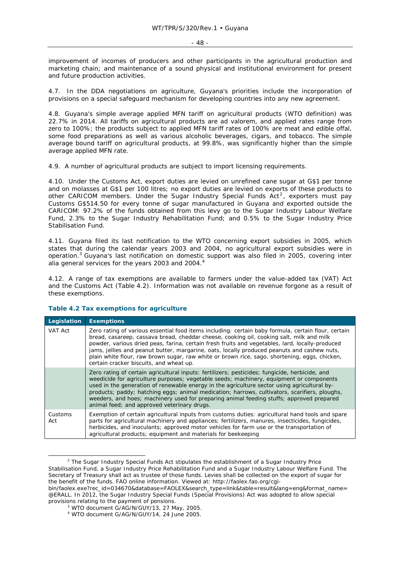improvement of incomes of producers and other participants in the agricultural production and marketing chain; and maintenance of a sound physical and institutional environment for present and future production activities.

4.7. In the DDA negotiations on agriculture, Guyana's priorities include the incorporation of provisions on a special safeguard mechanism for developing countries into any new agreement.

4.8. Guyana's simple average applied MFN tariff on agricultural products (WTO definition) was 22.7% in 2014. All tariffs on agricultural products are *ad valorem*, and applied rates range from zero to 100%; the products subject to applied MFN tariff rates of 100% are meat and edible offal, some food preparations as well as various alcoholic beverages, cigars, and tobacco. The simple average bound tariff on agricultural products, at 99.8%, was significantly higher than the simple average applied MFN rate.

4.9. A number of agricultural products are subject to import licensing requirements.

4.10. Under the Customs Act, export duties are levied on unrefined cane sugar at G\$1 per tonne and on molasses at G\$1 per 100 litres; no export duties are levied on exports of these products to other CARICOM members. Under the Sugar Industry Special Funds Act<sup>2</sup>, exporters must pay Customs G\$514.50 for every tonne of sugar manufactured in Guyana and exported outside the CARICOM: 97.2% of the funds obtained from this levy go to the Sugar Industry Labour Welfare Fund, 2.3% to the Sugar Industry Rehabilitation Fund; and 0.5% to the Sugar Industry Price Stabilisation Fund.

4.11. Guyana filed its last notification to the WTO concerning export subsidies in 2005, which states that during the calendar years 2003 and 2004, no agricultural export subsidies were in operation.<sup>3</sup> Guyana's last notification on domestic support was also filed in 2005, covering *inter alia* general services for the years 2003 and 2004.4

4.12. A range of tax exemptions are available to farmers under the value-added tax (VAT) Act and the Customs Act (Table 4.2). Information was not available on revenue forgone as a result of these exemptions.

| Legislation    | <b>Exemptions</b>                                                                                                                                                                                                                                                                                                                                                                                                                                                                                                                             |
|----------------|-----------------------------------------------------------------------------------------------------------------------------------------------------------------------------------------------------------------------------------------------------------------------------------------------------------------------------------------------------------------------------------------------------------------------------------------------------------------------------------------------------------------------------------------------|
| VAT Act        | Zero rating of various essential food items including: certain baby formula, certain flour, certain<br>bread, casareep, cassava bread, cheddar cheese, cooking oil, cooking salt, milk and milk<br>powder, various dried peas, farina, certain fresh fruits and vegetables, lard, locally-produced<br>jams, jellies and peanut butter, margarine, oats, locally produced peanuts and cashew nuts,<br>plain white flour, raw brown sugar, raw white or brown rice, sago, shortening, eggs, chicken,<br>certain cracker biscuits, and wheat up. |
|                | Zero rating of certain agricultural inputs: fertilizers; pesticides; fungicide, herbicide, and<br>weedicide for agriculture purposes; vegetable seeds; machinery, equipment or components<br>used in the generation of renewable energy in the agriculture sector using agricultural by-<br>products; paddy; hatching eggs; animal medication; harrows, cultivators, scarifiers, ploughs,<br>weeders, and hoes; machinery used for preparing animal feeding stuffs; approved prepared<br>animal feed; and approved veterinary drugs.          |
| Customs<br>Act | Exemption of certain agricultural inputs from customs duties: agricultural hand tools and spare<br>parts for agricultural machinery and appliances; fertilizers, manures, insecticides, fungicides,<br>herbicides, and inoculants; approved motor vehicles for farm use or the transportation of<br>agricultural products; equipment and materials for beekeeping                                                                                                                                                                             |

# **Table 4.2 Tax exemptions for agriculture**

 $\overline{2}$  $2$  The Sugar Industry Special Funds Act stipulates the establishment of a Sugar Industry Price Stabilisation Fund, a Sugar Industry Price Rehabilitation Fund and a Sugar Industry Labour Welfare Fund. The Secretary of Treasury shall act as trustee of those funds. Levies shall be collected on the export of sugar for the benefit of the funds. FAO online information. Viewed at: http://faolex.fao.org/cgi-

bin/faolex.exe?rec\_id=034670&database=FAOLEX&search\_type=link&table=result&lang=eng&format\_name= @ERALL. In 2012, the Sugar Industry Special Funds (Special Provisions) Act was adopted to allow special provisions relating to the payment of pensions.

<sup>&</sup>lt;sup>3</sup> WTO document G/AG/N/GUY/13, 27 May, 2005.

<sup>4</sup> WTO document G/AG/N/GUY/14, 24 June 2005.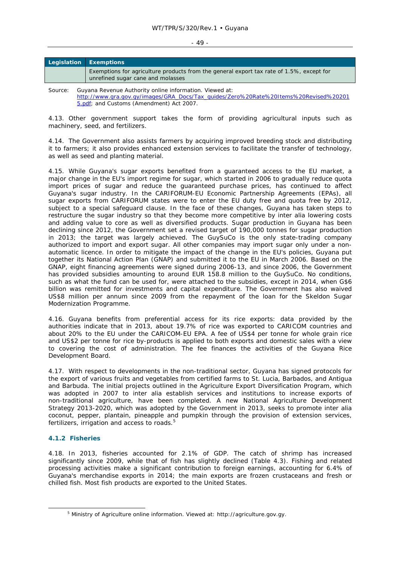#### $-49 -$

| Legislation Exemptions |                                                                                                                               |
|------------------------|-------------------------------------------------------------------------------------------------------------------------------|
|                        | Exemptions for agriculture products from the general export tax rate of 1.5%, except for<br>unrefined sugar cane and molasses |

Source: Guyana Revenue Authority online information. Viewed at: http://www.gra.gov.gy/images/GRA\_Docs/Tax\_guides/Zero%20Rate%20Items%20Revised%20201 5.pdf; and Customs (Amendment) Act 2007.

4.13. Other government support takes the form of providing agricultural inputs such as machinery, seed, and fertilizers.

4.14. The Government also assists farmers by acquiring improved breeding stock and distributing it to farmers; it also provides enhanced extension services to facilitate the transfer of technology, as well as seed and planting material.

4.15. While Guyana's sugar exports benefited from a guaranteed access to the EU market, a major change in the EU's import regime for sugar, which started in 2006 to gradually reduce quota import prices of sugar and reduce the guaranteed purchase prices, has continued to affect Guyana's sugar industry. In the CARIFORUM-EU Economic Partnership Agreements (EPAs), all sugar exports from CARIFORUM states were to enter the EU duty free and quota free by 2012, subject to a special safeguard clause. In the face of these changes, Guyana has taken steps to restructure the sugar industry so that they become more competitive by *inter alia* lowering costs and adding value to core as well as diversified products. Sugar production in Guyana has been declining since 2012, the Government set a revised target of 190,000 tonnes for sugar production in 2013; the target was largely achieved. The GuySuCo is the only state-trading company authorized to import and export sugar. All other companies may import sugar only under a nonautomatic licence. In order to mitigate the impact of the change in the EU's policies, Guyana put together its National Action Plan (GNAP) and submitted it to the EU in March 2006. Based on the GNAP, eight financing agreements were signed during 2006-13, and since 2006, the Government has provided subsidies amounting to around EUR 158.8 million to the GuySuCo. No conditions, such as what the fund can be used for, were attached to the subsidies, except in 2014, when G\$6 billion was remitted for investments and capital expenditure. The Government has also waived US\$8 million per annum since 2009 from the repayment of the loan for the Skeldon Sugar Modernization Programme.

4.16. Guyana benefits from preferential access for its rice exports: data provided by the authorities indicate that in 2013, about 19.7% of rice was exported to CARICOM countries and about 20% to the EU under the CARICOM-EU EPA. A fee of US\$4 per tonne for whole grain rice and US\$2 per tonne for rice by-products is applied to both exports and domestic sales with a view to covering the cost of administration. The fee finances the activities of the Guyana Rice Development Board.

4.17. With respect to developments in the non-traditional sector, Guyana has signed protocols for the export of various fruits and vegetables from certified farms to St. Lucia, Barbados, and Antigua and Barbuda. The initial projects outlined in the Agriculture Export Diversification Program, which was adopted in 2007 to *inter alia* establish services and institutions to increase exports of non-traditional agriculture, have been completed. A new National Agriculture Development Strategy 2013-2020, which was adopted by the Government in 2013, seeks to promote *inter alia* coconut, pepper, plantain, pineapple and pumpkin through the provision of extension services, fertilizers, irrigation and access to roads.<sup>5</sup>

# **4.1.2 Fisheries**

4.18. In 2013, fisheries accounted for 2.1% of GDP. The catch of shrimp has increased significantly since 2009, while that of fish has slightly declined (Table 4.3). Fishing and related processing activities make a significant contribution to foreign earnings, accounting for 6.4% of Guyana's merchandise exports in 2014; the main exports are frozen crustaceans and fresh or chilled fish. Most fish products are exported to the United States.

 <sup>5</sup> Ministry of Agriculture online information. Viewed at: http://agriculture.gov.gy.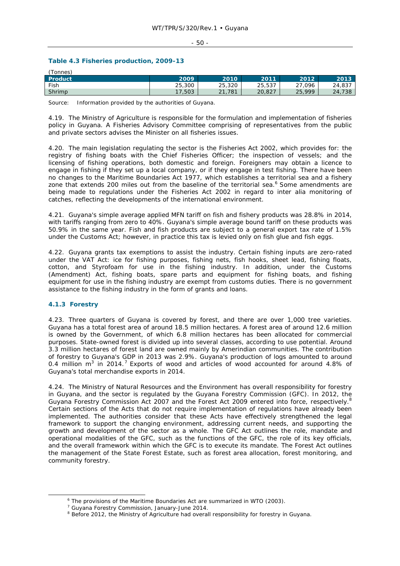#### - 50 -

# **Table 4.3 Fisheries production, 2009-13**

| (Tonnes |        |            |        |                       |           |
|---------|--------|------------|--------|-----------------------|-----------|
| Product | 2009   | 2010       | 2011   | 2012                  | 2013      |
| Fish    | 25,300 | 25,320     | 25,537 | $\sim$ $\sim$<br>.096 | 24,837    |
| Shrimp  | '.503  | .781<br>21 | 20,827 | 25,999                | 738<br>24 |

Source: Information provided by the authorities of Guyana.

4.19. The Ministry of Agriculture is responsible for the formulation and implementation of fisheries policy in Guyana. A Fisheries Advisory Committee comprising of representatives from the public and private sectors advises the Minister on all fisheries issues.

4.20. The main legislation regulating the sector is the Fisheries Act 2002, which provides for: the registry of fishing boats with the Chief Fisheries Officer; the inspection of vessels; and the licensing of fishing operations, both domestic and foreign. Foreigners may obtain a licence to engage in fishing if they set up a local company, or if they engage in test fishing. There have been no changes to the Maritime Boundaries Act 1977, which establishes a territorial sea and a fishery zone that extends 200 miles out from the baseline of the territorial sea.<sup>6</sup> Some amendments are being made to regulations under the Fisheries Act 2002 in regard to inter alia monitoring of catches, reflecting the developments of the international environment.

4.21. Guyana's simple average applied MFN tariff on fish and fishery products was 28.8% in 2014, with tariffs ranging from zero to 40%. Guyana's simple average bound tariff on these products was 50.9% in the same year. Fish and fish products are subject to a general export tax rate of 1.5% under the Customs Act; however, in practice this tax is levied only on fish glue and fish eggs.

4.22. Guyana grants tax exemptions to assist the industry. Certain fishing inputs are zero-rated under the VAT Act: ice for fishing purposes, fishing nets, fish hooks, sheet lead, fishing floats, cotton, and Styrofoam for use in the fishing industry. In addition, under the Customs (Amendment) Act, fishing boats, spare parts and equipment for fishing boats, and fishing equipment for use in the fishing industry are exempt from customs duties. There is no government assistance to the fishing industry in the form of grants and loans.

# **4.1.3 Forestry**

4.23. Three quarters of Guyana is covered by forest, and there are over 1,000 tree varieties. Guyana has a total forest area of around 18.5 million hectares. A forest area of around 12.6 million is owned by the Government, of which 6.8 million hectares has been allocated for commercial purposes. State-owned forest is divided up into several classes, according to use potential. Around 3.3 million hectares of forest land are owned mainly by Amerindian communities. The contribution of forestry to Guyana's GDP in 2013 was 2.9%. Guyana's production of logs amounted to around 0.4 million  $m^3$  in 2014.<sup>7</sup> Exports of wood and articles of wood accounted for around 4.8% of Guyana's total merchandise exports in 2014.

4.24. The Ministry of Natural Resources and the Environment has overall responsibility for forestry in Guyana, and the sector is regulated by the Guyana Forestry Commission (GFC). In 2012, the Guyana Forestry Commission Act 2007 and the Forest Act 2009 entered into force, respectively.<sup>8</sup> Certain sections of the Acts that do not require implementation of regulations have already been implemented. The authorities consider that these Acts have effectively strengthened the legal framework to support the changing environment, addressing current needs, and supporting the growth and development of the sector as a whole. The GFC Act outlines the role, mandate and operational modalities of the GFC, such as the functions of the GFC, the role of its key officials, and the overall framework within which the GFC is to execute its mandate. The Forest Act outlines the management of the State Forest Estate, such as forest area allocation, forest monitoring, and community forestry.

 <sup>6</sup> The provisions of the Maritime Boundaries Act are summarized in WTO (2003)*.*

<sup>&</sup>lt;sup>7</sup> Guyana Forestry Commission, January-June 2014.

<sup>&</sup>lt;sup>8</sup> Before 2012, the Ministry of Agriculture had overall responsibility for forestry in Guyana.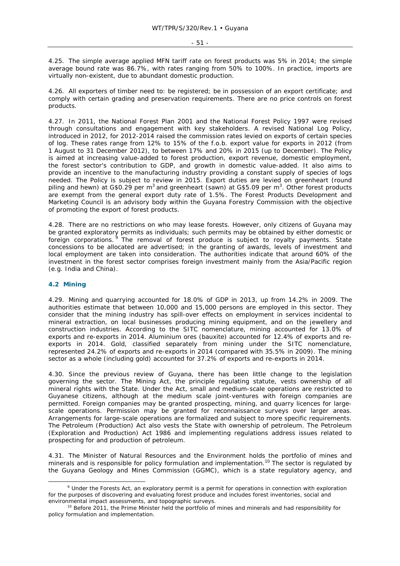4.25. The simple average applied MFN tariff rate on forest products was 5% in 2014; the simple average bound rate was 86.7%, with rates ranging from 50% to 100%. In practice, imports are virtually non-existent, due to abundant domestic production.

4.26. All exporters of timber need to: be registered; be in possession of an export certificate; and comply with certain grading and preservation requirements. There are no price controls on forest products.

4.27. In 2011, the National Forest Plan 2001 and the National Forest Policy 1997 were revised through consultations and engagement with key stakeholders. A revised National Log Policy, introduced in 2012, for 2012-2014 raised the commission rates levied on exports of certain species of log. These rates range from 12% to 15% of the f.o.b. export value for exports in 2012 (from 1 August to 31 December 2012), to between 17% and 20% in 2015 (up to December). The Policy is aimed at increasing value-added to forest production, export revenue, domestic employment, the forest sector's contribution to GDP, and growth in domestic value-added. It also aims to provide an incentive to the manufacturing industry providing a constant supply of species of logs needed. The Policy is subject to review in 2015. Export duties are levied on greenheart (round piling and hewn) at G\$0.29 per m<sup>3</sup> and greenheart (sawn) at G\$5.09 per m<sup>3</sup>. Other forest products are exempt from the general export duty rate of 1.5%. The Forest Products Development and Marketing Council is an advisory body within the Guyana Forestry Commission with the objective of promoting the export of forest products.

4.28. There are no restrictions on who may lease forests. However, only citizens of Guyana may be granted exploratory permits as individuals; such permits may be obtained by either domestic or foreign corporations.  $9$  The removal of forest produce is subject to royalty payments. State concessions to be allocated are advertised; in the granting of awards, levels of investment and local employment are taken into consideration. The authorities indicate that around 60% of the investment in the forest sector comprises foreign investment mainly from the Asia/Pacific region (e.g. India and China).

#### **4.2 Mining**

4.29. Mining and quarrying accounted for 18.0% of GDP in 2013, up from 14.2% in 2009. The authorities estimate that between 10,000 and 15,000 persons are employed in this sector. They consider that the mining industry has spill-over effects on employment in services incidental to mineral extraction, on local businesses producing mining equipment, and on the jewellery and construction industries. According to the SITC nomenclature, mining accounted for 13.0% of exports and re-exports in 2014. Aluminium ores (bauxite) accounted for 12.4% of exports and reexports in 2014. Gold, classified separately from mining under the SITC nomenclature, represented 24.2% of exports and re-exports in 2014 (compared with 35.5% in 2009). The mining sector as a whole (including gold) accounted for 37.2% of exports and re-exports in 2014.

4.30. Since the previous review of Guyana, there has been little change to the legislation governing the sector. The Mining Act, the principle regulating statute, vests ownership of all mineral rights with the State. Under the Act, small and medium-scale operations are restricted to Guyanese citizens, although at the medium scale joint-ventures with foreign companies are permitted. Foreign companies may be granted prospecting, mining, and quarry licences for largescale operations. Permission may be granted for reconnaissance surveys over larger areas. Arrangements for large-scale operations are formalized and subject to more specific requirements. The Petroleum (Production) Act also vests the State with ownership of petroleum. The Petroleum (Exploration and Production) Act 1986 and implementing regulations address issues related to prospecting for and production of petroleum.

4.31. The Minister of Natural Resources and the Environment holds the portfolio of mines and minerals and is responsible for policy formulation and implementation.<sup>10</sup> The sector is regulated by the Guyana Geology and Mines Commission (GGMC), which is a state regulatory agency, and

<sup>&</sup>lt;sup>9</sup> Under the Forests Act, an exploratory permit is a permit for operations in connection with exploration for the purposes of discovering and evaluating forest produce and includes forest inventories, social and environmental impact assessments, and topographic surveys.<br><sup>10</sup> Before 2011, the Prime Minister held the portfolio of mines and minerals and had responsibility for

policy formulation and implementation.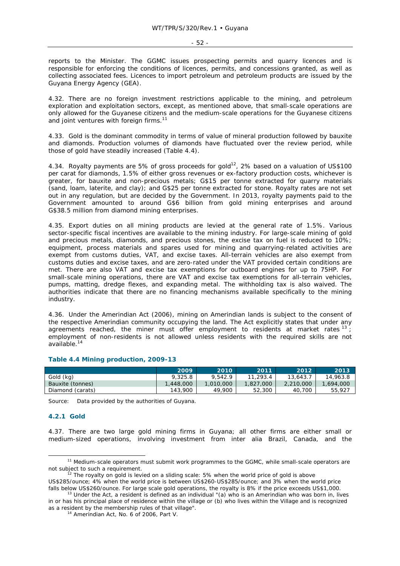reports to the Minister. The GGMC issues prospecting permits and quarry licences and is responsible for enforcing the conditions of licences, permits, and concessions granted, as well as collecting associated fees. Licences to import petroleum and petroleum products are issued by the Guyana Energy Agency (GEA).

4.32. There are no foreign investment restrictions applicable to the mining, and petroleum exploration and exploitation sectors, except, as mentioned above, that small-scale operations are only allowed for the Guyanese citizens and the medium-scale operations for the Guyanese citizens and joint ventures with foreign firms.<sup>11</sup>

4.33. Gold is the dominant commodity in terms of value of mineral production followed by bauxite and diamonds. Production volumes of diamonds have fluctuated over the review period, while those of gold have steadily increased (Table 4.4).

4.34. Royalty payments are 5% of gross proceeds for gold<sup>12</sup>, 2% based on a valuation of US\$100 per carat for diamonds, 1.5% of either gross revenues or ex-factory production costs, whichever is greater, for bauxite and non-precious metals; G\$15 per tonne extracted for quarry materials (sand, loam, laterite, and clay); and G\$25 per tonne extracted for stone. Royalty rates are not set out in any regulation, but are decided by the Government. In 2013, royalty payments paid to the Government amounted to around G\$6 billion from gold mining enterprises and around G\$38.5 million from diamond mining enterprises.

4.35. Export duties on all mining products are levied at the general rate of 1.5%. Various sector-specific fiscal incentives are available to the mining industry. For large-scale mining of gold and precious metals, diamonds, and precious stones, the excise tax on fuel is reduced to 10%; equipment, process materials and spares used for mining and quarrying-related activities are exempt from customs duties, VAT, and excise taxes. All-terrain vehicles are also exempt from customs duties and excise taxes, and are zero-rated under the VAT provided certain conditions are met. There are also VAT and excise tax exemptions for outboard engines for up to 75HP. For small-scale mining operations, there are VAT and excise tax exemptions for all-terrain vehicles, pumps, matting, dredge flexes, and expanding metal. The withholding tax is also waived. The authorities indicate that there are no financing mechanisms available specifically to the mining industry.

4.36. Under the Amerindian Act (2006), mining on Amerindian lands is subject to the consent of the respective Amerindian community occupying the land. The Act explicitly states that under any agreements reached, the miner must offer employment to residents at market rates  $^{13}$ ; employment of non-residents is not allowed unless residents with the required skills are not available.14

|                  | 2009     | 2010      | 2011      | 2012      | 2013      |
|------------------|----------|-----------|-----------|-----------|-----------|
| Gold (kg)        | 9.325.8  | 9.542.9   | 11,293.4  | 13,643.   | 14,963.8  |
| Bauxite (tonnes) | .448.000 | 1,010,000 | 1,827,000 | 2,210,000 | 1,694,000 |
| Diamond (carats) | 143,900  | 49,900    | 52,300    | 40.700    | 55,927    |

#### **Table 4.4 Mining production, 2009-13**

Source: Data provided by the authorities of Guyana.

#### **4.2.1 Gold**

4.37. There are two large gold mining firms in Guyana; all other firms are either small or medium-sized operations, involving investment from *inter alia* Brazil, Canada, and the

<sup>&</sup>lt;sup>11</sup> Medium-scale operators must submit work programmes to the GGMC, while small-scale operators are not subject to such a requirement.

The royalty on gold is levied on a sliding scale: 5% when the world price of gold is above US\$285/ounce; 4% when the world price is between US\$260-US\$285/ounce; and 3% when the world price falls below US\$260/ounce. For large scale gold operations, the royalty is 8% if the price exceeds US\$1,000. <sup>13</sup> Under the Act, a resident is defined as an individual "(a) who is an Amerindian who was born in, lives

in or has his principal place of residence within the village or (b) who lives within the Village and is recognized as a resident by the membership rules of that village". 14 Amerindian Act, No. 6 of 2006, Part V.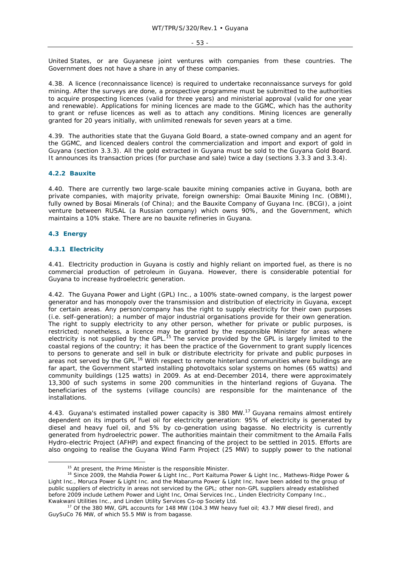United States, or are Guyanese joint ventures with companies from these countries. The Government does not have a share in any of these companies.

4.38. A licence (reconnaissance licence) is required to undertake reconnaissance surveys for gold mining. After the surveys are done, a prospective programme must be submitted to the authorities to acquire prospecting licences (valid for three years) and ministerial approval (valid for one year and renewable). Applications for mining licences are made to the GGMC, which has the authority to grant or refuse licences as well as to attach any conditions. Mining licences are generally granted for 20 years initially, with unlimited renewals for seven years at a time.

4.39. The authorities state that the Guyana Gold Board, a state-owned company and an agent for the GGMC, and licenced dealers control the commercialization and import and export of gold in Guyana (section 3.3.3). All the gold extracted in Guyana must be sold to the Guyana Gold Board. It announces its transaction prices (for purchase and sale) twice a day (sections 3.3.3 and 3.3.4).

#### **4.2.2 Bauxite**

4.40. There are currently two large-scale bauxite mining companies active in Guyana, both are private companies, with majority private, foreign ownership: Omai Bauxite Mining Inc. (OBMI), fully owned by Bosai Minerals (of China); and the Bauxite Company of Guyana Inc. (BCGI), a joint venture between RUSAL (a Russian company) which owns 90%, and the Government, which maintains a 10% stake. There are no bauxite refineries in Guyana.

#### **4.3 Energy**

#### **4.3.1 Electricity**

4.41. Electricity production in Guyana is costly and highly reliant on imported fuel, as there is no commercial production of petroleum in Guyana. However, there is considerable potential for Guyana to increase hydroelectric generation.

4.42. The Guyana Power and Light (GPL) Inc., a 100% state-owned company, is the largest power generator and has monopoly over the transmission and distribution of electricity in Guyana, except for certain areas. Any person/company has the right to supply electricity for their own purposes (i.e. self-generation); a number of major industrial organisations provide for their own generation. The right to supply electricity to any other person, whether for private or public purposes, is restricted; nonetheless, a licence may be granted by the responsible Minister for areas where electricity is not supplied by the GPL.<sup>15</sup> The service provided by the GPL is largely limited to the coastal regions of the country; it has been the practice of the Government to grant supply licences to persons to generate and sell in bulk or distribute electricity for private and public purposes in areas not served by the GPL.<sup>16</sup> With respect to remote hinterland communities where buildings are far apart, the Government started installing photovoltaics solar systems on homes (65 watts) and community buildings (125 watts) in 2009. As at end-December 2014, there were approximately 13,300 of such systems in some 200 communities in the hinterland regions of Guyana. The beneficiaries of the systems (village councils) are responsible for the maintenance of the installations.

4.43. Guyana's estimated installed power capacity is 380 MW.<sup>17</sup> Guyana remains almost entirely dependent on its imports of fuel oil for electricity generation: 95% of electricity is generated by diesel and heavy fuel oil, and 5% by co-generation using bagasse. No electricity is currently generated from hydroelectric power. The authorities maintain their commitment to the Amaila Falls Hydro-electric Project (AFHP) and expect financing of the project to be settled in 2015. Efforts are also ongoing to realise the Guyana Wind Farm Project (25 MW) to supply power to the national

<sup>&</sup>lt;sup>15</sup> At present, the Prime Minister is the responsible Minister.<br><sup>16</sup> Since 2009, the Mahdia Power & Light Inc., Port Kaituma Power & Light Inc., Mathews-Ridge Power & Light Inc., Moruca Power & Light Inc. and the Mabaruma Power & Light Inc. have been added to the group of public suppliers of electricity in areas not serviced by the GPL; other non-GPL suppliers already established before 2009 include Lethem Power and Light Inc, Omai Services Inc., Linden Electricity Company Inc.,

Kwakwani Utilities Inc., and Linden Utility Services Co-op Society Ltd.<br><sup>17</sup> Of the 380 MW, GPL accounts for 148 MW (104.3 MW heavy fuel oil; 43.7 MW diesel fired), and GuySuCo 76 MW, of which 55.5 MW is from bagasse.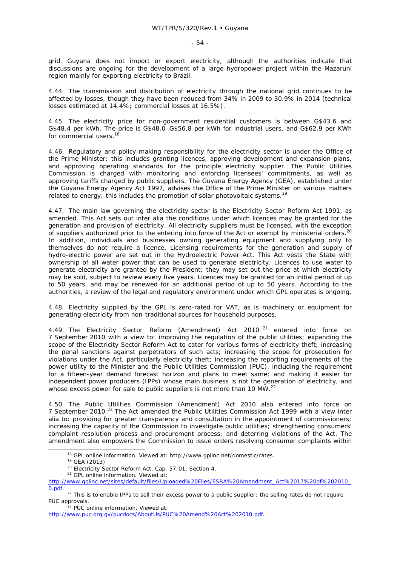grid. Guyana does not import or export electricity, although the authorities indicate that discussions are ongoing for the development of a large hydropower project within the Mazaruni region mainly for exporting electricity to Brazil.

4.44. The transmission and distribution of electricity through the national grid continues to be affected by losses, though they have been reduced from 34% in 2009 to 30.9% in 2014 (technical losses estimated at 14.4%; commercial losses at 16.5%).

4.45. The electricity price for non-government residential customers is between G\$43.6 and G\$48.4 per kWh. The price is G\$48.0–G\$56.8 per kWh for industrial users, and G\$62.9 per KWh for commercial users.<sup>1</sup>

4.46. Regulatory and policy-making responsibility for the electricity sector is under the Office of the Prime Minister: this includes granting licences, approving development and expansion plans, and approving operating standards for the principle electricity supplier. The Public Utilities Commission is charged with monitoring and enforcing licensees' commitments, as well as approving tariffs charged by public suppliers. The Guyana Energy Agency (GEA), established under the Guyana Energy Agency Act 1997, advises the Office of the Prime Minister on various matters related to energy; this includes the promotion of solar photovoltaic systems.<sup>19</sup>

4.47. The main law governing the electricity sector is the Electricity Sector Reform Act 1991, as amended. This Act sets out *inter alia* the conditions under which licences may be granted for the generation and provision of electricity. All electricity suppliers must be licensed, with the exception of suppliers authorized prior to the entering into force of the Act or exempt by ministerial orders.<sup>20</sup> In addition, individuals and businesses owning generating equipment and supplying only to themselves do not require a licence. Licensing requirements for the generation and supply of hydro-electric power are set out in the Hydroelectric Power Act. This Act vests the State with ownership of all water power that can be used to generate electricity. Licences to use water to generate electricity are granted by the President; they may set out the price at which electricity may be sold, subject to review every five years. Licences may be granted for an initial period of up to 50 years, and may be renewed for an additional period of up to 50 years. According to the authorities, a review of the legal and regulatory environment under which GPL operates is ongoing.

4.48. Electricity supplied by the GPL is zero-rated for VAT, as is machinery or equipment for generating electricity from non-traditional sources for household purposes.

4.49. The Electricity Sector Reform (Amendment) Act 2010<sup>21</sup> entered into force on 7 September 2010 with a view to: improving the regulation of the public utilities; expanding the scope of the Electricity Sector Reform Act to cater for various forms of electricity theft; increasing the penal sanctions against perpetrators of such acts; increasing the scope for prosecution for violations under the Act, particularly electricity theft; increasing the reporting requirements of the power utility to the Minister and the Public Utilities Commission (PUC), including the requirement for a fifteen-year demand forecast horizon and plans to meet same; and making it easier for independent power producers (IPPs) whose main business is not the generation of electricity, and whose excess power for sale to public suppliers is not more than 10 MW.<sup>22</sup>

4.50. The Public Utilities Commission (Amendment) Act 2010 also entered into force on 7 September 2010.23 The Act amended the Public Utilities Commission Act 1999 with a view *inter alia* to: providing for greater transparency and consultation in the appointment of commissioners; increasing the capacity of the Commission to investigate public utilities; strengthening consumers' complaint resolution process and procurement process; and deterring violations of the Act. The amendment also empowers the Commission to issue orders resolving consumer complaints within

<sup>&</sup>lt;sup>18</sup> GPL online information. Viewed at: http://www.gplinc.net/domestic/rates.<br><sup>19</sup> GEA (2013)<br><sup>20</sup> Electricity Sector Reform Act, Cap. 57:01, Section 4.<br><sup>21</sup> GPL online information. Viewed at:

http://www.gplinc.net/sites/default/files/Uploaded%20Files/ESRA%20Amendment\_Act%2017%20of%202010\_

<sup>0.</sup>pdf. 22 This is to enable IPPs to sell their excess power to a public supplier; the selling rates do not require PUC approvals.<br><sup>23</sup> PUC online information. Viewed at:

http://www.puc.org.gy/pucdocs/AboutUs/PUC%20Amend%20Act%202010.pdf.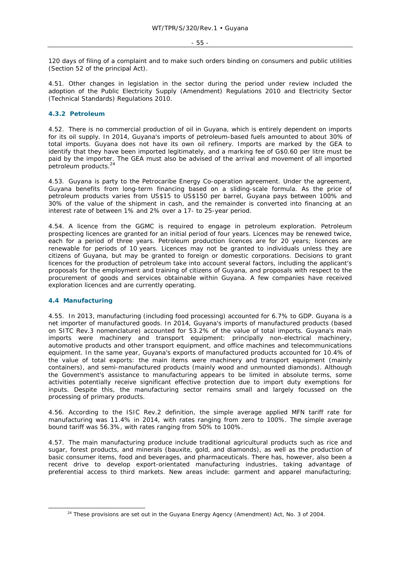120 days of filing of a complaint and to make such orders binding on consumers and public utilities (Section 52 of the principal Act).

4.51. Other changes in legislation in the sector during the period under review included the adoption of the Public Electricity Supply (Amendment) Regulations 2010 and Electricity Sector (Technical Standards) Regulations 2010.

#### **4.3.2 Petroleum**

4.52. There is no commercial production of oil in Guyana, which is entirely dependent on imports for its oil supply. In 2014, Guyana's imports of petroleum-based fuels amounted to about 30% of total imports. Guyana does not have its own oil refinery. Imports are marked by the GEA to identify that they have been imported legitimately, and a marking fee of G\$0.60 per litre must be paid by the importer. The GEA must also be advised of the arrival and movement of all imported petroleum products.<sup>24</sup>

4.53. Guyana is party to the Petrocaribe Energy Co-operation agreement. Under the agreement, Guyana benefits from long-term financing based on a sliding-scale formula. As the price of petroleum products varies from US\$15 to US\$150 per barrel, Guyana pays between 100% and 30% of the value of the shipment in cash, and the remainder is converted into financing at an interest rate of between 1% and 2% over a 17- to 25-year period.

4.54. A licence from the GGMC is required to engage in petroleum exploration. Petroleum prospecting licences are granted for an initial period of four years. Licences may be renewed twice, each for a period of three years. Petroleum production licences are for 20 years; licences are renewable for periods of 10 years. Licences may not be granted to individuals unless they are citizens of Guyana, but may be granted to foreign or domestic corporations. Decisions to grant licences for the production of petroleum take into account several factors, including the applicant's proposals for the employment and training of citizens of Guyana, and proposals with respect to the procurement of goods and services obtainable within Guyana. A few companies have received exploration licences and are currently operating.

# **4.4 Manufacturing**

4.55. In 2013, manufacturing (including food processing) accounted for 6.7% to GDP. Guyana is a net importer of manufactured goods. In 2014, Guyana's imports of manufactured products (based on SITC Rev.3 nomenclature) accounted for 53.2% of the value of total imports. Guyana's main imports were machinery and transport equipment: principally non-electrical machinery, automotive products and other transport equipment, and office machines and telecommunications equipment. In the same year, Guyana's exports of manufactured products accounted for 10.4% of the value of total exports: the main items were machinery and transport equipment (mainly containers), and semi-manufactured products (mainly wood and unmounted diamonds). Although the Government's assistance to manufacturing appears to be limited in absolute terms, some activities potentially receive significant effective protection due to import duty exemptions for inputs. Despite this, the manufacturing sector remains small and largely focussed on the processing of primary products.

4.56. According to the ISIC Rev.2 definition, the simple average applied MFN tariff rate for manufacturing was 11.4% in 2014, with rates ranging from zero to 100%. The simple average bound tariff was 56.3%, with rates ranging from 50% to 100%.

4.57. The main manufacturing produce include traditional agricultural products such as rice and sugar, forest products, and minerals (bauxite, gold, and diamonds), as well as the production of basic consumer items, food and beverages, and pharmaceuticals. There has, however, also been a recent drive to develop export-orientated manufacturing industries, taking advantage of preferential access to third markets. New areas include: garment and apparel manufacturing;

<sup>&</sup>lt;sup>24</sup> These provisions are set out in the Guyana Energy Agency (Amendment) Act, No. 3 of 2004.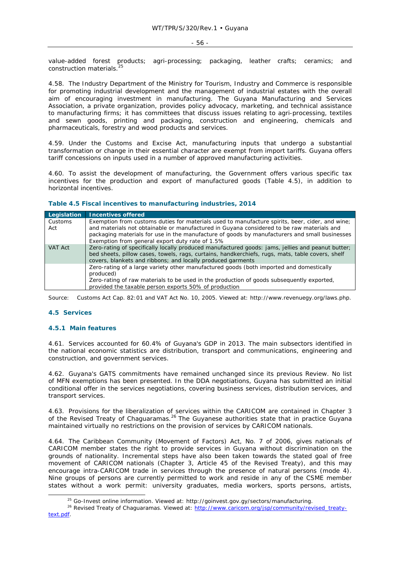value-added forest products; agri-processing; packaging, leather crafts; ceramics; and construction materials.

4.58. The Industry Department of the Ministry for Tourism, Industry and Commerce is responsible for promoting industrial development and the management of industrial estates with the overall aim of encouraging investment in manufacturing. The Guyana Manufacturing and Services Association, a private organization, provides policy advocacy, marketing, and technical assistance to manufacturing firms; it has committees that discuss issues relating to agri-processing, textiles and sewn goods, printing and packaging, construction and engineering, chemicals and pharmaceuticals, forestry and wood products and services.

4.59. Under the Customs and Excise Act, manufacturing inputs that undergo a substantial transformation or change in their essential character are exempt from import tariffs. Guyana offers tariff concessions on inputs used in a number of approved manufacturing activities.

4.60. To assist the development of manufacturing, the Government offers various specific tax incentives for the production and export of manufactured goods (Table 4.5), in addition to horizontal incentives.

| Legislation    | <b>Incentives offered</b>                                                                                                                                                                                                                                                                                                                        |
|----------------|--------------------------------------------------------------------------------------------------------------------------------------------------------------------------------------------------------------------------------------------------------------------------------------------------------------------------------------------------|
| Customs<br>Act | Exemption from customs duties for materials used to manufacture spirits, beer, cider, and wine;<br>and materials not obtainable or manufactured in Guyana considered to be raw materials and<br>packaging materials for use in the manufacture of goods by manufacturers and small businesses<br>Exemption from general export duty rate of 1.5% |
| VAT Act        | Zero-rating of specifically locally produced manufactured goods: jams, jellies and peanut butter;<br>bed sheets, pillow cases, towels, rags, curtains, handkerchiefs, rugs, mats, table covers, shelf<br>covers, blankets and ribbons; and locally produced garments                                                                             |
|                | Zero-rating of a large variety other manufactured goods (both imported and domestically<br>produced)<br>Zero-rating of raw materials to be used in the production of goods subsequently exported,                                                                                                                                                |
|                | provided the taxable person exports 50% of production                                                                                                                                                                                                                                                                                            |

#### **Table 4.5 Fiscal incentives to manufacturing industries, 2014**

Source: Customs Act Cap. 82:01 and VAT Act No. 10, 2005. Viewed at: http://www.revenuegy.org/laws.php.

# **4.5 Services**

#### **4.5.1 Main features**

4.61. Services accounted for 60.4% of Guyana's GDP in 2013. The main subsectors identified in the national economic statistics are distribution, transport and communications, engineering and construction, and government services.

4.62. Guyana's GATS commitments have remained unchanged since its previous Review. No list of MFN exemptions has been presented. In the DDA negotiations, Guyana has submitted an initial conditional offer in the services negotiations, covering business services, distribution services, and transport services.

4.63. Provisions for the liberalization of services within the CARICOM are contained in Chapter 3 of the Revised Treaty of Chaguaramas.26 The Guyanese authorities state that in practice Guyana maintained virtually no restrictions on the provision of services by CARICOM nationals.

4.64. The Caribbean Community (Movement of Factors) Act, No. 7 of 2006, gives nationals of CARICOM member states the right to provide services in Guyana without discrimination on the grounds of nationality. Incremental steps have also been taken towards the stated goal of free movement of CARICOM nationals (Chapter 3, Article 45 of the Revised Treaty), and this may encourage intra-CARICOM trade in services through the presence of natural persons (mode 4). Nine groups of persons are currently permitted to work and reside in any of the CSME member states without a work permit: university graduates, media workers, sports persons, artists,

<sup>&</sup>lt;sup>25</sup> Go-Invest online information. Viewed at: http://goinvest.gov.gy/sectors/manufacturing.<br><sup>26</sup> Revised Treaty of Chaguaramas. Viewed at: http://www.caricom.org/jsp/community/revised\_treatytext.pdf.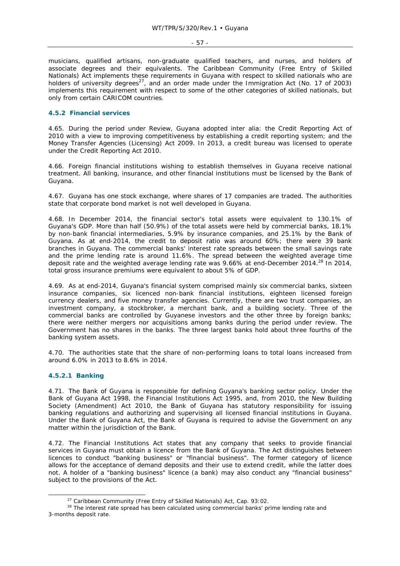musicians, qualified artisans, non-graduate qualified teachers, and nurses, and holders of associate degrees and their equivalents. The Caribbean Community (Free Entry of Skilled Nationals) Act implements these requirements in Guyana with respect to skilled nationals who are holders of university degrees<sup>27</sup>, and an order made under the Immigration Act (No. 17 of 2003) implements this requirement with respect to some of the other categories of skilled nationals, but only from certain CARICOM countries.

# **4.5.2 Financial services**

4.65. During the period under Review, Guyana adopted *inter alia*: the Credit Reporting Act of 2010 with a view to improving competitiveness by establishing a credit reporting system; and the Money Transfer Agencies (Licensing) Act 2009. In 2013, a credit bureau was licensed to operate under the Credit Reporting Act 2010.

4.66. Foreign financial institutions wishing to establish themselves in Guyana receive national treatment. All banking, insurance, and other financial institutions must be licensed by the Bank of Guyana.

4.67. Guyana has one stock exchange, where shares of 17 companies are traded. The authorities state that corporate bond market is not well developed in Guyana.

4.68. In December 2014, the financial sector's total assets were equivalent to 130.1% of Guyana's GDP. More than half (50.9%) of the total assets were held by commercial banks, 18.1% by non-bank financial intermediaries, 5.9% by insurance companies, and 25.1% by the Bank of Guyana. As at end-2014, the credit to deposit ratio was around 60%; there were 39 bank branches in Guyana. The commercial banks' interest rate spreads between the small savings rate and the prime lending rate is around 11.6%. The spread between the weighted average time deposit rate and the weighted average lending rate was 9.66% at end-December 2014.<sup>28</sup> In 2014, total gross insurance premiums were equivalent to about 5% of GDP.

4.69. As at end-2014, Guyana's financial system comprised mainly six commercial banks, sixteen insurance companies, six licenced non-bank financial institutions, eighteen licensed foreign currency dealers, and five money transfer agencies. Currently, there are two trust companies, an investment company, a stockbroker, a merchant bank, and a building society. Three of the commercial banks are controlled by Guyanese investors and the other three by foreign banks; there were neither mergers nor acquisitions among banks during the period under review. The Government has no shares in the banks. The three largest banks hold about three fourths of the banking system assets.

4.70. The authorities state that the share of non-performing loans to total loans increased from around 6.0% in 2013 to 8.6% in 2014.

#### **4.5.2.1 Banking**

4.71. The Bank of Guyana is responsible for defining Guyana's banking sector policy. Under the Bank of Guyana Act 1998, the Financial Institutions Act 1995, and, from 2010, the New Building Society (Amendment) Act 2010, the Bank of Guyana has statutory responsibility for issuing banking regulations and authorizing and supervising all licensed financial institutions in Guyana. Under the Bank of Guyana Act, the Bank of Guyana is required to advise the Government on any matter within the jurisdiction of the Bank.

4.72. The Financial Institutions Act states that any company that seeks to provide financial services in Guyana must obtain a licence from the Bank of Guyana. The Act distinguishes between licences to conduct "banking business" or "financial business". The former category of licence allows for the acceptance of demand deposits and their use to extend credit, while the latter does not. A holder of a "banking business" licence (a bank) may also conduct any "financial business" subject to the provisions of the Act.

<sup>&</sup>lt;sup>27</sup> Caribbean Community (Free Entry of Skilled Nationals) Act, Cap. 93:02.<br><sup>28</sup> The interest rate spread has been calculated using commercial banks' prime lending rate and 3-months deposit rate.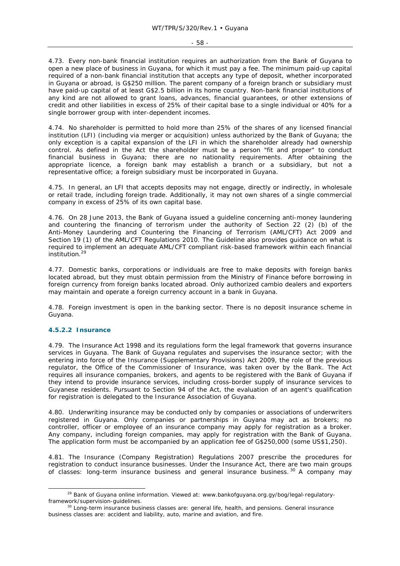4.73. Every non-bank financial institution requires an authorization from the Bank of Guyana to open a new place of business in Guyana, for which it must pay a fee. The minimum paid-up capital required of a non-bank financial institution that accepts any type of deposit, whether incorporated in Guyana or abroad, is G\$250 million. The parent company of a foreign branch or subsidiary must have paid-up capital of at least G\$2.5 billion in its home country. Non-bank financial institutions of any kind are not allowed to grant loans, advances, financial guarantees, or other extensions of credit and other liabilities in excess of 25% of their capital base to a single individual or 40% for a single borrower group with inter-dependent incomes.

4.74. No shareholder is permitted to hold more than 25% of the shares of any licensed financial institution (LFI) (including via merger or acquisition) unless authorized by the Bank of Guyana; the only exception is a capital expansion of the LFI in which the shareholder already had ownership control. As defined in the Act the shareholder must be a person "fit and proper" to conduct financial business in Guyana; there are no nationality requirements. After obtaining the appropriate licence, a foreign bank may establish a branch or a subsidiary, but not a representative office; a foreign subsidiary must be incorporated in Guyana.

4.75. In general, an LFI that accepts deposits may not engage, directly or indirectly, in wholesale or retail trade, including foreign trade. Additionally, it may not own shares of a single commercial company in excess of 25% of its own capital base.

4.76. On 28 June 2013, the Bank of Guyana issued a guideline concerning anti-money laundering and countering the financing of terrorism under the authority of Section 22 (2) (b) of the Anti-Money Laundering and Countering the Financing of Terrorism (AML/CFT) Act 2009 and Section 19 (1) of the AML/CFT Regulations 2010. The Guideline also provides guidance on what is required to implement an adequate AML/CFT compliant risk-based framework within each financial institution.29

4.77. Domestic banks, corporations or individuals are free to make deposits with foreign banks located abroad, but they must obtain permission from the Ministry of Finance before borrowing in foreign currency from foreign banks located abroad. Only authorized *cambio* dealers and exporters may maintain and operate a foreign currency account in a bank in Guyana.

4.78. Foreign investment is open in the banking sector. There is no deposit insurance scheme in Guyana.

#### **4.5.2.2 Insurance**

4.79. The Insurance Act 1998 and its regulations form the legal framework that governs insurance services in Guyana. The Bank of Guyana regulates and supervises the insurance sector; with the entering into force of the Insurance (Supplementary Provisions) Act 2009, the role of the previous regulator, the Office of the Commissioner of Insurance, was taken over by the Bank. The Act requires all insurance companies, brokers, and agents to be registered with the Bank of Guyana if they intend to provide insurance services, including cross-border supply of insurance services to Guyanese residents. Pursuant to Section 94 of the Act, the evaluation of an agent's qualification for registration is delegated to the Insurance Association of Guyana.

4.80. Underwriting insurance may be conducted only by companies or associations of underwriters registered in Guyana. Only companies or partnerships in Guyana may act as brokers; no controller, officer or employee of an insurance company may apply for registration as a broker. Any company, including foreign companies, may apply for registration with the Bank of Guyana. The application form must be accompanied by an application fee of G\$250,000 (some US\$1,250).

4.81. The Insurance (Company Registration) Regulations 2007 prescribe the procedures for registration to conduct insurance businesses. Under the Insurance Act, there are two main groups of classes: long-term insurance business and general insurance business.<sup>30</sup> A company may

<sup>&</sup>lt;sup>29</sup> Bank of Guyana online information. Viewed at: www.bankofguyana.org.gy/bog/legal-regulatoryframework/supervision-guidelines.<br><sup>30</sup> Long-term insurance business classes are: general life, health, and pensions. General insurance

business classes are: accident and liability, auto, marine and aviation, and fire.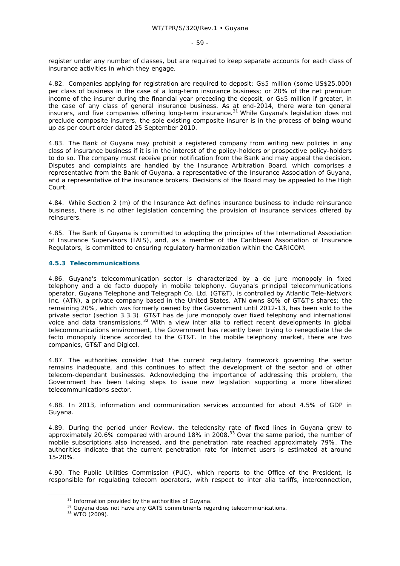register under any number of classes, but are required to keep separate accounts for each class of insurance activities in which they engage.

4.82. Companies applying for registration are required to deposit: G\$5 million (some US\$25,000) per class of business in the case of a long-term insurance business; or 20% of the net premium income of the insurer during the financial year preceding the deposit, or G\$5 million if greater, in the case of any class of general insurance business. As at end-2014, there were ten general insurers, and five companies offering long-term insurance.<sup>31</sup> While Guyana's legislation does not preclude composite insurers, the sole existing composite insurer is in the process of being wound up as per court order dated 25 September 2010.

4.83. The Bank of Guyana may prohibit a registered company from writing new policies in any class of insurance business if it is in the interest of the policy-holders or prospective policy-holders to do so. The company must receive prior notification from the Bank and may appeal the decision. Disputes and complaints are handled by the Insurance Arbitration Board, which comprises a representative from the Bank of Guyana, a representative of the Insurance Association of Guyana, and a representative of the insurance brokers. Decisions of the Board may be appealed to the High Court.

4.84. While Section 2 (m) of the Insurance Act defines insurance business to include reinsurance business, there is no other legislation concerning the provision of insurance services offered by reinsurers.

4.85. The Bank of Guyana is committed to adopting the principles of the International Association of Insurance Supervisors (IAIS), and, as a member of the Caribbean Association of Insurance Regulators, is committed to ensuring regulatory harmonization within the CARICOM.

#### **4.5.3 Telecommunications**

4.86. Guyana's telecommunication sector is characterized by a *de jure* monopoly in fixed telephony and a *de facto* duopoly in mobile telephony. Guyana's principal telecommunications operator, Guyana Telephone and Telegraph Co. Ltd. (GT&T), is controlled by Atlantic Tele-Network Inc. (ATN), a private company based in the United States. ATN owns 80% of GT&T's shares; the remaining 20%, which was formerly owned by the Government until 2012-13, has been sold to the private sector (section 3.3.3). GT&T has *de jure* monopoly over fixed telephony and international voice and data transmissions.32 With a view *inter alia* to reflect recent developments in global telecommunications environment, the Government has recently been trying to renegotiate the *de facto* monopoly licence accorded to the GT&T. In the mobile telephony market, there are two companies, GT&T and Digicel.

4.87. The authorities consider that the current regulatory framework governing the sector remains inadequate, and this continues to affect the development of the sector and of other telecom-dependant businesses. Acknowledging the importance of addressing this problem, the Government has been taking steps to issue new legislation supporting a more liberalized telecommunications sector.

4.88. In 2013, information and communication services accounted for about 4.5% of GDP in Guyana.

4.89. During the period under Review, the teledensity rate of fixed lines in Guyana grew to approximately 20.6% compared with around 18% in 2008.33 Over the same period, the number of mobile subscriptions also increased, and the penetration rate reached approximately 79%. The authorities indicate that the current penetration rate for internet users is estimated at around 15-20%.

4.90. The Public Utilities Commission (PUC), which reports to the Office of the President, is responsible for regulating telecom operators, with respect to *inter alia* tariffs, interconnection,

 $31$  Information provided by the authorities of Guyana.<br> $32$  Guyana does not have any GATS commitments regarding telecommunications.<br> $33$  WTO (2009).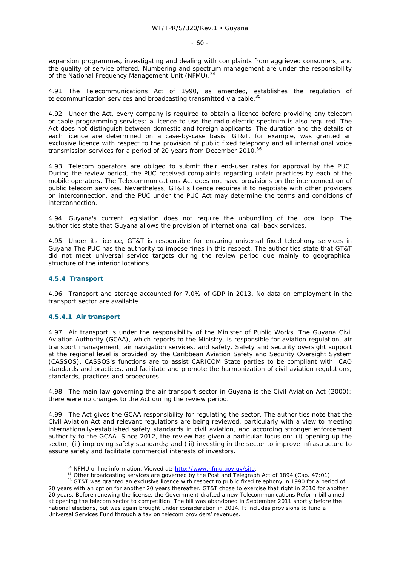expansion programmes, investigating and dealing with complaints from aggrieved consumers, and the quality of service offered. Numbering and spectrum management are under the responsibility of the National Frequency Management Unit (NFMU).<sup>34</sup>

4.91. The Telecommunications Act of 1990, as amended, establishes the regulation of telecommunication services and broadcasting transmitted via cable.<sup>35</sup>

4.92. Under the Act, every company is required to obtain a licence before providing any telecom or cable programming services; a licence to use the radio-electric spectrum is also required. The Act does not distinguish between domestic and foreign applicants. The duration and the details of each licence are determined on a case-by-case basis. GT&T, for example, was granted an exclusive licence with respect to the provision of public fixed telephony and all international voice transmission services for a period of 20 years from December 2010.<sup>36</sup>

4.93. Telecom operators are obliged to submit their end-user rates for approval by the PUC. During the review period, the PUC received complaints regarding unfair practices by each of the mobile operators. The Telecommunications Act does not have provisions on the interconnection of public telecom services. Nevertheless, GT&T's licence requires it to negotiate with other providers on interconnection, and the PUC under the PUC Act may determine the terms and conditions of interconnection.

4.94. Guyana's current legislation does not require the unbundling of the local loop. The authorities state that Guyana allows the provision of international call-back services.

4.95. Under its licence, GT&T is responsible for ensuring universal fixed telephony services in Guyana The PUC has the authority to impose fines in this respect. The authorities state that GT&T did not meet universal service targets during the review period due mainly to geographical structure of the interior locations.

#### **4.5.4 Transport**

4.96. Transport and storage accounted for 7.0% of GDP in 2013. No data on employment in the transport sector are available.

#### **4.5.4.1 Air transport**

4.97. Air transport is under the responsibility of the Minister of Public Works. The Guyana Civil Aviation Authority (GCAA), which reports to the Ministry, is responsible for aviation regulation, air transport management, air navigation services, and safety. Safety and security oversight support at the regional level is provided by the Caribbean Aviation Safety and Security Oversight System (CASSOS). CASSOS's functions are to assist CARICOM State parties to be compliant with ICAO standards and practices, and facilitate and promote the harmonization of civil aviation regulations, standards, practices and procedures.

4.98. The main law governing the air transport sector in Guyana is the Civil Aviation Act (2000); there were no changes to the Act during the review period.

4.99. The Act gives the GCAA responsibility for regulating the sector. The authorities note that the Civil Aviation Act and relevant regulations are being reviewed, particularly with a view to meeting internationally-established safety standards in civil aviation, and according stronger enforcement authority to the GCAA. Since 2012, the review has given a particular focus on: (i) opening up the sector; (ii) improving safety standards; and (iii) investing in the sector to improve infrastructure to assure safety and facilitate commercial interests of investors.

<sup>&</sup>lt;sup>34</sup> NFMU online information. Viewed at:  $\frac{http://www.nfmu.gov.gov/site}{http://www.nfmu.gov.gov/site}$ .<br><sup>35</sup> Other broadcasting services are governed by the Post and Telegraph Act of 1894 (Cap. 47:01).<br><sup>36</sup> GT&T was granted an exclusive licence with respe

<sup>20</sup> years with an option for another 20 years thereafter. GT&T chose to exercise that right in 2010 for another 20 years. Before renewing the license, the Government drafted a new Telecommunications Reform bill aimed at opening the telecom sector to competition. The bill was abandoned in September 2011 shortly before the national elections, but was again brought under consideration in 2014. It includes provisions to fund a Universal Services Fund through a tax on telecom providers' revenues.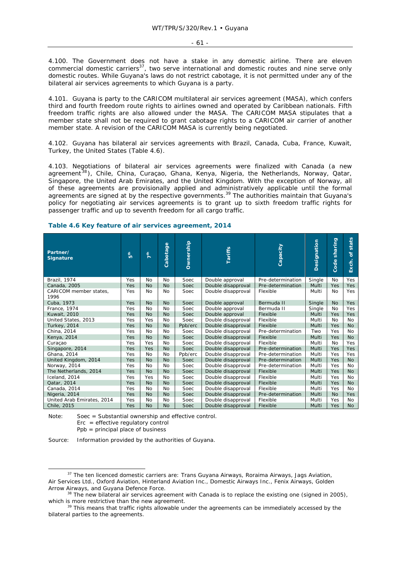4.100. The Government does not have a stake in any domestic airline. There are eleven commercial domestic carriers<sup>37</sup>, two serve international and domestic routes and nine serve only domestic routes. While Guyana's laws do not restrict cabotage, it is not permitted under any of the bilateral air services agreements to which Guyana is a party.

4.101. Guyana is party to the CARICOM multilateral air services agreement (MASA), which confers third and fourth freedom route rights to airlines owned and operated by Caribbean nationals. Fifth freedom traffic rights are also allowed under the MASA. The CARICOM MASA stipulates that a member state shall not be required to grant cabotage rights to a CARICOM air carrier of another member state. A revision of the CARICOM MASA is currently being negotiated.

4.102. Guyana has bilateral air services agreements with Brazil, Canada, Cuba, France, Kuwait, Turkey, the United States (Table 4.6).

4.103. Negotiations of bilateral air services agreements were finalized with Canada (a new agreement<sup>38</sup>), Chile, China, Curaçao, Ghana, Kenya, Nigeria, the Netherlands, Norway, Qatar, Singapore, the United Arab Emirates, and the United Kingdom. With the exception of Norway, all of these agreements are provisionally applied and administratively applicable until the formal agreements are signed at by the respective governments.<sup>39</sup> The authorities maintain that Guyana's policy for negotiating air services agreements is to grant up to sixth freedom traffic rights for passenger traffic and up to seventh freedom for all cargo traffic.

**Table 4.6 Key feature of air services agreement, 2014** 

| Partner/<br><b>Signature</b>   | $\frac{2}{5}$ | 7 <sup>th</sup> | Cabotage  | Ownership   | <b>Tariffs</b>     | Capacity          | Designation | sharing<br>Code | stats<br>৳<br>Exch. |
|--------------------------------|---------------|-----------------|-----------|-------------|--------------------|-------------------|-------------|-----------------|---------------------|
| Brazil, 1974                   | Yes           | No              | No        | Soec        | Double approval    | Pre-determination | Single      | No              | Yes                 |
| Canada, 2005                   | Yes           | <b>No</b>       | No        | Soec        | Double disapproval | Pre-determination | Multi       | Yes             | <b>Yes</b>          |
| CARICOM member states,<br>1996 | Yes           | No              | No        | Soec        | Double disapproval | Flexible          | Multi       | No              | Yes                 |
| Cuba, 1973                     | Yes           | No              | <b>No</b> | <b>Soec</b> | Double approval    | Bermuda II        | Single      | <b>No</b>       | Yes                 |
| France, 1974                   | Yes           | No              | No        | Soec        | Double approval    | Bermuda II        | Single      | No              | Yes                 |
| Kuwait, 2010                   | Yes           | <b>No</b>       | <b>No</b> | Soec        | Double approval    | Flexible          | Multi       | Yes             | Yes                 |
| United States, 2013            | Yes           | Yes             | No        | Soec        | Double disapproval | Flexible          | Multi       | No              | <b>No</b>           |
| <b>Turkey, 2014</b>            | Yes           | <b>No</b>       | <b>No</b> | Ppb/erc     | Double disapproval | Flexible          | Multi       | Yes             | <b>No</b>           |
| China, 2014                    | Yes           | <b>No</b>       | <b>No</b> | Soec        | Double disapproval | Pre-determination | Two         | Yes             | <b>No</b>           |
| Kenya, 2014                    | Yes           | <b>No</b>       | <b>No</b> | Soec        | Double disapproval | Flexible          | Multi       | Yes             | <b>No</b>           |
| Curacao                        | Yes           | Yes             | No        | Soec        | Double disapproval | Flexible          | Multi       | No              | Yes                 |
| Singapore, 2014                | Yes           | Yes             | <b>No</b> | Soec        | Double disapproval | Pre-determination | Multi       | Yes             | <b>Yes</b>          |
| Ghana, 2014                    | Yes           | <b>No</b>       | <b>No</b> | Ppb/erc     | Double disapproval | Pre-determination | Multi       | Yes             | Yes                 |
| United Kingdom, 2014           | Yes           | No              | No        | Soec        | Double disapproval | Pre-determination | Multi       | Yes             | <b>No</b>           |
| Norway, 2014                   | Yes           | No              | No        | Soec        | Double disapproval | Pre-determination | Multi       | Yes             | <b>No</b>           |
| The Netherlands, 2014          | Yes           | <b>No</b>       | No        | Soec        | Double disapproval | Flexible          | Multi       | Yes             | <b>No</b>           |
| Iceland, 2014                  | Yes           | Yes             | No        | Soec        | Double disapproval | Flexible          | Multi       | Yes             | No                  |
| Qatar, 2014                    | Yes           | <b>No</b>       | <b>No</b> | Soec        | Double disapproval | Flexible          | Multi       | Yes             | <b>No</b>           |
| Canada, 2014                   | Yes           | No              | No        | Soec        | Double disapproval | Flexible          | Multi       | Yes             | No                  |
| Nigeria, 2014                  | Yes           | <b>No</b>       | <b>No</b> | Soec        | Double disapproval | Pre-determination | Multi       | <b>No</b>       | <b>Yes</b>          |
| United Arab Emirates, 2014     | Yes           | No              | No        | Soec        | Double disapproval | Flexible          | Multi       | Yes             | <b>No</b>           |
| Chile, 2015                    | Yes           | <b>No</b>       | <b>No</b> | Soec        | Double disapproval | Flexible          | Multi       | Yes             | <b>No</b>           |

Note: Soec = Substantial ownership and effective control.  $\text{Enc} = \text{effective regulatory control}$ Ppb = principal place of business

Source: Information provided by the authorities of Guyana.

<sup>&</sup>lt;sup>37</sup> The ten licenced domestic carriers are: Trans Guyana Airways, Roraima Airways, Jags Aviation, Air Services Ltd., Oxford Aviation, Hinterland Aviation Inc., Domestic Airways Inc., Fenix Airways, Golden Arrow Airways, and Guyana Defence Force.<br><sup>38</sup> The new bilateral air services agreement with Canada is to replace the existing one (signed in 2005),

which is more restrictive than the new agreement.<br><sup>39</sup> This means that traffic rights allowable under the agreements can be immediately accessed by the

bilateral parties to the agreements.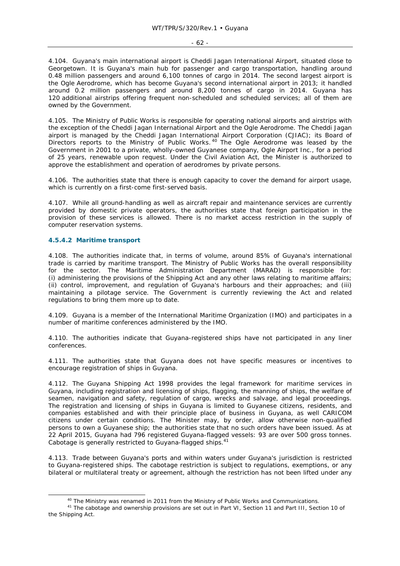4.104. Guyana's main international airport is Cheddi Jagan International Airport, situated close to Georgetown. It is Guyana's main hub for passenger and cargo transportation, handling around 0.48 million passengers and around 6,100 tonnes of cargo in 2014. The second largest airport is the Ogle Aerodrome, which has become Guyana's second international airport in 2013; it handled around 0.2 million passengers and around 8,200 tonnes of cargo in 2014. Guyana has 120 additional airstrips offering frequent non-scheduled and scheduled services; all of them are owned by the Government.

4.105. The Ministry of Public Works is responsible for operating national airports and airstrips with the exception of the Cheddi Jagan International Airport and the Ogle Aerodrome. The Cheddi Jagan airport is managed by the Cheddi Jagan International Airport Corporation (CJIAC); its Board of Directors reports to the Ministry of Public Works.<sup>40</sup> The Ogle Aerodrome was leased by the Government in 2001 to a private, wholly-owned Guyanese company, Ogle Airport Inc., for a period of 25 years, renewable upon request. Under the Civil Aviation Act, the Minister is authorized to approve the establishment and operation of aerodromes by private persons.

4.106. The authorities state that there is enough capacity to cover the demand for airport usage, which is currently on a first-come first-served basis.

4.107. While all ground-handling as well as aircraft repair and maintenance services are currently provided by domestic private operators, the authorities state that foreign participation in the provision of these services is allowed. There is no market access restriction in the supply of computer reservation systems.

#### **4.5.4.2 Maritime transport**

4.108. The authorities indicate that, in terms of volume, around 85% of Guyana's international trade is carried by maritime transport. The Ministry of Public Works has the overall responsibility for the sector. The Maritime Administration Department (MARAD) is responsible for: (i) administering the provisions of the Shipping Act and any other laws relating to maritime affairs; (ii) control, improvement, and regulation of Guyana's harbours and their approaches; and (iii) maintaining a pilotage service. The Government is currently reviewing the Act and related regulations to bring them more up to date.

4.109. Guyana is a member of the International Maritime Organization (IMO) and participates in a number of maritime conferences administered by the IMO.

4.110. The authorities indicate that Guyana-registered ships have not participated in any liner conferences.

4.111. The authorities state that Guyana does not have specific measures or incentives to encourage registration of ships in Guyana.

4.112. The Guyana Shipping Act 1998 provides the legal framework for maritime services in Guyana, including registration and licensing of ships, flagging, the manning of ships, the welfare of seamen, navigation and safety, regulation of cargo, wrecks and salvage, and legal proceedings. The registration and licensing of ships in Guyana is limited to Guyanese citizens, residents, and companies established and with their principle place of business in Guyana, as well CARICOM citizens under certain conditions. The Minister may, by order, allow otherwise non-qualified persons to own a Guyanese ship; the authorities state that no such orders have been issued. As at 22 April 2015, Guyana had 796 registered Guyana-flagged vessels: 93 are over 500 gross tonnes. Cabotage is generally restricted to Guyana-flagged ships.<sup>41</sup>

4.113. Trade between Guyana's ports and within waters under Guyana's jurisdiction is restricted to Guyana-registered ships. The cabotage restriction is subject to regulations, exemptions, or any bilateral or multilateral treaty or agreement, although the restriction has not been lifted under any

<sup>&</sup>lt;sup>40</sup> The Ministry was renamed in 2011 from the Ministry of Public Works and Communications.<br><sup>41</sup> The cabotage and ownership provisions are set out in Part VI, Section 11 and Part III, Section 10 of the Shipping Act.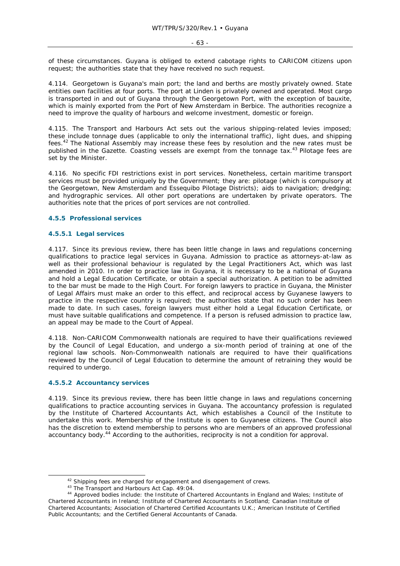of these circumstances. Guyana is obliged to extend cabotage rights to CARICOM citizens upon request; the authorities state that they have received no such request.

4.114. Georgetown is Guyana's main port; the land and berths are mostly privately owned. State entities own facilities at four ports. The port at Linden is privately owned and operated. Most cargo is transported in and out of Guyana through the Georgetown Port, with the exception of bauxite, which is mainly exported from the Port of New Amsterdam in Berbice. The authorities recognize a need to improve the quality of harbours and welcome investment, domestic or foreign.

4.115. The Transport and Harbours Act sets out the various shipping-related levies imposed; these include tonnage dues (applicable to only the international traffic), light dues, and shipping fees.42 The National Assembly may increase these fees by resolution and the new rates must be published in the *Gazette*. Coasting vessels are exempt from the tonnage tax.<sup>43</sup> Pilotage fees are set by the Minister.

4.116. No specific FDI restrictions exist in port services. Nonetheless, certain maritime transport services must be provided uniquely by the Government; they are: pilotage (which is compulsory at the Georgetown, New Amsterdam and Essequibo Pilotage Districts); aids to navigation; dredging; and hydrographic services. All other port operations are undertaken by private operators. The authorities note that the prices of port services are not controlled.

#### **4.5.5 Professional services**

#### **4.5.5.1 Legal services**

4.117. Since its previous review, there has been little change in laws and regulations concerning qualifications to practice legal services in Guyana. Admission to practice as attorneys-at-law as well as their professional behaviour is regulated by the Legal Practitioners Act, which was last amended in 2010. In order to practice law in Guyana, it is necessary to be a national of Guyana and hold a Legal Education Certificate, or obtain a special authorization. A petition to be admitted to the bar must be made to the High Court. For foreign lawyers to practice in Guyana, the Minister of Legal Affairs must make an order to this effect, and reciprocal access by Guyanese lawyers to practice in the respective country is required; the authorities state that no such order has been made to date. In such cases, foreign lawyers must either hold a Legal Education Certificate, or must have suitable qualifications and competence. If a person is refused admission to practice law, an appeal may be made to the Court of Appeal.

4.118. Non-CARICOM Commonwealth nationals are required to have their qualifications reviewed by the Council of Legal Education, and undergo a six-month period of training at one of the regional law schools. Non-Commonwealth nationals are required to have their qualifications reviewed by the Council of Legal Education to determine the amount of retraining they would be required to undergo.

#### **4.5.5.2 Accountancy services**

4.119. Since its previous review, there has been little change in laws and regulations concerning qualifications to practice accounting services in Guyana. The accountancy profession is regulated by the Institute of Chartered Accountants Act, which establishes a Council of the Institute to undertake this work. Membership of the Institute is open to Guyanese citizens. The Council also has the discretion to extend membership to persons who are members of an approved professional accountancy body.<sup>44</sup> According to the authorities, reciprocity is not a condition for approval.

<sup>&</sup>lt;sup>42</sup> Shipping fees are charged for engagement and disengagement of crews.<br><sup>43</sup> The Transport and Harbours Act Cap. 49:04.<br><sup>44</sup> Approved bodies include: the Institute of Chartered Accountants in England and Wales; Institut Chartered Accountants in Ireland; Institute of Chartered Accountants in Scotland; Canadian Institute of Chartered Accountants; Association of Chartered Certified Accountants U.K.; American Institute of Certified Public Accountants; and the Certified General Accountants of Canada.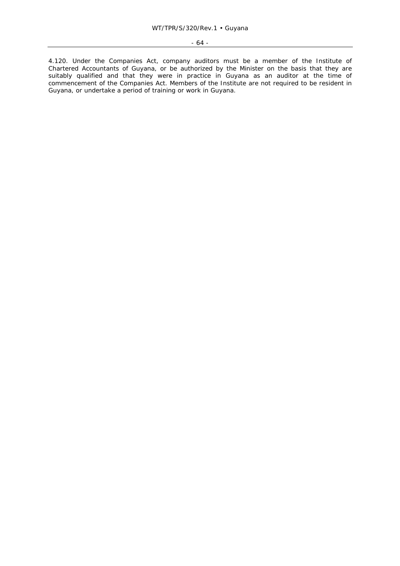4.120. Under the Companies Act, company auditors must be a member of the Institute of Chartered Accountants of Guyana, or be authorized by the Minister on the basis that they are suitably qualified and that they were in practice in Guyana as an auditor at the time of commencement of the Companies Act. Members of the Institute are not required to be resident in Guyana, or undertake a period of training or work in Guyana.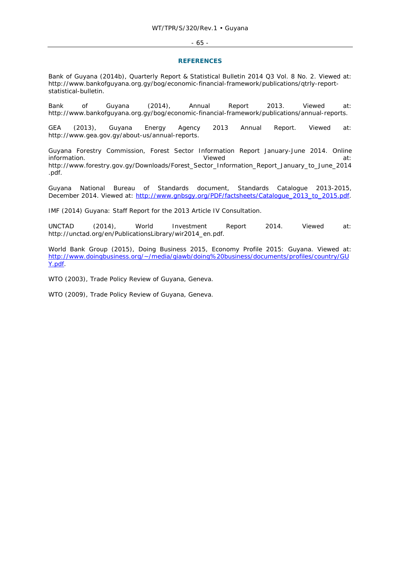#### - 65 -

#### **REFERENCES**

Bank of Guyana (2014b), Quarterly Report & Statistical Bulletin 2014 Q3 Vol. 8 No. 2. Viewed at: http://www.bankofguyana.org.gy/bog/economic-financial-framework/publications/qtrly-reportstatistical-bulletin.

Bank of Guyana (2014), Annual Report 2013. Viewed at: http://www.bankofguyana.org.gy/bog/economic-financial-framework/publications/annual-reports.

GEA (2013), Guyana Energy Agency 2013 Annual Report. Viewed at: http://www.gea.gov.gy/about-us/annual-reports.

Guyana Forestry Commission, Forest Sector Information Report January-June 2014. Online information. The contract of the contract of the Viewed at a set of the contract of the contract of the contract of the contract of the contract of the contract of the contract of the contract of the contract of the contra http://www.forestry.gov.gy/Downloads/Forest\_Sector\_Information\_Report\_January\_to\_June\_2014 .pdf.

Guyana National Bureau of Standards document, Standards Catalogue 2013-2015, December 2014. Viewed at: http://www.gnbsgy.org/PDF/factsheets/Catalogue\_2013\_to\_2015.pdf.

IMF (2014) Guyana: Staff Report for the 2013 Article IV Consultation.

UNCTAD (2014), World Investment Report 2014. Viewed at: http://unctad.org/en/PublicationsLibrary/wir2014\_en.pdf.

World Bank Group (2015), *Doing Business 2015, Economy Profile 2015: Guyana*. Viewed at: http://www.doingbusiness.org/~/media/giawb/doing%20business/documents/profiles/country/GU Y.pdf.

WTO (2003), *Trade Policy Review of Guyana,* Geneva.

WTO (2009), *Trade Policy Review of Guyana*, Geneva.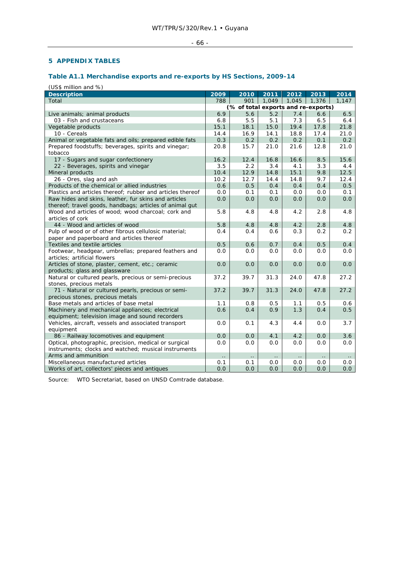# $-66 -$

# **5 APPENDIX TABLES**

# **Table A1.1 Merchandise exports and re-exports by HS Sections, 2009-14**

(US\$ million and %)

| <b>Description</b>                                         | 2009                                | 2010                 | 2011                   | 2012      | 2013      | 2014      |
|------------------------------------------------------------|-------------------------------------|----------------------|------------------------|-----------|-----------|-----------|
| Total                                                      | 788                                 | 901                  | 1,049                  | 1,045     | 1,376     | 1,147     |
|                                                            | (% of total exports and re-exports) |                      |                        |           |           |           |
| Live animals; animal products                              | 6.9                                 | 5.6                  | 5.2                    | 7.4       | 6.6       | 6.5       |
| 03 - Fish and crustaceans                                  | 6.8                                 | 5.5                  | 5.1                    | 7.3       | 6.5       | 6.4       |
| Vegetable products                                         | 15.1                                | 18.1                 | 15.0                   | 19.4      | 17.8      | 21.8      |
| 10 - Cereals                                               | 14.4                                | 16.9                 | 14.1                   | 18.8      | 17.4      | 21.0      |
| Animal or vegetable fats and oils; prepared edible fats    | 0.3                                 | 0.2                  | 0.2                    | 0.2       | 0.1       | 0.2       |
| Prepared foodstuffs; beverages, spirits and vinegar;       | 20.8                                | 15.7                 | 21.0                   | 21.6      | 12.8      | 21.0      |
| tobacco                                                    |                                     |                      |                        |           |           |           |
| 17 - Sugars and sugar confectionery                        | 16.2                                | 12.4                 | 16.8                   | 16.6      | 8.5       | 15.6      |
| 22 - Beverages, spirits and vinegar                        | 3.5                                 | 2.2                  | 3.4                    | 4.1       | 3.3       | 4.4       |
| Mineral products                                           | 10.4                                | 12.9                 | 14.8                   | 15.1      | 9.8       | 12.5      |
| 26 - Ores, slag and ash                                    | 10.2                                | 12.7                 | 14.4                   | 14.8      | 9.7       | 12.4      |
| Products of the chemical or allied industries              | 0.6                                 | 0.5                  | 0.4                    | 0.4       | 0.4       | 0.5       |
| Plastics and articles thereof; rubber and articles thereof | 0.0                                 | 0.1                  | 0.1                    | 0.0       | 0.0       | 0.1       |
| Raw hides and skins, leather, fur skins and articles       | 0.0                                 | 0.0                  | 0.0                    | 0.0       | 0.0       | 0.0       |
| thereof; travel goods, handbags; articles of animal gut    |                                     |                      |                        |           |           |           |
| Wood and articles of wood; wood charcoal; cork and         | 5.8                                 | 4.8                  | 4.8                    | 4.2       | 2.8       | 4.8       |
| articles of cork                                           |                                     |                      |                        |           |           |           |
| 44 - Wood and articles of wood                             | 5.8                                 | 4.8                  | 4.8                    | 4.2       | 2.8       | 4.8       |
| Pulp of wood or of other fibrous cellulosic material;      | 0.4                                 | 0.4                  | 0.6                    | 0.3       | 0.2       | 0.2       |
| paper and paperboard and articles thereof                  |                                     |                      |                        |           |           |           |
| Textiles and textile articles                              | 0.5                                 | 0.6                  | 0.7                    | 0.4       | 0.5       | 0.4       |
| Footwear, headgear, umbrellas; prepared feathers and       | 0.0                                 | 0.0                  | 0.0                    | 0.0       | 0.0       | 0.0       |
| articles; artificial flowers                               |                                     |                      |                        |           |           |           |
| Articles of stone, plaster, cement, etc.; ceramic          | 0.0                                 | 0.0                  | 0.0                    | 0.0       | 0.0       | 0.0       |
| products; glass and glassware                              |                                     |                      |                        |           |           |           |
| Natural or cultured pearls, precious or semi-precious      | 37.2                                | 39.7                 | 31.3                   | 24.0      | 47.8      | 27.2      |
| stones, precious metals                                    |                                     |                      |                        |           |           |           |
| 71 - Natural or cultured pearls, precious or semi-         | 37.2                                | 39.7                 | 31.3                   | 24.0      | 47.8      | 27.2      |
| precious stones, precious metals                           |                                     |                      |                        |           |           |           |
| Base metals and articles of base metal                     | 1.1                                 | 0.8                  | 0.5                    | 1.1       | 0.5       | 0.6       |
| Machinery and mechanical appliances; electrical            | 0.6                                 | 0.4                  | 0.9                    | 1.3       | 0.4       | 0.5       |
| equipment; television image and sound recorders            |                                     |                      |                        |           |           |           |
| Vehicles, aircraft, vessels and associated transport       | 0.0                                 | 0.1                  | 4.3                    | 4.4       | 0.0       | 3.7       |
| equipment                                                  |                                     |                      |                        |           |           |           |
| 86 - Railway locomotives and equipment                     | 0.0                                 | 0.0                  | 4.1                    | 4.2       | 0.0       | 3.6       |
| Optical, photographic, precision, medical or surgical      | 0.0                                 | 0.0                  | 0.0                    | 0.0       | 0.0       | 0.0       |
| instruments; clocks and watched; musical instruments       |                                     |                      |                        |           |           |           |
| Arms and ammunition                                        | $\ddotsc$                           | $\ddot{\phantom{0}}$ | $\ddot{\phantom{a}}$ . | $\ddotsc$ | $\ddotsc$ | $\ddotsc$ |
| Miscellaneous manufactured articles                        | 0.1                                 | 0.1                  | 0.0                    | 0.0       | 0.0       | 0.0       |
| Works of art, collectors' pieces and antiques              | 0.0                                 | 0.0                  | 0.0                    | 0.0       | 0.0       | 0.0       |

Source: WTO Secretariat, based on UNSD Comtrade database.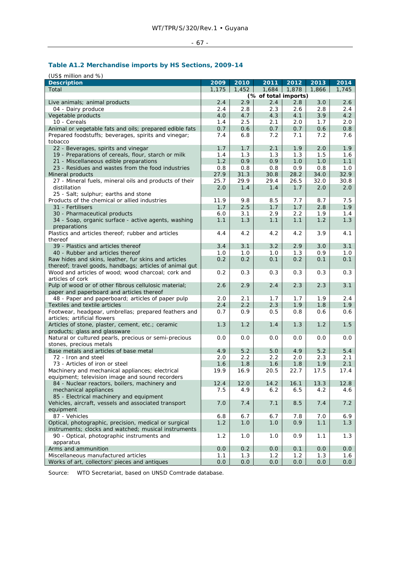# - 67 -

# **Table A1.2 Merchandise imports by HS Sections, 2009-14**

| (US\$ million and %)                                    |       |       |                      |       |       |       |
|---------------------------------------------------------|-------|-------|----------------------|-------|-------|-------|
| <b>Description</b>                                      | 2009  | 2010  | 2011                 | 2012  | 2013  | 2014  |
| Total                                                   | 1,175 | 1,452 | 1,684                | 1,878 | 1,866 | 1,745 |
|                                                         |       |       | (% of total imports) |       |       |       |
| Live animals; animal products                           | 2.4   | 2.9   | 2.4                  | 2.8   | 3.0   | 2.6   |
| 04 - Dairy produce                                      | 2.4   | 2.8   | 2.3                  | 2.6   | 2.8   | 2.4   |
| Vegetable products                                      | 4.0   | 4.7   | 4.3                  | 4.1   | 3.9   | 4.2   |
| 10 - Cereals                                            | 1.4   | 2.5   | 2.1                  | 2.0   | 1.7   | 2.0   |
| Animal or vegetable fats and oils; prepared edible fats | 0.7   | 0.6   | 0.7                  | 0.7   | 0.6   | 0.8   |
| Prepared foodstuffs; beverages, spirits and vinegar;    | 7.4   | 6.8   | 7.2                  | 7.1   | 7.2   | 7.6   |
| tobacco                                                 |       |       |                      |       |       |       |
| 22 - Beverages, spirits and vinegar                     | 1.7   | 1.7   | 2.1                  | 1.9   | 2.0   | 1.9   |
| 19 - Preparations of cereals, flour, starch or milk     | 1.4   | 1.3   | 1.3                  | 1.3   | 1.5   | 1.6   |
| 21 - Miscellaneous edible preparations                  | 1.2   | 0.9   | 0.9                  | 1.0   | 1.0   | 1.1   |
| 23 - Residues and wastes from the food industries       | 0.8   | 0.8   | 0.8                  | 0.9   | 0.8   | 1.0   |
| Mineral products                                        | 27.9  | 31.3  | 30.8                 | 28.2  | 34.0  | 32.9  |
| 27 - Mineral fuels, mineral oils and products of their  | 25.7  | 29.9  | 29.4                 | 26.5  | 32.0  | 30.8  |
| distillation                                            | 2.0   | 1.4   | 1.4                  | 1.7   | 2.0   | 2.0   |
| 25 - Salt; sulphur; earths and stone                    |       |       |                      |       |       |       |
| Products of the chemical or allied industries           | 11.9  | 9.8   | 8.5                  | 7.7   | 8.7   | 7.5   |
| 31 - Fertilisers                                        | 1.7   | 2.5   | 1.7                  | 1.7   | 2.8   | 1.9   |
| 30 - Pharmaceutical products                            | 6.0   | 3.1   | 2.9                  | 2.2   | 1.9   | 1.4   |
| 34 - Soap, organic surface - active agents, washing     | 1.1   | 1.3   | 1.1                  | 1.1   | 1.2   | 1.3   |
| preparations                                            |       |       |                      |       |       |       |
| Plastics and articles thereof; rubber and articles      | 4.4   | 4.2   | 4.2                  | 4.2   | 3.9   | 4.1   |
| thereof                                                 |       |       |                      |       |       |       |
| 39 - Plastics and articles thereof                      | 3.4   | 3.1   | 3.2                  | 2.9   | 3.0   | 3.1   |
| 40 - Rubber and articles thereof                        | 1.0   | 1.0   | 1.0                  | 1.3   | 0.9   | 1.0   |
| Raw hides and skins, leather, fur skins and articles    | 0.2   | 0.2   | 0.1                  | 0.2   | 0.1   | 0.1   |
| thereof; travel goods, handbags; articles of animal gut |       |       |                      |       |       |       |
| Wood and articles of wood; wood charcoal; cork and      | 0.2   | 0.3   | 0.3                  | 0.3   | 0.3   | 0.3   |
| articles of cork                                        |       |       |                      |       |       |       |
| Pulp of wood or of other fibrous cellulosic material;   | 2.6   | 2.9   | 2.4                  | 2.3   | 2.3   | 3.1   |
| paper and paperboard and articles thereof               |       |       |                      |       |       |       |
| 48 - Paper and paperboard; articles of paper pulp       | 2.0   | 2.1   | 1.7                  | 1.7   | 1.9   | 2.4   |
| Textiles and textile articles                           | 2.4   | 2.2   | 2.3                  | 1.9   | 1.8   | 1.9   |
| Footwear, headgear, umbrellas; prepared feathers and    | 0.7   | 0.9   | 0.5                  | 0.8   | 0.6   | 0.6   |
| articles; artificial flowers                            |       |       |                      |       |       |       |
| Articles of stone, plaster, cement, etc.; ceramic       | 1.3   | 1.2   | 1.4                  | 1.3   | 1.2   | 1.5   |
| products; glass and glassware                           |       |       |                      |       |       |       |
| Natural or cultured pearls, precious or semi-precious   | 0.0   | 0.0   | 0.0                  | 0.0   | 0.0   | 0.0   |
| stones, precious metals                                 |       |       |                      |       |       |       |
| Base metals and articles of base metal                  | 4.9   | 5.2   | 5.0                  | 4.9   | 5.2   | 5.4   |
| 72 - Iron and steel                                     | 2.0   | 2.2   | 2.2                  | 2.0   | 2.3   | 2.1   |
| 73 - Articles of iron or steel                          | 1.6   | 1.8   | 1.6                  | 1.8   | 1.9   | 2.1   |
| Machinery and mechanical appliances; electrical         | 19.9  | 16.9  | 20.5                 | 22.7  | 17.5  | 17.4  |
| equipment; television image and sound recorders         |       |       |                      |       |       |       |
| 84 - Nuclear reactors, boilers, machinery and           | 12.4  | 12.0  | 14.2                 | 16.1  | 13.3  | 12.8  |
| mechanical appliances                                   | 7.5   | 4.9   | 6.2                  | 6.5   | 4.2   | 4.6   |
| 85 - Electrical machinery and equipment                 |       |       |                      |       |       |       |
| Vehicles, aircraft, vessels and associated transport    | 7.0   | 7.4   | 7.1                  | 8.5   | 7.4   | 7.2   |
| equipment                                               |       |       |                      |       |       |       |
| 87 - Vehicles                                           | 6.8   | 6.7   | 6.7                  | 7.8   | 7.0   | 6.9   |
| Optical, photographic, precision, medical or surgical   | 1.2   | 1.0   | 1.0                  | 0.9   | 1.1   | 1.3   |
| instruments; clocks and watched; musical instruments    |       |       |                      |       |       |       |
| 90 - Optical, photographic instruments and              | 1.2   | 1.0   | 1.0                  | 0.9   | 1.1   | 1.3   |
| apparatus                                               |       |       |                      |       |       |       |
| Arms and ammunition                                     | 0.0   | 0.2   | 0.0                  | 0.1   | 0.0   | 0.0   |
| Miscellaneous manufactured articles                     | 1.1   | 1.3   | 1.2                  | 1.2   | 1.3   | 1.6   |
| Works of art, collectors' pieces and antiques           | 0.0   | 0.0   | 0.0                  | 0.0   | 0.0   | 0.0   |
|                                                         |       |       |                      |       |       |       |

Source: WTO Secretariat, based on UNSD Comtrade database.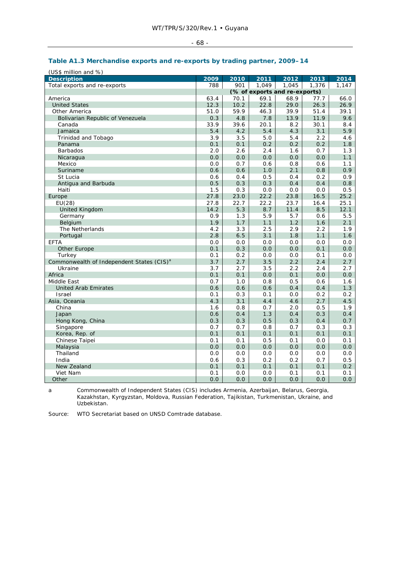| - 68 - |  |  |
|--------|--|--|
|--------|--|--|

# **Table A1.3 Merchandise exports and re-exports by trading partner, 2009–14**

| (US\$ million and %)                                  |      |      |                               |       |       |       |
|-------------------------------------------------------|------|------|-------------------------------|-------|-------|-------|
| <b>Description</b>                                    | 2009 | 2010 | 2011                          | 2012  | 2013  | 2014  |
| Total exports and re-exports                          | 788  | 901  | 1,049                         | 1,045 | 1,376 | 1,147 |
|                                                       |      |      | (% of exports and re-exports) |       |       |       |
| America                                               | 63.4 | 70.1 | 69.1                          | 68.9  | 77.7  | 66.0  |
| <b>United States</b>                                  | 12.3 | 10.2 | 22.8                          | 29.0  | 26.3  | 26.9  |
| Other America                                         | 51.0 | 59.9 | 46.3                          | 39.9  | 51.4  | 39.1  |
| Bolivarian Republic of Venezuela                      | 0.3  | 4.8  | 7.8                           | 13.9  | 11.9  | 9.6   |
| Canada                                                | 33.9 | 39.6 | 20.1                          | 8.2   | 30.1  | 8.4   |
| Jamaica                                               | 5.4  | 4.2  | 5.4                           | 4.3   | 3.1   | 5.9   |
| Trinidad and Tobago                                   | 3.9  | 3.5  | 5.0                           | 5.4   | 2.2   | 4.6   |
| Panama                                                | 0.1  | 0.1  | 0.2                           | 0.2   | 0.2   | 1.8   |
| <b>Barbados</b>                                       | 2.0  | 2.6  | 2.4                           | 1.6   | 0.7   | 1.3   |
| Nicaragua                                             | 0.0  | 0.0  | 0.0                           | 0.0   | 0.0   | 1.1   |
| Mexico                                                | 0.0  | 0.7  | 0.6                           | 0.8   | 0.6   | 1.1   |
| Suriname                                              | 0.6  | 0.6  | 1.0                           | 2.1   | 0.8   | 0.9   |
| St Lucia                                              | 0.6  | 0.4  | 0.5                           | 0.4   | 0.2   | 0.9   |
| Antigua and Barbuda                                   | 0.5  | 0.3  | 0.3                           | 0.4   | 0.4   | 0.8   |
| Haiti                                                 | 1.5  | 0.3  | 0.0                           | 0.0   | 0.0   | 0.5   |
| Europe                                                | 27.8 | 23.0 | 22.2                          | 23.8  | 16.5  | 25.2  |
| EU(28)                                                | 27.8 | 22.7 | 22.2                          | 23.7  | 16.4  | 25.1  |
| <b>United Kingdom</b>                                 | 14.2 | 5.3  | 8.7                           | 11.4  | 8.5   | 12.1  |
| Germany                                               | 0.9  | 1.3  | 5.9                           | 5.7   | 0.6   | 5.5   |
| Belgium                                               | 1.9  | 1.7  | 1.1                           | 1.2   | 1.6   | 2.1   |
| The Netherlands                                       | 4.2  | 3.3  | 2.5                           | 2.9   | 2.2   | 1.9   |
| Portugal                                              | 2.8  | 6.5  | 3.1                           | 1.8   | 1.1   | 1.6   |
| <b>EFTA</b>                                           | 0.0  | 0.0  | 0.0                           | 0.0   | 0.0   | 0.0   |
| <b>Other Europe</b>                                   | 0.1  | 0.3  | 0.0                           | 0.0   | 0.1   | 0.0   |
| Turkey                                                | 0.1  | 0.2  | 0.0                           | 0.0   | 0.1   | 0.0   |
| Commonwealth of Independent States (CIS) <sup>a</sup> | 3.7  | 2.7  | 3.5                           | 2.2   | 2.4   | 2.7   |
| Ukraine                                               | 3.7  | 2.7  | 3.5                           | 2.2   | 2.4   | 2.7   |
| Africa                                                | 0.1  | 0.1  | 0.0                           | 0.1   | 0.0   | 0.0   |
| Middle East                                           | 0.7  | 1.0  | 0.8                           | 0.5   | 0.6   | 1.6   |
| <b>United Arab Emirates</b>                           | 0.6  | 0.6  | 0.6                           | 0.4   | 0.4   | 1.3   |
| <b>Israel</b>                                         | 0.1  | 0.3  | 0.1                           | 0.0   | 0.2   | 0.2   |
| Asia, Oceania                                         | 4.3  | 3.1  | 4.4                           | 4.6   | 2.7   | 4.5   |
| China                                                 | 1.6  | 0.8  | 0.7                           | 2.0   | 0.5   | 1.9   |
| Japan                                                 | 0.6  | 0.4  | 1.3                           | 0.4   | 0.3   | 0.4   |
| Hong Kong, China                                      | 0.3  | 0.3  | 0.5                           | 0.3   | 0.4   | 0.7   |
| Singapore                                             | 0.7  | 0.7  | 0.8                           | 0.7   | 0.3   | 0.3   |
| Korea, Rep. of                                        | 0.1  | 0.1  | 0.1                           | 0.1   | 0.1   | 0.1   |
| Chinese Taipei                                        | 0.1  | 0.1  | 0.5                           | 0.1   | 0.0   | 0.1   |
| Malaysia                                              | 0.0  | 0.0  | 0.0                           | 0.0   | 0.0   | 0.0   |
| Thailand                                              | 0.0  | 0.0  | 0.0                           | 0.0   | 0.0   | 0.0   |
| India                                                 | 0.6  | 0.3  | 0.2                           | 0.2   | 0.7   | 0.5   |
| New Zealand                                           | 0.1  | 0.1  | 0.1                           | 0.1   | 0.1   | 0.2   |
| Viet Nam                                              | 0.1  | 0.0  | 0.0                           | 0.1   | 0.1   | 0.1   |
| Other                                                 | 0.0  | 0.0  | 0.0                           | 0.0   | 0.0   | 0.0   |

a Commonwealth of Independent States (CIS) includes Armenia, Azerbaijan, Belarus, Georgia, Kazakhstan, Kyrgyzstan, Moldova, Russian Federation, Tajikistan, Turkmenistan, Ukraine, and Uzbekistan.

Source: WTO Secretariat based on UNSD Comtrade database.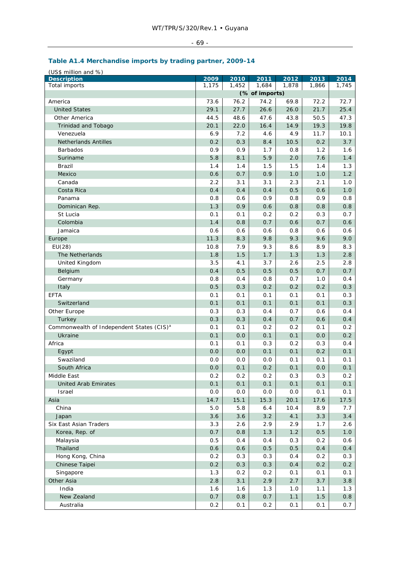# - 69 -

# **Table A1.4 Merchandise imports by trading partner, 2009-14**

| (US\$ million and %)                                  |               |               |                |               |               |               |
|-------------------------------------------------------|---------------|---------------|----------------|---------------|---------------|---------------|
| <b>Description</b><br>Total imports                   | 2009<br>1,175 | 2010<br>1,452 | 2011<br>1,684  | 2012<br>1,878 | 2013<br>1,866 | 2014<br>1,745 |
|                                                       |               |               | (% of imports) |               |               |               |
|                                                       | 73.6          | 76.2          | 74.2           | 69.8          | 72.2          | 72.7          |
| America<br><b>United States</b>                       | 29.1          | 27.7          | 26.6           |               | 21.7          | 25.4          |
|                                                       |               |               |                | 26.0          |               |               |
| Other America                                         | 44.5          | 48.6          | 47.6           | 43.8          | 50.5          | 47.3          |
| Trinidad and Tobago                                   | 20.1          | 22.0          | 16.4           | 14.9          | 19.3          | 19.8          |
| Venezuela                                             | 6.9           | 7.2           | 4.6            | 4.9           | 11.7          | 10.1          |
| <b>Netherlands Antilles</b>                           | 0.2           | 0.3           | 8.4            | 10.5          | 0.2           | 3.7           |
| <b>Barbados</b>                                       | 0.9           | 0.9           | 1.7            | 0.8           | 1.2           | 1.6           |
| Suriname                                              | 5.8           | 8.1           | 5.9            | 2.0           | 7.6           | 1.4           |
| <b>Brazil</b>                                         | 1.4           | 1.4           | 1.5            | 1.5           | 1.4           | 1.3           |
| Mexico                                                | 0.6           | 0.7           | 0.9            | 1.0           | 1.0           | 1.2           |
| Canada                                                | 2.2           | 3.1           | 3.1            | 2.3           | 2.1           | 1.0           |
| Costa Rica                                            | 0.4           | 0.4           | 0.4            | 0.5           | 0.6           | 1.0           |
| Panama                                                | 0.8           | 0.6           | 0.9            | 0.8           | 0.9           | 0.8           |
| Dominican Rep.                                        | 1.3           | 0.9           | 0.6            | 0.8           | 0.8           | 0.8           |
| St Lucia                                              | 0.1           | 0.1           | 0.2            | 0.2           | 0.3           | 0.7           |
| Colombia                                              | 1.4           | 0.8           | 0.7            | 0.6           | 0.7           | 0.6           |
| Jamaica                                               | 0.6           | 0.6           | 0.6            | 0.8           | 0.6           | 0.6           |
| Europe                                                | 11.3          | 8.3           | 9.8            | 9.3           | 9.6           | 9.0           |
| EU(28)                                                | 10.8          | 7.9           | 9.3            | 8.6           | 8.9           | 8.3           |
| The Netherlands                                       | 1.8           | 1.5           | 1.7            | 1.3           | 1.3           | 2.8           |
| United Kingdom                                        | 3.5           | 4.1           | 3.7            | 2.6           | 2.5           | 2.8           |
| Belgium                                               | 0.4           | 0.5           | 0.5            | 0.5           | 0.7           | 0.7           |
| Germany                                               | 0.8           | 0.4           | 0.8            | 0.7           | 1.0           | 0.4           |
| Italy                                                 | 0.5           | 0.3           | 0.2            | 0.2           | 0.2           | 0.3           |
| <b>EFTA</b>                                           | 0.1           | 0.1           | 0.1            | 0.1           | 0.1           | 0.3           |
| Switzerland                                           | 0.1           | 0.1           | 0.1            | 0.1           | 0.1           | 0.3           |
| Other Europe                                          | 0.3           | 0.3           | 0.4            | 0.7           | 0.6           | 0.4           |
| Turkey                                                | 0.3           | 0.3           | 0.4            | 0.7           | 0.6           | 0.4           |
| Commonwealth of Independent States (CIS) <sup>a</sup> | 0.1           | 0.1           | 0.2            | 0.2           | 0.1           | 0.2           |
| Ukraine                                               | 0.1           | 0.0           | 0.1            | 0.1           | 0.0           | 0.2           |
| Africa                                                | 0.1           | 0.1           | 0.3            | 0.2           | 0.3           | 0.4           |
| Egypt                                                 | 0.0           | 0.0           | 0.1            | 0.1           | 0.2           | 0.1           |
| Swaziland                                             | 0.0           | 0.0           | 0.0            | 0.1           | 0.1           | 0.1           |
| South Africa                                          | 0.0           | 0.1           | 0.2            | 0.1           | 0.0           | 0.1           |
| Middle East                                           | 0.2           | 0.2           | 0.2            | 0.3           | 0.3           | 0.2           |
| <b>United Arab Emirates</b>                           | 0.1           | 0.1           | 0.1            | 0.1           | 0.1           | 0.1           |
| Israel                                                | 0.0           | 0.0           | 0.0            | 0.0           | 0.1           | 0.1           |
| Asia                                                  | 14.7          | 15.1          | 15.3           | 20.1          | 17.6          | 17.5          |
|                                                       |               |               |                |               |               |               |
| China                                                 | 5.0           | 5.8           | 6.4            | 10.4          | 8.9           | 7.7           |
| Japan                                                 | 3.6           | 3.6           | 3.2            | 4.1           | 3.3           | 3.4           |
| Six East Asian Traders                                | 3.3           | 2.6           | 2.9            | 2.9           | 1.7           | 2.6           |
| Korea, Rep. of                                        | 0.7           | 0.8           | 1.3            | 1.2           | 0.5           | 1.0           |
| Malaysia                                              | 0.5           | 0.4           | 0.4            | 0.3           | 0.2           | 0.6           |
| Thailand                                              | 0.6           | 0.6           | 0.5            | 0.5           | 0.4           | 0.4           |
| Hong Kong, China                                      | 0.2           | 0.3           | 0.3            | 0.4           | 0.2           | 0.3           |
| Chinese Taipei                                        | 0.2           | 0.3           | 0.3            | 0.4           | 0.2           | 0.2           |
| Singapore                                             | 1.3           | 0.2           | 0.2            | 0.1           | 0.1           | 0.1           |
| Other Asia                                            | 2.8           | 3.1           | 2.9            | 2.7           | 3.7           | 3.8           |
| India                                                 | 1.6           | 1.6           | 1.3            | 1.0           | 1.1           | 1.3           |
| New Zealand                                           | 0.7           | $0.8\,$       | 0.7            | 1.1           | $1.5$         | 0.8           |
| Australia                                             | 0.2           | 0.1           | 0.2            | 0.1           | 0.1           | 0.7           |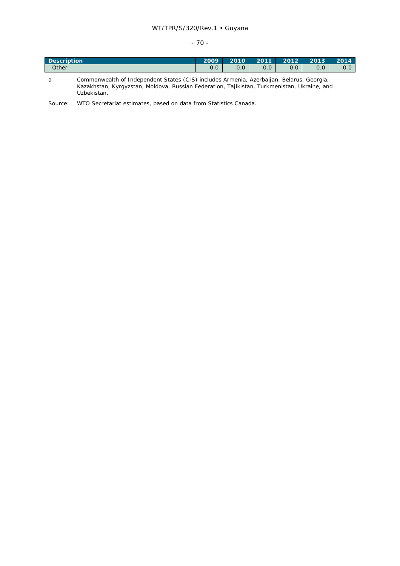# WT/TPR/S/320/Rev.1 • Guyana

#### - 70 -

| <b>Description</b> | 2009       | 2010 | 2011 | 2012 | 2013 | 2014 |
|--------------------|------------|------|------|------|------|------|
| Other              | ∩ ∩<br>U.U |      | 0.0  | 0.0  | 0.0  | U.U  |
|                    |            |      |      |      |      |      |

a Commonwealth of Independent States (CIS) includes Armenia, Azerbaijan, Belarus, Georgia, Kazakhstan, Kyrgyzstan, Moldova, Russian Federation, Tajikistan, Turkmenistan, Ukraine, and Uzbekistan.

Source: WTO Secretariat estimates, based on data from Statistics Canada.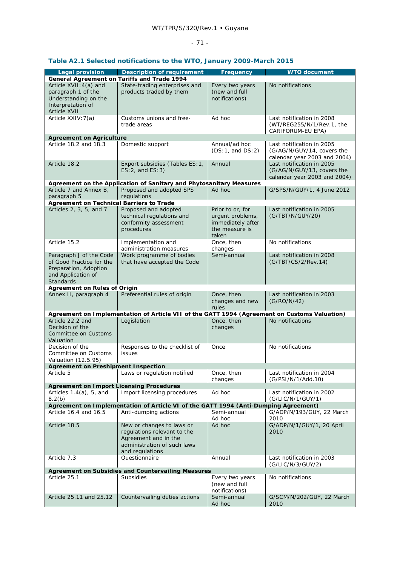# - 71 -

| <b>Legal provision</b>                                                     | <b>Description of requirement</b>                                                            | Frequency                        | <b>WTO document</b>               |
|----------------------------------------------------------------------------|----------------------------------------------------------------------------------------------|----------------------------------|-----------------------------------|
|                                                                            | General Agreement on Tariffs and Trade 1994                                                  |                                  | No notifications                  |
| Article XVII: 4(a) and<br>paragraph 1 of the                               | State-trading enterprises and                                                                | Every two years<br>(new and full |                                   |
| Understanding on the                                                       | products traded by them                                                                      | notifications)                   |                                   |
| Interpretation of                                                          |                                                                                              |                                  |                                   |
| <b>Article XVII</b>                                                        |                                                                                              |                                  |                                   |
| Article XXIV: 7(a)                                                         | Customs unions and free-                                                                     | Ad hoc                           | Last notification in 2008         |
|                                                                            | trade areas                                                                                  |                                  | (WT/REG255/N/1/Rev.1, the         |
|                                                                            |                                                                                              |                                  | CARIFORUM-EU EPA)                 |
| <b>Agreement on Agriculture</b>                                            |                                                                                              |                                  |                                   |
| Article 18.2 and 18.3                                                      | Domestic support                                                                             | Annual/ad hoc                    | Last notification in 2005         |
|                                                                            |                                                                                              | (DS:1, and DS:2)                 | (G/AG/N/GUY/14, covers the        |
|                                                                            |                                                                                              |                                  | calendar year 2003 and 2004)      |
| Article 18.2                                                               | Export subsidies (Tables ES: 1,                                                              | Annual                           | Last notification in 2005         |
|                                                                            | $ES:2$ , and $ES:3$ )                                                                        |                                  | (G/AG/N/GUY/13, covers the        |
|                                                                            |                                                                                              |                                  | calendar year 2003 and 2004)      |
|                                                                            | Agreement on the Application of Sanitary and Phytosanitary Measures                          |                                  |                                   |
| Article 7 and Annex B,                                                     | Proposed and adopted SPS                                                                     | Ad hoc                           | G/SPS/N/GUY/1, 4 June 2012        |
| paragraph 5                                                                | regulations                                                                                  |                                  |                                   |
| <b>Agreement on Technical Barriers to Trade</b><br>Articles 2, 3, 5, and 7 | Proposed and adopted                                                                         | Prior to or, for                 | Last notification in 2005         |
|                                                                            | technical regulations and                                                                    | urgent problems,                 | (G/TBT/N/GUY/20)                  |
|                                                                            | conformity assessment                                                                        | immediately after                |                                   |
|                                                                            | procedures                                                                                   | the measure is                   |                                   |
|                                                                            |                                                                                              | taken                            |                                   |
| Article 15.2                                                               | Implementation and                                                                           | Once, then                       | No notifications                  |
|                                                                            | administration measures                                                                      | changes                          |                                   |
| Paragraph J of the Code                                                    | Work programme of bodies                                                                     | Semi-annual                      | Last notification in 2008         |
| of Good Practice for the                                                   | that have accepted the Code                                                                  |                                  | (G/TBT/CS/2/Rev.14)               |
| Preparation, Adoption                                                      |                                                                                              |                                  |                                   |
| and Application of                                                         |                                                                                              |                                  |                                   |
| <b>Standards</b>                                                           |                                                                                              |                                  |                                   |
| <b>Agreement on Rules of Origin</b>                                        |                                                                                              |                                  |                                   |
| Annex II, paragraph 4                                                      | Preferential rules of origin                                                                 | Once, then                       | Last notification in 2003         |
|                                                                            |                                                                                              | changes and new                  | (G/RO/N/42)                       |
|                                                                            |                                                                                              | rules                            |                                   |
| Article 22.2 and                                                           | Agreement on Implementation of Article VII of the GATT 1994 (Agreement on Customs Valuation) |                                  | No notifications                  |
| Decision of the                                                            | Legislation                                                                                  | Once, then<br>changes            |                                   |
| Committee on Customs                                                       |                                                                                              |                                  |                                   |
| Valuation                                                                  |                                                                                              |                                  |                                   |
| Decision of the                                                            | Responses to the checklist of                                                                | Once                             | No notifications                  |
| Committee on Customs                                                       | issues                                                                                       |                                  |                                   |
| Valuation (12.5.95)                                                        |                                                                                              |                                  |                                   |
| <b>Agreement on Preshipment Inspection</b>                                 |                                                                                              |                                  |                                   |
| Article 5                                                                  | Laws or regulation notified                                                                  | Once, then                       | Last notification in 2004         |
|                                                                            |                                                                                              | changes                          | (G/PSI/N/1/Add.10)                |
| <b>Agreement on Import Licensing Procedures</b>                            |                                                                                              |                                  |                                   |
| Articles $1.4(a)$ , 5, and                                                 | Import licensing procedures                                                                  | Ad hoc                           | Last notification in 2002         |
| 8.2(b)                                                                     |                                                                                              |                                  | (G/LIC/N/1/GUY/1)                 |
|                                                                            | Agreement on Implementation of Article VI of the GATT 1994 (Anti-Dumping Agreement)          |                                  |                                   |
| Article 16.4 and 16.5                                                      | Anti-dumping actions                                                                         | Semi-annual                      | G/ADP/N/193/GUY, 22 March         |
|                                                                            |                                                                                              | Ad hoc                           | 2010                              |
| Article 18.5                                                               | New or changes to laws or<br>regulations relevant to the                                     | Ad hoc                           | G/ADP/N/1/GUY/1, 20 April<br>2010 |
|                                                                            | Agreement and in the                                                                         |                                  |                                   |
|                                                                            | administration of such laws                                                                  |                                  |                                   |
|                                                                            | and regulations                                                                              |                                  |                                   |
| Article 7.3                                                                | Questionnaire                                                                                | Annual                           | Last notification in 2003         |
|                                                                            |                                                                                              |                                  | (G/LIC/N/3/GUY/2)                 |
|                                                                            | Agreement on Subsidies and Countervailing Measures                                           |                                  |                                   |
| Article 25.1                                                               | <b>Subsidies</b>                                                                             | Every two years                  | No notifications                  |
|                                                                            |                                                                                              | (new and full                    |                                   |
|                                                                            |                                                                                              | notifications)                   |                                   |
| Article 25.11 and 25.12                                                    | Countervailing duties actions                                                                | Semi-annual                      | G/SCM/N/202/GUY, 22 March         |
|                                                                            |                                                                                              | Ad hoc                           | 2010                              |

# **Table A2.1 Selected notifications to the WTO, January 2009-March 2015**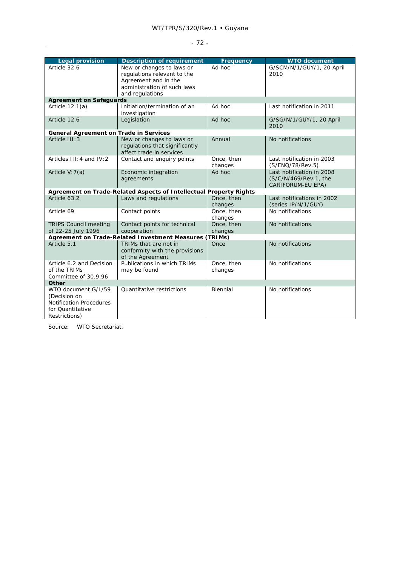| - |
|---|
|   |

| <b>Legal provision</b>                        | <b>Description of requirement</b>                                  | Frequency  | <b>WTO document</b>        |
|-----------------------------------------------|--------------------------------------------------------------------|------------|----------------------------|
| Article 32.6                                  | New or changes to laws or                                          | Ad hoc     | G/SCM/N/1/GUY/1, 20 April  |
|                                               | regulations relevant to the                                        |            | 2010                       |
|                                               | Agreement and in the                                               |            |                            |
|                                               | administration of such laws                                        |            |                            |
|                                               | and regulations                                                    |            |                            |
| <b>Agreement on Safeguards</b>                |                                                                    |            |                            |
| Article $12.1(a)$                             | Initiation/termination of an                                       | Ad hoc     | Last notification in 2011  |
|                                               | investigation                                                      |            |                            |
| Article 12.6                                  | Legislation                                                        | Ad hoc     | G/SG/N/1/GUY/1, 20 April   |
|                                               |                                                                    |            | 2010                       |
| <b>General Agreement on Trade in Services</b> |                                                                    |            |                            |
| Article III: 3                                | New or changes to laws or                                          | Annual     | No notifications           |
|                                               | regulations that significantly                                     |            |                            |
|                                               | affect trade in services                                           |            |                            |
| Articles III: 4 and IV: 2                     | Contact and enquiry points                                         | Once, then | Last notification in 2003  |
|                                               |                                                                    | changes    | (S/ENQ/78/Rev.5)           |
| Article V: 7(a)                               | Economic integration                                               | Ad hoc     | Last notification in 2008  |
|                                               | agreements                                                         |            | (S/C/N/469/Rev.1, the      |
|                                               |                                                                    |            | CARIFORUM-EU EPA)          |
|                                               | Agreement on Trade-Related Aspects of Intellectual Property Rights |            |                            |
| Article 63.2                                  | Laws and regulations                                               | Once, then | Last notifications in 2002 |
|                                               |                                                                    | changes    | (series IP/N/1/GUY)        |
| Article 69                                    | Contact points                                                     | Once, then | No notifications           |
|                                               |                                                                    | changes    |                            |
| <b>TRIPS Council meeting</b>                  | Contact points for technical                                       | Once, then | No notifications.          |
| of 22-25 July 1996                            | cooperation                                                        | changes    |                            |
|                                               | Agreement on Trade-Related Investment Measures (TRIMs)             |            |                            |
| Article 5.1                                   | TRIMs that are not in                                              | Once       | No notifications           |
|                                               | conformity with the provisions                                     |            |                            |
|                                               | of the Agreement                                                   |            |                            |
| Article 6.2 and Decision                      | Publications in which TRIMs                                        | Once, then | No notifications           |
| of the TRIMs                                  | may be found                                                       | changes    |                            |
| Committee of 30.9.96                          |                                                                    |            |                            |
| Other                                         |                                                                    |            |                            |
| WTO document G/L/59                           | <b>Ouantitative restrictions</b>                                   | Biennial   | No notifications           |
| (Decision on                                  |                                                                    |            |                            |
| <b>Notification Procedures</b>                |                                                                    |            |                            |
| for Quantitative                              |                                                                    |            |                            |
| Restrictions)                                 |                                                                    |            |                            |

Source: WTO Secretariat.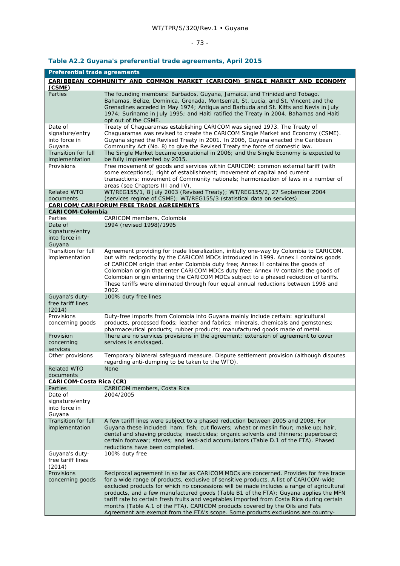# $-73 -$

| <b>Preferential trade agreements</b>                                      |                                                                                                                                                                                                                                                                                                                                                                                                                                                                                                                                                                                                                                      |  |
|---------------------------------------------------------------------------|--------------------------------------------------------------------------------------------------------------------------------------------------------------------------------------------------------------------------------------------------------------------------------------------------------------------------------------------------------------------------------------------------------------------------------------------------------------------------------------------------------------------------------------------------------------------------------------------------------------------------------------|--|
| CARIBBEAN COMMUNITY AND COMMON MARKET (CARICOM) SINGLE MARKET AND ECONOMY |                                                                                                                                                                                                                                                                                                                                                                                                                                                                                                                                                                                                                                      |  |
| (CSME)                                                                    |                                                                                                                                                                                                                                                                                                                                                                                                                                                                                                                                                                                                                                      |  |
| Parties                                                                   | The founding members: Barbados, Guyana, Jamaica, and Trinidad and Tobago.<br>Bahamas, Belize, Dominica, Grenada, Montserrat, St. Lucia, and St. Vincent and the<br>Grenadines acceded in May 1974; Antigua and Barbuda and St. Kitts and Nevis in July<br>1974; Suriname in July 1995; and Haiti ratified the Treaty in 2004. Bahamas and Haiti<br>opt out of the CSME.                                                                                                                                                                                                                                                              |  |
| Date of<br>signature/entry<br>into force in<br>Guyana                     | Treaty of Chaguaramas establishing CARICOM was signed 1973. The Treaty of<br>Chaguaramas was revised to create the CARICOM Single Market and Economy (CSME).<br>Guyana signed the Revised Treaty in 2001. In 2006, Guyana enacted the Caribbean<br>Community Act (No. 8) to give the Revised Treaty the force of domestic law.                                                                                                                                                                                                                                                                                                       |  |
| <b>Transition for full</b><br>implementation                              | The Single Market became operational in 2006; and the Single Economy is expected to<br>be fully implemented by 2015.                                                                                                                                                                                                                                                                                                                                                                                                                                                                                                                 |  |
| Provisions                                                                | Free movement of goods and services within CARICOM; common external tariff (with<br>some exceptions); right of establishment; movement of capital and current<br>transactions; movement of Community nationals; harmonization of laws in a number of<br>areas (see Chapters III and IV).                                                                                                                                                                                                                                                                                                                                             |  |
| <b>Related WTO</b><br>documents                                           | WT/REG155/1, 8 July 2003 (Revised Treaty); WT/REG155/2, 27 September 2004<br>(services regime of CSME); WT/REG155/3 (statistical data on services)                                                                                                                                                                                                                                                                                                                                                                                                                                                                                   |  |
|                                                                           | <b>CARICOM/CARIFORUM FREE TRADE AGREEMENTS</b>                                                                                                                                                                                                                                                                                                                                                                                                                                                                                                                                                                                       |  |
| <b>CARICOM-Colombia</b>                                                   |                                                                                                                                                                                                                                                                                                                                                                                                                                                                                                                                                                                                                                      |  |
| Parties<br>Date of                                                        | CARICOM members, Colombia<br>1994 (revised 1998)/1995                                                                                                                                                                                                                                                                                                                                                                                                                                                                                                                                                                                |  |
| signature/entry<br>into force in<br>Guyana                                |                                                                                                                                                                                                                                                                                                                                                                                                                                                                                                                                                                                                                                      |  |
| Transition for full<br>implementation                                     | Agreement providing for trade liberalization, initially one-way by Colombia to CARICOM,<br>but with reciprocity by the CARICOM MDCs introduced in 1999. Annex I contains goods<br>of CARICOM origin that enter Colombia duty free; Annex II contains the goods of<br>Colombian origin that enter CARICOM MDCs duty free; Annex IV contains the goods of<br>Colombian origin entering the CARICOM MDCs subject to a phased reduction of tariffs.<br>These tariffs were eliminated through four equal annual reductions between 1998 and<br>2002.                                                                                      |  |
| Guyana's duty-<br>free tariff lines<br>(2014)                             | 100% duty free lines                                                                                                                                                                                                                                                                                                                                                                                                                                                                                                                                                                                                                 |  |
| Provisions<br>concerning goods                                            | Duty-free imports from Colombia into Guyana mainly include certain: agricultural<br>products, processed foods; leather and fabrics; minerals, chemicals and gemstones;<br>pharmaceutical products; rubber products; manufactured goods made of metal.                                                                                                                                                                                                                                                                                                                                                                                |  |
| Provision<br>concerning<br>services                                       | There are no services provisions in the agreement; extension of agreement to cover<br>services is envisaged.                                                                                                                                                                                                                                                                                                                                                                                                                                                                                                                         |  |
| Other provisions                                                          | Temporary bilateral safeguard measure. Dispute settlement provision (although disputes<br>regarding anti-dumping to be taken to the WTO).                                                                                                                                                                                                                                                                                                                                                                                                                                                                                            |  |
| <b>Related WTO</b><br>documents                                           | None                                                                                                                                                                                                                                                                                                                                                                                                                                                                                                                                                                                                                                 |  |
| <b>CARICOM-Costa Rica (CR)</b>                                            |                                                                                                                                                                                                                                                                                                                                                                                                                                                                                                                                                                                                                                      |  |
| Parties                                                                   | CARICOM members, Costa Rica                                                                                                                                                                                                                                                                                                                                                                                                                                                                                                                                                                                                          |  |
| Date of<br>signature/entry<br>into force in<br>Guyana                     | 2004/2005                                                                                                                                                                                                                                                                                                                                                                                                                                                                                                                                                                                                                            |  |
| Transition for full<br>implementation                                     | A few tariff lines were subject to a phased reduction between 2005 and 2008. For<br>Guyana these included: ham; fish; cut flowers; wheat or meslin flour; make up; hair,<br>dental and shaving products; insecticides; organic solvents and thinners; paperboard;<br>certain footwear; stoves; and lead-acid accumulators (Table D.1 of the FTA). Phased<br>reductions have been completed.                                                                                                                                                                                                                                          |  |
| Guyana's duty-<br>free tariff lines<br>(2014)                             | 100% duty free                                                                                                                                                                                                                                                                                                                                                                                                                                                                                                                                                                                                                       |  |
| Provisions<br>concerning goods                                            | Reciprocal agreement in so far as CARICOM MDCs are concerned. Provides for free trade<br>for a wide range of products, exclusive of sensitive products. A list of CARICOM-wide<br>excluded products for which no concessions will be made includes a range of agricultural<br>products, and a few manufactured goods (Table B1 of the FTA); Guyana applies the MFN<br>tariff rate to certain fresh fruits and vegetables imported from Costa Rica during certain<br>months (Table A.1 of the FTA). CARICOM products covered by the Oils and Fats<br>Agreement are exempt from the FTA's scope. Some products exclusions are country- |  |

## **Table A2.2 Guyana's preferential trade agreements, April 2015**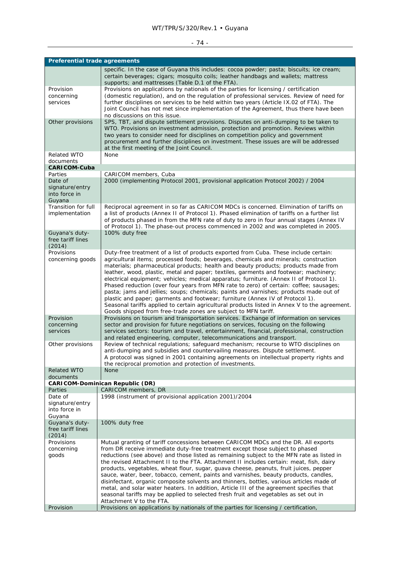## WT/TPR/S/320/Rev.1 • Guyana

# - 74 -

| specific. In the case of Guyana this includes: cocoa powder; pasta; biscuits; ice cream;<br>certain beverages; cigars; mosquito coils; leather handbags and wallets; mattress<br>supports; and mattresses (Table D.1 of the FTA).<br>Provision<br>Provisions on applications by nationals of the parties for licensing / certification<br>(domestic regulation), and on the regulation of professional services. Review of need for<br>concerning<br>further disciplines on services to be held within two years (Article IX.02 of FTA). The<br>services<br>Joint Council has not met since implementation of the Agreement, thus there have been<br>no discussions on this issue.<br>Other provisions<br>SPS, TBT, and dispute settlement provisions. Disputes on anti-dumping to be taken to<br>WTO. Provisions on investment admission, protection and promotion. Reviews within<br>two years to consider need for disciplines on competition policy and government<br>procurement and further disciplines on investment. These issues are will be addressed<br>at the first meeting of the Joint Council.<br><b>Related WTO</b><br>None<br>documents<br><b>CARICOM-Cuba</b><br>CARICOM members, Cuba<br>Parties<br>Date of<br>2000 (implementing Protocol 2001, provisional application Protocol 2002) / 2004<br>signature/entry<br>into force in<br>Guyana<br>Transition for full<br>Reciprocal agreement in so far as CARICOM MDCs is concerned. Elimination of tariffs on<br>implementation<br>a list of products (Annex II of Protocol 1). Phased elimination of tariffs on a further list<br>of products phased in from the MFN rate of duty to zero in four annual stages (Annex IV<br>of Protocol 1). The phase-out process commenced in 2002 and was completed in 2005.<br>Guyana's duty-<br>100% duty free<br>free tariff lines<br>(2014)<br>Provisions<br>Duty-free treatment of a list of products exported from Cuba. These include certain:<br>agricultural items; processed foods; beverages, chemicals and minerals; construction<br>concerning goods<br>materials; pharmaceutical products; health and beauty products; products made from<br>leather, wood, plastic, metal and paper; textiles, garments and footwear; machinery;<br>electrical equipment; vehicles; medical apparatus; furniture. (Annex II of Protocol 1).<br>Phased reduction (over four years from MFN rate to zero) of certain: coffee; sausages;<br>pasta; jams and jellies; soups; chemicals; paints and varnishes; products made out of<br>plastic and paper; garments and footwear; furniture (Annex IV of Protocol 1).<br>Seasonal tariffs applied to certain agricultural products listed in Annex V to the agreement.<br>Goods shipped from free-trade zones are subject to MFN tariff.<br>Provisions on tourism and transportation services. Exchange of information on services<br>Provision<br>sector and provision for future negotiations on services, focusing on the following<br>concerning<br>services sectors: tourism and travel, entertainment, financial, professional, construction<br>services<br>and related engineering, computer, telecommunications and transport.<br>Review of technical regulations; safeguard mechanism; recourse to WTO disciplines on<br>Other provisions<br>anti-dumping and subsidies and countervailing measures. Dispute settlement.<br>A protocol was signed in 2001 containing agreements on intellectual property rights and<br>the reciprocal promotion and protection of investments.<br><b>Related WTO</b><br>None<br>documents<br><b>CARICOM-Dominican Republic (DR)</b><br>CARICOM members, DR<br>Parties<br>Date of<br>1998 (instrument of provisional application 2001)/2004<br>signature/entry<br>into force in<br>Guyana<br>Guyana's duty-<br>100% duty free<br>free tariff lines<br>(2014)<br>Provisions<br>Mutual granting of tariff concessions between CARICOM MDCs and the DR. All exports<br>from DR receive immediate duty-free treatment except those subject to phased<br>concerning<br>reductions (see above) and those listed as remaining subject to the MFN rate as listed in<br>goods<br>the revised Attachment II to the FTA. Attachment II includes certain: meat, fish, dairy<br>products, vegetables, wheat flour, sugar, guava cheese, peanuts, fruit juices, pepper<br>sauce, water, beer, tobacco, cement, paints and varnishes, beauty products, candles,<br>disinfectant, organic composite solvents and thinners, bottles, various articles made of | <b>Preferential trade agreements</b> |                                                                                          |  |
|--------------------------------------------------------------------------------------------------------------------------------------------------------------------------------------------------------------------------------------------------------------------------------------------------------------------------------------------------------------------------------------------------------------------------------------------------------------------------------------------------------------------------------------------------------------------------------------------------------------------------------------------------------------------------------------------------------------------------------------------------------------------------------------------------------------------------------------------------------------------------------------------------------------------------------------------------------------------------------------------------------------------------------------------------------------------------------------------------------------------------------------------------------------------------------------------------------------------------------------------------------------------------------------------------------------------------------------------------------------------------------------------------------------------------------------------------------------------------------------------------------------------------------------------------------------------------------------------------------------------------------------------------------------------------------------------------------------------------------------------------------------------------------------------------------------------------------------------------------------------------------------------------------------------------------------------------------------------------------------------------------------------------------------------------------------------------------------------------------------------------------------------------------------------------------------------------------------------------------------------------------------------------------------------------------------------------------------------------------------------------------------------------------------------------------------------------------------------------------------------------------------------------------------------------------------------------------------------------------------------------------------------------------------------------------------------------------------------------------------------------------------------------------------------------------------------------------------------------------------------------------------------------------------------------------------------------------------------------------------------------------------------------------------------------------------------------------------------------------------------------------------------------------------------------------------------------------------------------------------------------------------------------------------------------------------------------------------------------------------------------------------------------------------------------------------------------------------------------------------------------------------------------------------------------------------------------------------------------------------------------------------------------------------------------------------------------------------------------------------------------------------------------------------------------------------------------------------------------------------------------------------------------------------------------------------------------------------------------------------------------------------------------------------------------------------------------------------------------------------------------------------------------------------------------------------------------------------------------------------------------------------------------------------------------------------------------------------------------------------------------------------------------------------------------------------------------------------------------------------------------------------------------------------|--------------------------------------|------------------------------------------------------------------------------------------|--|
|                                                                                                                                                                                                                                                                                                                                                                                                                                                                                                                                                                                                                                                                                                                                                                                                                                                                                                                                                                                                                                                                                                                                                                                                                                                                                                                                                                                                                                                                                                                                                                                                                                                                                                                                                                                                                                                                                                                                                                                                                                                                                                                                                                                                                                                                                                                                                                                                                                                                                                                                                                                                                                                                                                                                                                                                                                                                                                                                                                                                                                                                                                                                                                                                                                                                                                                                                                                                                                                                                                                                                                                                                                                                                                                                                                                                                                                                                                                                                                                                                                                                                                                                                                                                                                                                                                                                                                                                                                                                                                                                      |                                      |                                                                                          |  |
|                                                                                                                                                                                                                                                                                                                                                                                                                                                                                                                                                                                                                                                                                                                                                                                                                                                                                                                                                                                                                                                                                                                                                                                                                                                                                                                                                                                                                                                                                                                                                                                                                                                                                                                                                                                                                                                                                                                                                                                                                                                                                                                                                                                                                                                                                                                                                                                                                                                                                                                                                                                                                                                                                                                                                                                                                                                                                                                                                                                                                                                                                                                                                                                                                                                                                                                                                                                                                                                                                                                                                                                                                                                                                                                                                                                                                                                                                                                                                                                                                                                                                                                                                                                                                                                                                                                                                                                                                                                                                                                                      |                                      |                                                                                          |  |
|                                                                                                                                                                                                                                                                                                                                                                                                                                                                                                                                                                                                                                                                                                                                                                                                                                                                                                                                                                                                                                                                                                                                                                                                                                                                                                                                                                                                                                                                                                                                                                                                                                                                                                                                                                                                                                                                                                                                                                                                                                                                                                                                                                                                                                                                                                                                                                                                                                                                                                                                                                                                                                                                                                                                                                                                                                                                                                                                                                                                                                                                                                                                                                                                                                                                                                                                                                                                                                                                                                                                                                                                                                                                                                                                                                                                                                                                                                                                                                                                                                                                                                                                                                                                                                                                                                                                                                                                                                                                                                                                      |                                      |                                                                                          |  |
|                                                                                                                                                                                                                                                                                                                                                                                                                                                                                                                                                                                                                                                                                                                                                                                                                                                                                                                                                                                                                                                                                                                                                                                                                                                                                                                                                                                                                                                                                                                                                                                                                                                                                                                                                                                                                                                                                                                                                                                                                                                                                                                                                                                                                                                                                                                                                                                                                                                                                                                                                                                                                                                                                                                                                                                                                                                                                                                                                                                                                                                                                                                                                                                                                                                                                                                                                                                                                                                                                                                                                                                                                                                                                                                                                                                                                                                                                                                                                                                                                                                                                                                                                                                                                                                                                                                                                                                                                                                                                                                                      |                                      |                                                                                          |  |
|                                                                                                                                                                                                                                                                                                                                                                                                                                                                                                                                                                                                                                                                                                                                                                                                                                                                                                                                                                                                                                                                                                                                                                                                                                                                                                                                                                                                                                                                                                                                                                                                                                                                                                                                                                                                                                                                                                                                                                                                                                                                                                                                                                                                                                                                                                                                                                                                                                                                                                                                                                                                                                                                                                                                                                                                                                                                                                                                                                                                                                                                                                                                                                                                                                                                                                                                                                                                                                                                                                                                                                                                                                                                                                                                                                                                                                                                                                                                                                                                                                                                                                                                                                                                                                                                                                                                                                                                                                                                                                                                      |                                      |                                                                                          |  |
|                                                                                                                                                                                                                                                                                                                                                                                                                                                                                                                                                                                                                                                                                                                                                                                                                                                                                                                                                                                                                                                                                                                                                                                                                                                                                                                                                                                                                                                                                                                                                                                                                                                                                                                                                                                                                                                                                                                                                                                                                                                                                                                                                                                                                                                                                                                                                                                                                                                                                                                                                                                                                                                                                                                                                                                                                                                                                                                                                                                                                                                                                                                                                                                                                                                                                                                                                                                                                                                                                                                                                                                                                                                                                                                                                                                                                                                                                                                                                                                                                                                                                                                                                                                                                                                                                                                                                                                                                                                                                                                                      |                                      |                                                                                          |  |
|                                                                                                                                                                                                                                                                                                                                                                                                                                                                                                                                                                                                                                                                                                                                                                                                                                                                                                                                                                                                                                                                                                                                                                                                                                                                                                                                                                                                                                                                                                                                                                                                                                                                                                                                                                                                                                                                                                                                                                                                                                                                                                                                                                                                                                                                                                                                                                                                                                                                                                                                                                                                                                                                                                                                                                                                                                                                                                                                                                                                                                                                                                                                                                                                                                                                                                                                                                                                                                                                                                                                                                                                                                                                                                                                                                                                                                                                                                                                                                                                                                                                                                                                                                                                                                                                                                                                                                                                                                                                                                                                      |                                      |                                                                                          |  |
|                                                                                                                                                                                                                                                                                                                                                                                                                                                                                                                                                                                                                                                                                                                                                                                                                                                                                                                                                                                                                                                                                                                                                                                                                                                                                                                                                                                                                                                                                                                                                                                                                                                                                                                                                                                                                                                                                                                                                                                                                                                                                                                                                                                                                                                                                                                                                                                                                                                                                                                                                                                                                                                                                                                                                                                                                                                                                                                                                                                                                                                                                                                                                                                                                                                                                                                                                                                                                                                                                                                                                                                                                                                                                                                                                                                                                                                                                                                                                                                                                                                                                                                                                                                                                                                                                                                                                                                                                                                                                                                                      |                                      |                                                                                          |  |
|                                                                                                                                                                                                                                                                                                                                                                                                                                                                                                                                                                                                                                                                                                                                                                                                                                                                                                                                                                                                                                                                                                                                                                                                                                                                                                                                                                                                                                                                                                                                                                                                                                                                                                                                                                                                                                                                                                                                                                                                                                                                                                                                                                                                                                                                                                                                                                                                                                                                                                                                                                                                                                                                                                                                                                                                                                                                                                                                                                                                                                                                                                                                                                                                                                                                                                                                                                                                                                                                                                                                                                                                                                                                                                                                                                                                                                                                                                                                                                                                                                                                                                                                                                                                                                                                                                                                                                                                                                                                                                                                      |                                      |                                                                                          |  |
|                                                                                                                                                                                                                                                                                                                                                                                                                                                                                                                                                                                                                                                                                                                                                                                                                                                                                                                                                                                                                                                                                                                                                                                                                                                                                                                                                                                                                                                                                                                                                                                                                                                                                                                                                                                                                                                                                                                                                                                                                                                                                                                                                                                                                                                                                                                                                                                                                                                                                                                                                                                                                                                                                                                                                                                                                                                                                                                                                                                                                                                                                                                                                                                                                                                                                                                                                                                                                                                                                                                                                                                                                                                                                                                                                                                                                                                                                                                                                                                                                                                                                                                                                                                                                                                                                                                                                                                                                                                                                                                                      |                                      |                                                                                          |  |
|                                                                                                                                                                                                                                                                                                                                                                                                                                                                                                                                                                                                                                                                                                                                                                                                                                                                                                                                                                                                                                                                                                                                                                                                                                                                                                                                                                                                                                                                                                                                                                                                                                                                                                                                                                                                                                                                                                                                                                                                                                                                                                                                                                                                                                                                                                                                                                                                                                                                                                                                                                                                                                                                                                                                                                                                                                                                                                                                                                                                                                                                                                                                                                                                                                                                                                                                                                                                                                                                                                                                                                                                                                                                                                                                                                                                                                                                                                                                                                                                                                                                                                                                                                                                                                                                                                                                                                                                                                                                                                                                      |                                      |                                                                                          |  |
|                                                                                                                                                                                                                                                                                                                                                                                                                                                                                                                                                                                                                                                                                                                                                                                                                                                                                                                                                                                                                                                                                                                                                                                                                                                                                                                                                                                                                                                                                                                                                                                                                                                                                                                                                                                                                                                                                                                                                                                                                                                                                                                                                                                                                                                                                                                                                                                                                                                                                                                                                                                                                                                                                                                                                                                                                                                                                                                                                                                                                                                                                                                                                                                                                                                                                                                                                                                                                                                                                                                                                                                                                                                                                                                                                                                                                                                                                                                                                                                                                                                                                                                                                                                                                                                                                                                                                                                                                                                                                                                                      |                                      |                                                                                          |  |
|                                                                                                                                                                                                                                                                                                                                                                                                                                                                                                                                                                                                                                                                                                                                                                                                                                                                                                                                                                                                                                                                                                                                                                                                                                                                                                                                                                                                                                                                                                                                                                                                                                                                                                                                                                                                                                                                                                                                                                                                                                                                                                                                                                                                                                                                                                                                                                                                                                                                                                                                                                                                                                                                                                                                                                                                                                                                                                                                                                                                                                                                                                                                                                                                                                                                                                                                                                                                                                                                                                                                                                                                                                                                                                                                                                                                                                                                                                                                                                                                                                                                                                                                                                                                                                                                                                                                                                                                                                                                                                                                      |                                      |                                                                                          |  |
|                                                                                                                                                                                                                                                                                                                                                                                                                                                                                                                                                                                                                                                                                                                                                                                                                                                                                                                                                                                                                                                                                                                                                                                                                                                                                                                                                                                                                                                                                                                                                                                                                                                                                                                                                                                                                                                                                                                                                                                                                                                                                                                                                                                                                                                                                                                                                                                                                                                                                                                                                                                                                                                                                                                                                                                                                                                                                                                                                                                                                                                                                                                                                                                                                                                                                                                                                                                                                                                                                                                                                                                                                                                                                                                                                                                                                                                                                                                                                                                                                                                                                                                                                                                                                                                                                                                                                                                                                                                                                                                                      |                                      |                                                                                          |  |
|                                                                                                                                                                                                                                                                                                                                                                                                                                                                                                                                                                                                                                                                                                                                                                                                                                                                                                                                                                                                                                                                                                                                                                                                                                                                                                                                                                                                                                                                                                                                                                                                                                                                                                                                                                                                                                                                                                                                                                                                                                                                                                                                                                                                                                                                                                                                                                                                                                                                                                                                                                                                                                                                                                                                                                                                                                                                                                                                                                                                                                                                                                                                                                                                                                                                                                                                                                                                                                                                                                                                                                                                                                                                                                                                                                                                                                                                                                                                                                                                                                                                                                                                                                                                                                                                                                                                                                                                                                                                                                                                      |                                      |                                                                                          |  |
| seasonal tariffs may be applied to selected fresh fruit and vegetables as set out in<br>Attachment V to the FTA.<br>Provisions on applications by nationals of the parties for licensing / certification,<br>Provision                                                                                                                                                                                                                                                                                                                                                                                                                                                                                                                                                                                                                                                                                                                                                                                                                                                                                                                                                                                                                                                                                                                                                                                                                                                                                                                                                                                                                                                                                                                                                                                                                                                                                                                                                                                                                                                                                                                                                                                                                                                                                                                                                                                                                                                                                                                                                                                                                                                                                                                                                                                                                                                                                                                                                                                                                                                                                                                                                                                                                                                                                                                                                                                                                                                                                                                                                                                                                                                                                                                                                                                                                                                                                                                                                                                                                                                                                                                                                                                                                                                                                                                                                                                                                                                                                                               |                                      | metal, and solar water heaters. In addition, Article III of the agreement specifies that |  |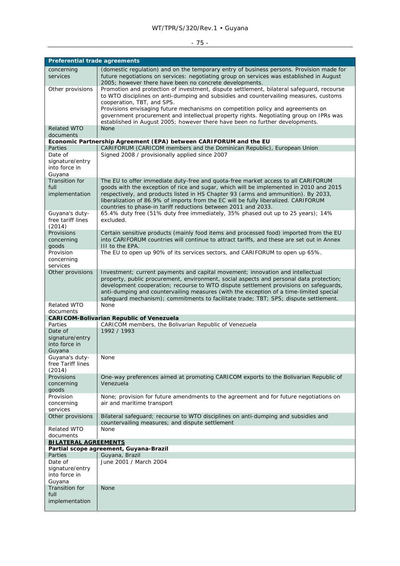## WT/TPR/S/320/Rev.1 • Guyana

# - 75 -

| <b>Preferential trade agreements</b>                              |                                                                                                                                                                                                                                                                                                                                                                                                                                                      |  |
|-------------------------------------------------------------------|------------------------------------------------------------------------------------------------------------------------------------------------------------------------------------------------------------------------------------------------------------------------------------------------------------------------------------------------------------------------------------------------------------------------------------------------------|--|
| concerning<br>services                                            | (domestic regulation) and on the temporary entry of business persons. Provision made for<br>future negotiations on services: negotiating group on services was established in August<br>2005; however there have been no concrete developments.                                                                                                                                                                                                      |  |
| Other provisions                                                  | Promotion and protection of investment, dispute settlement, bilateral safeguard, recourse<br>to WTO disciplines on anti-dumping and subsidies and countervailing measures, customs<br>cooperation, TBT, and SPS.                                                                                                                                                                                                                                     |  |
|                                                                   | Provisions envisaging future mechanisms on competition policy and agreements on<br>government procurement and intellectual property rights. Negotiating group on IPRs was<br>established in August 2005; however there have been no further developments.                                                                                                                                                                                            |  |
| <b>Related WTO</b><br>documents                                   | <b>None</b>                                                                                                                                                                                                                                                                                                                                                                                                                                          |  |
| Economic Partnership Agreement (EPA) between CARIFORUM and the EU |                                                                                                                                                                                                                                                                                                                                                                                                                                                      |  |
| Parties<br>Date of                                                | CARIFORUM (CARICOM members and the Dominican Republic), European Union<br>Signed 2008 / provisionally applied since 2007                                                                                                                                                                                                                                                                                                                             |  |
| signature/entry<br>into force in<br>Guyana                        |                                                                                                                                                                                                                                                                                                                                                                                                                                                      |  |
| Transition for                                                    | The EU to offer immediate duty-free and quota-free market access to all CARIFORUM                                                                                                                                                                                                                                                                                                                                                                    |  |
| full<br>implementation                                            | goods with the exception of rice and sugar, which will be implemented in 2010 and 2015<br>respectively, and products listed in HS Chapter 93 (arms and ammunition). By 2033,<br>liberalization of 86.9% of imports from the EC will be fully liberalized. CARIFORUM<br>countries to phase-in tariff reductions between 2011 and 2033.                                                                                                                |  |
| Guyana's duty-<br>free tariff lines<br>(2014)                     | 65.4% duty free (51% duty free immediately, 35% phased out up to 25 years); 14%<br>excluded.                                                                                                                                                                                                                                                                                                                                                         |  |
| Provisions<br>concerning<br>goods                                 | Certain sensitive products (mainly food items and processed food) imported from the EU<br>into CARIFORUM countries will continue to attract tariffs, and these are set out in Annex<br>III to the EPA.                                                                                                                                                                                                                                               |  |
| Provision<br>concerning<br>services                               | The EU to open up 90% of its services sectors, and CARIFORUM to open up 65%.                                                                                                                                                                                                                                                                                                                                                                         |  |
| Other provisions                                                  | Investment; current payments and capital movement; innovation and intellectual<br>property, public procurement, environment, social aspects and personal data protection;<br>development cooperation; recourse to WTO dispute settlement provisions on safeguards,<br>anti-dumping and countervailing measures (with the exception of a time-limited special<br>safeguard mechanism); commitments to facilitate trade; TBT; SPS; dispute settlement. |  |
| Related WTO<br>documents                                          | None                                                                                                                                                                                                                                                                                                                                                                                                                                                 |  |
|                                                                   | <b>CARICOM-Bolivarian Republic of Venezuela</b>                                                                                                                                                                                                                                                                                                                                                                                                      |  |
| Parties                                                           | CARICOM members, the Bolivarian Republic of Venezuela                                                                                                                                                                                                                                                                                                                                                                                                |  |
| Date of<br>signature/entry<br>into force in<br>Guyana             | 1992 / 1993                                                                                                                                                                                                                                                                                                                                                                                                                                          |  |
| Guyana's duty-<br>free Tariff lines<br>(2014)                     | None                                                                                                                                                                                                                                                                                                                                                                                                                                                 |  |
| Provisions<br>concerning<br>goods                                 | One-way preferences aimed at promoting CARICOM exports to the Bolivarian Republic of<br>Venezuela                                                                                                                                                                                                                                                                                                                                                    |  |
| Provision<br>concerning<br>services                               | None; provision for future amendments to the agreement and for future negotiations on<br>air and maritime transport                                                                                                                                                                                                                                                                                                                                  |  |
| Other provisions                                                  | Bilateral safeguard; recourse to WTO disciplines on anti-dumping and subsidies and<br>countervailing measures; and dispute settlement                                                                                                                                                                                                                                                                                                                |  |
| <b>Related WTO</b><br>documents                                   | None                                                                                                                                                                                                                                                                                                                                                                                                                                                 |  |
| <b>BILATERAL AGREEMENTS</b>                                       | Partial scope agreement, Guyana-Brazil                                                                                                                                                                                                                                                                                                                                                                                                               |  |
| <b>Parties</b>                                                    | Guyana, Brazil                                                                                                                                                                                                                                                                                                                                                                                                                                       |  |
| Date of<br>signature/entry<br>into force in<br>Guyana             | June 2001 / March 2004                                                                                                                                                                                                                                                                                                                                                                                                                               |  |
| <b>Transition for</b><br>full                                     | <b>None</b>                                                                                                                                                                                                                                                                                                                                                                                                                                          |  |
| implementation                                                    |                                                                                                                                                                                                                                                                                                                                                                                                                                                      |  |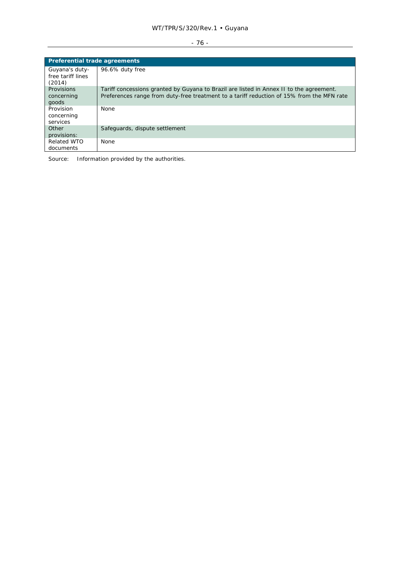## WT/TPR/S/320/Rev.1 • Guyana

# $-76 -$

| <b>Preferential trade agreements</b>          |                                                                                                                                                                                      |  |
|-----------------------------------------------|--------------------------------------------------------------------------------------------------------------------------------------------------------------------------------------|--|
| Guyana's duty-<br>free tariff lines<br>(2014) | 96.6% duty free                                                                                                                                                                      |  |
| <b>Provisions</b><br>concerning<br>goods      | Tariff concessions granted by Guyana to Brazil are listed in Annex II to the agreement.<br>Preferences range from duty-free treatment to a tariff reduction of 15% from the MFN rate |  |
| Provision<br>concerning<br>services           | <b>None</b>                                                                                                                                                                          |  |
| Other<br>provisions:                          | Safeguards, dispute settlement                                                                                                                                                       |  |
| <b>Related WTO</b><br>documents               | <b>None</b>                                                                                                                                                                          |  |

Source: Information provided by the authorities.